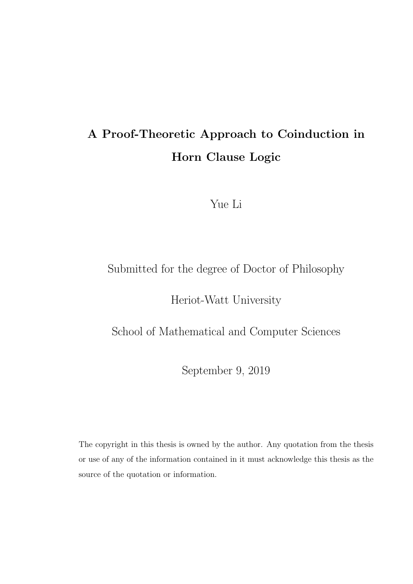### A Proof-Theoretic Approach to Coinduction in Horn Clause Logic

Yue Li

### Submitted for the degree of Doctor of Philosophy

Heriot-Watt University

School of Mathematical and Computer Sciences

September 9, 2019

The copyright in this thesis is owned by the author. Any quotation from the thesis or use of any of the information contained in it must acknowledge this thesis as the source of the quotation or information.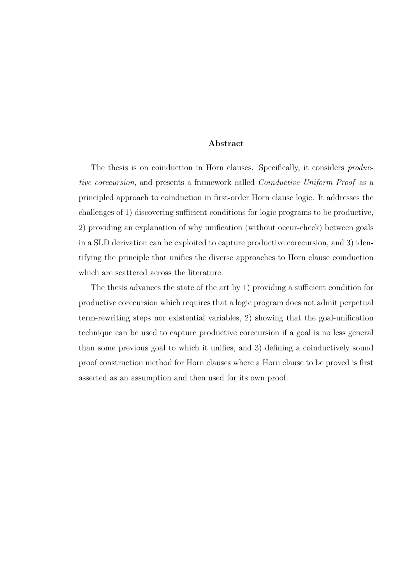#### Abstract

The thesis is on coinduction in Horn clauses. Specifically, it considers *produc*tive corecursion, and presents a framework called Coinductive Uniform Proof as a principled approach to coinduction in first-order Horn clause logic. It addresses the challenges of 1) discovering sufficient conditions for logic programs to be productive, 2) providing an explanation of why unification (without occur-check) between goals in a SLD derivation can be exploited to capture productive corecursion, and 3) identifying the principle that unifies the diverse approaches to Horn clause coinduction which are scattered across the literature.

The thesis advances the state of the art by 1) providing a sufficient condition for productive corecursion which requires that a logic program does not admit perpetual term-rewriting steps nor existential variables, 2) showing that the goal-unification technique can be used to capture productive corecursion if a goal is no less general than some previous goal to which it unifies, and 3) defining a coinductively sound proof construction method for Horn clauses where a Horn clause to be proved is first asserted as an assumption and then used for its own proof.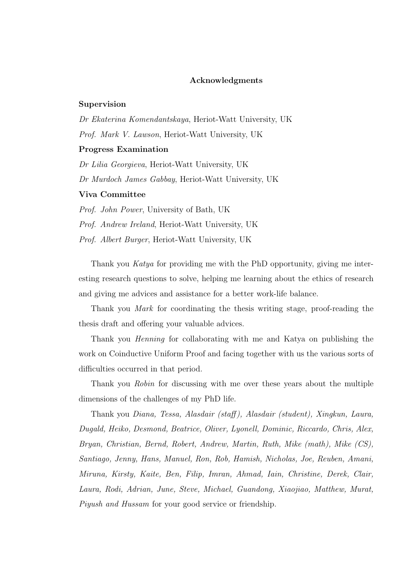#### Acknowledgments

#### Supervision

Dr Ekaterina Komendantskaya, Heriot-Watt University, UK Prof. Mark V. Lawson, Heriot-Watt University, UK Progress Examination Dr Lilia Georgieva, Heriot-Watt University, UK Dr Murdoch James Gabbay, Heriot-Watt University, UK Viva Committee Prof. John Power, University of Bath, UK

Prof. Andrew Ireland, Heriot-Watt University, UK Prof. Albert Burger, Heriot-Watt University, UK

Thank you Katya for providing me with the PhD opportunity, giving me interesting research questions to solve, helping me learning about the ethics of research and giving me advices and assistance for a better work-life balance.

Thank you Mark for coordinating the thesis writing stage, proof-reading the thesis draft and offering your valuable advices.

Thank you Henning for collaborating with me and Katya on publishing the work on Coinductive Uniform Proof and facing together with us the various sorts of difficulties occurred in that period.

Thank you Robin for discussing with me over these years about the multiple dimensions of the challenges of my PhD life.

Thank you Diana, Tessa, Alasdair (staff ), Alasdair (student), Xingkun, Laura, Dugald, Heiko, Desmond, Beatrice, Oliver, Lyonell, Dominic, Riccardo, Chris, Alex, Bryan, Christian, Bernd, Robert, Andrew, Martin, Ruth, Mike (math), Mike (CS), Santiago, Jenny, Hans, Manuel, Ron, Rob, Hamish, Nicholas, Joe, Reuben, Amani, Miruna, Kirsty, Kaite, Ben, Filip, Imran, Ahmad, Iain, Christine, Derek, Clair, Laura, Rodi, Adrian, June, Steve, Michael, Guandong, Xiaojiao, Matthew, Murat, Piyush and Hussam for your good service or friendship.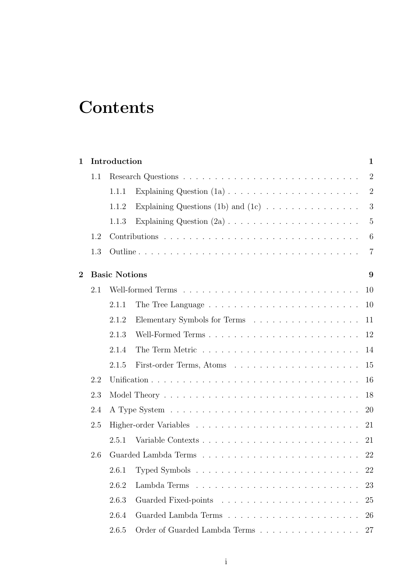## **Contents**

| 1              |     | Introduction<br>$\mathbf 1$ |                                                                    |                |  |  |  |
|----------------|-----|-----------------------------|--------------------------------------------------------------------|----------------|--|--|--|
|                | 1.1 |                             |                                                                    |                |  |  |  |
|                |     | 1.1.1                       |                                                                    | $\overline{2}$ |  |  |  |
|                |     | 1.1.2                       | Explaining Questions (1b) and (1c) $\dots \dots \dots \dots \dots$ | 3              |  |  |  |
|                |     | 1.1.3                       |                                                                    | $\overline{5}$ |  |  |  |
|                | 1.2 |                             |                                                                    | 6              |  |  |  |
|                | 1.3 |                             |                                                                    | 7              |  |  |  |
| $\overline{2}$ |     | <b>Basic Notions</b><br>9   |                                                                    |                |  |  |  |
|                | 2.1 |                             |                                                                    | 10             |  |  |  |
|                |     | 2.1.1                       |                                                                    | 10             |  |  |  |
|                |     | 2.1.2                       |                                                                    | 11             |  |  |  |
|                |     | 2.1.3                       |                                                                    | 12             |  |  |  |
|                |     | 2.1.4                       |                                                                    | 14             |  |  |  |
|                |     | 2.1.5                       |                                                                    | 15             |  |  |  |
|                | 2.2 |                             |                                                                    |                |  |  |  |
|                | 2.3 |                             |                                                                    | 18             |  |  |  |
|                | 2.4 |                             |                                                                    | <b>20</b>      |  |  |  |
|                | 2.5 |                             |                                                                    | 21             |  |  |  |
|                |     | 2.5.1                       |                                                                    | 21             |  |  |  |
|                | 2.6 | 22                          |                                                                    |                |  |  |  |
|                |     | 2.6.1                       |                                                                    |                |  |  |  |
|                |     | 2.6.2                       |                                                                    | 23             |  |  |  |
|                |     | 2.6.3                       |                                                                    | 25             |  |  |  |
|                |     | 2.6.4                       |                                                                    | 26             |  |  |  |
|                |     | 2.6.5                       | Order of Guarded Lambda Terms                                      | 27             |  |  |  |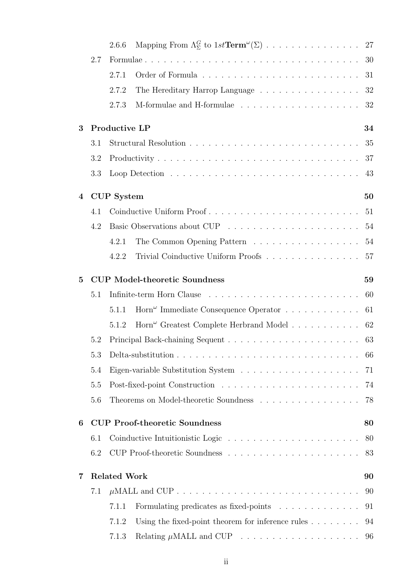|                |                     | 2.6.6                                      |                                                                                            |    |  |  |
|----------------|---------------------|--------------------------------------------|--------------------------------------------------------------------------------------------|----|--|--|
|                | 2.7                 |                                            |                                                                                            | 30 |  |  |
|                |                     | 2.7.1                                      |                                                                                            | 31 |  |  |
|                |                     | 2.7.2                                      | The Hereditary Harrop Language $\dots \dots \dots \dots \dots \dots$                       | 32 |  |  |
|                |                     | 2.7.3                                      |                                                                                            |    |  |  |
| 3              |                     | Productive LP                              |                                                                                            | 34 |  |  |
|                | 3.1                 |                                            |                                                                                            | 35 |  |  |
|                | 3.2                 |                                            |                                                                                            | 37 |  |  |
|                | 3.3                 |                                            |                                                                                            | 43 |  |  |
| $\overline{4}$ |                     | <b>CUP</b> System                          |                                                                                            |    |  |  |
|                | 4.1                 |                                            |                                                                                            | 51 |  |  |
|                | 4.2                 |                                            |                                                                                            | 54 |  |  |
|                |                     | 4.2.1                                      | The Common Opening Pattern                                                                 | 54 |  |  |
|                |                     | 4.2.2                                      | Trivial Coinductive Uniform Proofs                                                         | 57 |  |  |
| $\overline{5}$ |                     | <b>CUP Model-theoretic Soundness</b><br>59 |                                                                                            |    |  |  |
|                | 5.1                 |                                            |                                                                                            | 60 |  |  |
|                |                     | 5.1.1                                      | $\text{Horn}^{\omega}$ Immediate Consequence Operator $\dots \dots \dots \dots$            | 61 |  |  |
|                |                     | 5.1.2                                      | $\text{Horn}^{\omega}$ Greatest Complete Herbrand Model 62                                 |    |  |  |
|                | 5.2                 |                                            |                                                                                            |    |  |  |
|                | 5.3                 |                                            | Delta-substitution $\ldots \ldots \ldots \ldots \ldots \ldots \ldots \ldots \ldots \ldots$ | 66 |  |  |
|                | 5.4                 |                                            | Eigen-variable Substitution System $\ldots \ldots \ldots \ldots \ldots \ldots \ldots$      | 71 |  |  |
|                | 5.5                 |                                            |                                                                                            | 74 |  |  |
|                | 5.6                 |                                            | Theorems on Model-theoretic Soundness                                                      | 78 |  |  |
| 6              |                     | <b>CUP Proof-theoretic Soundness</b><br>80 |                                                                                            |    |  |  |
|                | 6.1                 |                                            |                                                                                            | 80 |  |  |
|                | 6.2                 |                                            |                                                                                            | 83 |  |  |
| 7              | <b>Related Work</b> |                                            |                                                                                            |    |  |  |
|                | 7.1                 |                                            |                                                                                            | 90 |  |  |
|                |                     | 7.1.1                                      | Formulating predicates as fixed-points                                                     | 91 |  |  |
|                |                     | 7.1.2                                      | Using the fixed-point theorem for inference rules $\dots \dots$                            | 94 |  |  |
|                |                     | 7.1.3                                      |                                                                                            |    |  |  |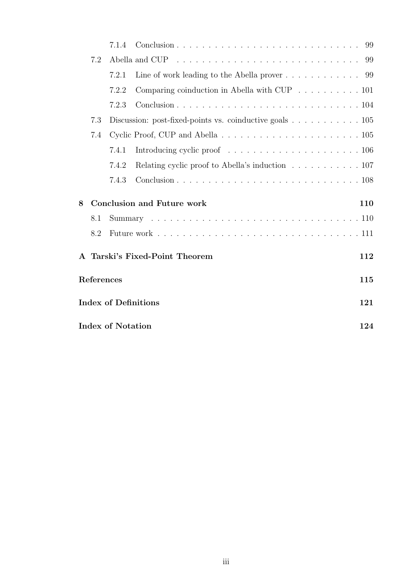|                                                                                                  |     | 7.1.4 |                                                                            | 99  |  |  |  |
|--------------------------------------------------------------------------------------------------|-----|-------|----------------------------------------------------------------------------|-----|--|--|--|
|                                                                                                  | 7.2 |       | 99                                                                         |     |  |  |  |
|                                                                                                  |     | 7.2.1 | Line of work leading to the Abella prover $\dots \dots \dots \dots$ 99     |     |  |  |  |
|                                                                                                  |     | 7.2.2 | Comparing coinduction in Abella with CUP $\ldots \ldots \ldots \ldots 101$ |     |  |  |  |
|                                                                                                  |     | 7.2.3 |                                                                            |     |  |  |  |
| 7.3<br>Discussion: post-fixed-points vs. coinductive goals $\dots \dots \dots \dots \dots \dots$ |     |       |                                                                            |     |  |  |  |
|                                                                                                  | 7.4 |       |                                                                            |     |  |  |  |
|                                                                                                  |     | 7.4.1 |                                                                            |     |  |  |  |
|                                                                                                  |     | 7.4.2 | Relating cyclic proof to Abella's induction 107                            |     |  |  |  |
|                                                                                                  |     | 7.4.3 |                                                                            |     |  |  |  |
| 8                                                                                                |     |       | <b>Conclusion and Future work</b>                                          | 110 |  |  |  |
|                                                                                                  | 8.1 |       |                                                                            |     |  |  |  |
|                                                                                                  | 8.2 |       |                                                                            |     |  |  |  |
|                                                                                                  |     |       | A Tarski's Fixed-Point Theorem                                             | 112 |  |  |  |
| <b>References</b>                                                                                |     |       |                                                                            |     |  |  |  |
| <b>Index of Definitions</b>                                                                      |     |       |                                                                            |     |  |  |  |
| <b>Index of Notation</b><br>124                                                                  |     |       |                                                                            |     |  |  |  |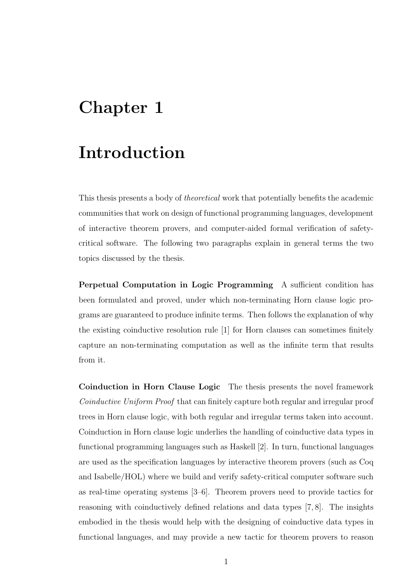### Chapter 1

### Introduction

This thesis presents a body of theoretical work that potentially benefits the academic communities that work on design of functional programming languages, development of interactive theorem provers, and computer-aided formal verification of safetycritical software. The following two paragraphs explain in general terms the two topics discussed by the thesis.

Perpetual Computation in Logic Programming A sufficient condition has been formulated and proved, under which non-terminating Horn clause logic programs are guaranteed to produce infinite terms. Then follows the explanation of why the existing coinductive resolution rule [1] for Horn clauses can sometimes finitely capture an non-terminating computation as well as the infinite term that results from it.

Coinduction in Horn Clause Logic The thesis presents the novel framework Coinductive Uniform Proof that can finitely capture both regular and irregular proof trees in Horn clause logic, with both regular and irregular terms taken into account. Coinduction in Horn clause logic underlies the handling of coinductive data types in functional programming languages such as Haskell [2]. In turn, functional languages are used as the specification languages by interactive theorem provers (such as Coq and Isabelle/HOL) where we build and verify safety-critical computer software such as real-time operating systems [3–6]. Theorem provers need to provide tactics for reasoning with coinductively defined relations and data types [7, 8]. The insights embodied in the thesis would help with the designing of coinductive data types in functional languages, and may provide a new tactic for theorem provers to reason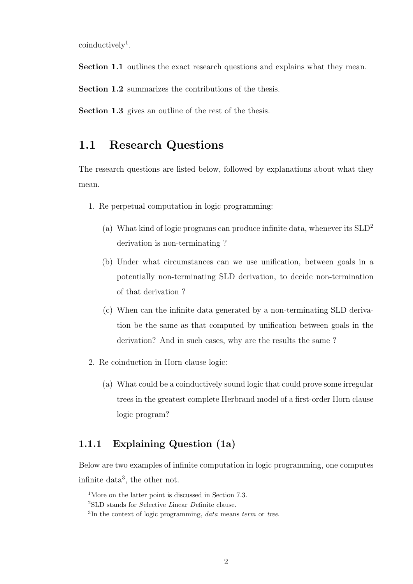coinductively<sup>1</sup>.

Section 1.1 outlines the exact research questions and explains what they mean.

Section 1.2 summarizes the contributions of the thesis.

Section 1.3 gives an outline of the rest of the thesis.

#### 1.1 Research Questions

The research questions are listed below, followed by explanations about what they mean.

- 1. Re perpetual computation in logic programming:
	- (a) What kind of logic programs can produce infinite data, whenever its  $SLD<sup>2</sup>$ derivation is non-terminating ?
	- (b) Under what circumstances can we use unification, between goals in a potentially non-terminating SLD derivation, to decide non-termination of that derivation ?
	- (c) When can the infinite data generated by a non-terminating SLD derivation be the same as that computed by unification between goals in the derivation? And in such cases, why are the results the same ?
- 2. Re coinduction in Horn clause logic:
	- (a) What could be a coinductively sound logic that could prove some irregular trees in the greatest complete Herbrand model of a first-order Horn clause logic program?

#### 1.1.1 Explaining Question (1a)

Below are two examples of infinite computation in logic programming, one computes infinite data<sup>3</sup> , the other not.

<sup>&</sup>lt;sup>1</sup>More on the latter point is discussed in Section 7.3.

<sup>2</sup>SLD stands for Selective Linear Definite clause.

 ${}^{3}$ In the context of logic programming, *data* means term or tree.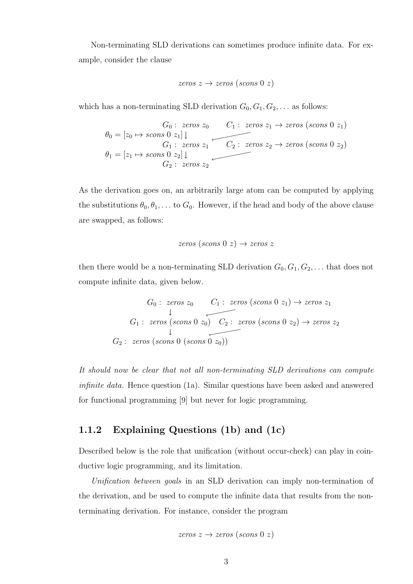Non-terminating SLD derivations can sometimes produce infinite data. For example, consider the clause

$$
zeros\ z \rightarrow zeros\ (scons\ 0\ z)
$$

which has a non-terminating SLD derivation  $G_0, G_1, G_2, \ldots$  as follows:

$$
\theta_0 = [z_0 \mapsto scons \ 0 \ z_1] \downarrow
$$
\n
$$
\theta_1 = [z_1 \mapsto scons \ 0 \ z_1] \downarrow
$$
\n
$$
\theta_1 = [z_1 \mapsto scons \ 0 \ z_2] \downarrow
$$
\n
$$
\theta_2 : zeros \ z_2 \rightarrow zeros \ (scons \ 0 \ z_2)
$$

As the derivation goes on, an arbitrarily large atom can be computed by applying the substitutions  $\theta_0, \theta_1, \ldots$  to  $G_0$ . However, if the head and body of the above clause are swapped, as follows:

$$
zeros (scons 0 z) \rightarrow zeros z
$$

then there would be a non-terminating SLD derivation  $G_0, G_1, G_2, \ldots$  that does not compute infinite data, given below.

$$
G_0: zeros z_0 \qquad C_1: zeros (scons 0 z_1) \rightarrow zeros z_1
$$
  

$$
G_1: zeros (scons 0 z_0) \qquad C_2: zeros (scons 0 z_2) \rightarrow zeros z_2
$$
  

$$
G_2: zeros (scons 0 (scons 0 z_0))
$$

It should now be clear that not all non-terminating SLD derivations can compute infinite data. Hence question (1a). Similar questions have been asked and answered for functional programming [9] but never for logic programming.

#### 1.1.2 Explaining Questions (1b) and (1c)

Described below is the role that unification (without occur-check) can play in coinductive logic programming, and its limitation.

Unification between goals in an SLD derivation can imply non-termination of the derivation, and be used to compute the infinite data that results from the nonterminating derivation. For instance, consider the program

$$
zeros\ z \rightarrow zeros\ (scons\ 0\ z)
$$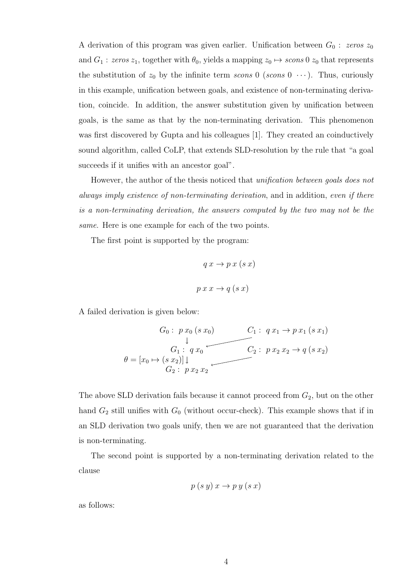A derivation of this program was given earlier. Unification between  $G_0$ : zeros  $z_0$ and  $G_1$ : zeros  $z_1$ , together with  $\theta_0$ , yields a mapping  $z_0 \mapsto s \cos 0 z_0$  that represents the substitution of  $z_0$  by the infinite term scons 0 (scons 0  $\cdots$ ). Thus, curiously in this example, unification between goals, and existence of non-terminating derivation, coincide. In addition, the answer substitution given by unification between goals, is the same as that by the non-terminating derivation. This phenomenon was first discovered by Gupta and his colleagues [1]. They created an coinductively sound algorithm, called CoLP, that extends SLD-resolution by the rule that "a goal succeeds if it unifies with an ancestor goal".

However, the author of the thesis noticed that *unification between goals does not* always imply existence of non-terminating derivation, and in addition, even if there is a non-terminating derivation, the answers computed by the two may not be the same. Here is one example for each of the two points.

The first point is supported by the program:

$$
q x \to p x (s x)
$$

$$
p x x \to q (s x)
$$

A failed derivation is given below:

$$
G_0: p x_0 (s x_0)
$$
  
\n
$$
\downarrow
$$
  
\n
$$
G_1: q x_1 \to p x_1 (s x_1)
$$
  
\n
$$
\downarrow
$$
  
\n
$$
G_1: q x_0
$$
  
\n
$$
C_2: p x_2 x_2 \to q (s x_2)
$$
  
\n
$$
G_2: p x_2 x_2 \to q (s x_2)
$$

The above SLD derivation fails because it cannot proceed from  $G_2$ , but on the other hand  $G_2$  still unifies with  $G_0$  (without occur-check). This example shows that if in an SLD derivation two goals unify, then we are not guaranteed that the derivation is non-terminating.

The second point is supported by a non-terminating derivation related to the clause

$$
p(s y) x \to p y (s x)
$$

as follows: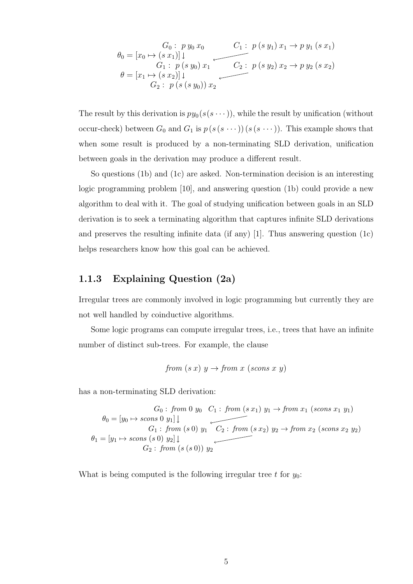$$
\theta_0 = [x_0 \mapsto (s \ x_1)] \downarrow
$$
\n
$$
\theta_1 = [x_0 \mapsto (s \ x_1)] \downarrow
$$
\n
$$
G_1: p(s \ y_0) \ x_1
$$
\n
$$
\theta = [x_1 \mapsto (s \ x_2)] \downarrow
$$
\n
$$
G_2: p(s \ (s \ y_0)) \ x_2
$$
\n
$$
\theta = [x_1 \mapsto (s \ x_2)] \downarrow
$$

The result by this derivation is  $py_0(s(s \cdots))$ , while the result by unification (without occur-check) between  $G_0$  and  $G_1$  is  $p(s(s \cdots))(s(s \cdots))$ . This example shows that when some result is produced by a non-terminating SLD derivation, unification between goals in the derivation may produce a different result.

So questions (1b) and (1c) are asked. Non-termination decision is an interesting logic programming problem [10], and answering question (1b) could provide a new algorithm to deal with it. The goal of studying unification between goals in an SLD derivation is to seek a terminating algorithm that captures infinite SLD derivations and preserves the resulting infinite data (if any) [1]. Thus answering question  $(1c)$ helps researchers know how this goal can be achieved.

#### 1.1.3 Explaining Question (2a)

Irregular trees are commonly involved in logic programming but currently they are not well handled by coinductive algorithms.

Some logic programs can compute irregular trees, i.e., trees that have an infinite number of distinct sub-trees. For example, the clause

from 
$$
(s x) y \rightarrow from x (scons x y)
$$

has a non-terminating SLD derivation:

$$
G_0: from 0 y_0 C_1: from (s x_1) y_1 \rightarrow from x_1 (s cons x_1 y_1)
$$
  
\n
$$
\theta_0 = [y_0 \rightarrow s cons 0 y_1] \downarrow
$$
  
\n
$$
G_1: from (s 0) y_1 C_2: from (s x_2) y_2 \rightarrow from x_2 (s cons x_2 y_2)
$$
  
\n
$$
\theta_1 = [y_1 \rightarrow s cons (s 0) y_2] \downarrow
$$
  
\n
$$
G_2: from (s (s 0)) y_2
$$

What is being computed is the following irregular tree t for  $y_0$ :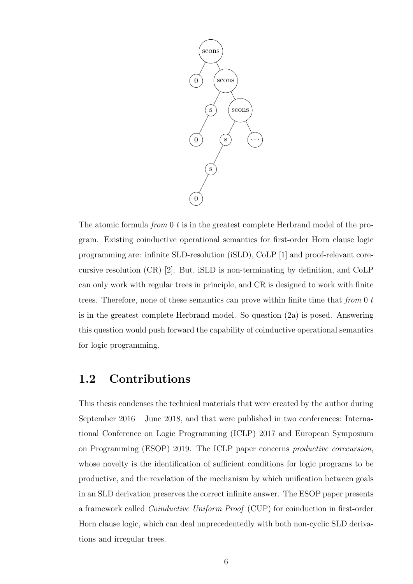

The atomic formula *from* 0 t is in the greatest complete Herbrand model of the program. Existing coinductive operational semantics for first-order Horn clause logic programming are: infinite SLD-resolution (iSLD), CoLP [1] and proof-relevant corecursive resolution (CR) [2]. But, iSLD is non-terminating by definition, and CoLP can only work with regular trees in principle, and CR is designed to work with finite trees. Therefore, none of these semantics can prove within finite time that from  $0 t$ is in the greatest complete Herbrand model. So question (2a) is posed. Answering this question would push forward the capability of coinductive operational semantics for logic programming.

#### 1.2 Contributions

This thesis condenses the technical materials that were created by the author during September 2016 – June 2018, and that were published in two conferences: International Conference on Logic Programming (ICLP) 2017 and European Symposium on Programming (ESOP) 2019. The ICLP paper concerns productive corecursion, whose novelty is the identification of sufficient conditions for logic programs to be productive, and the revelation of the mechanism by which unification between goals in an SLD derivation preserves the correct infinite answer. The ESOP paper presents a framework called Coinductive Uniform Proof (CUP) for coinduction in first-order Horn clause logic, which can deal unprecedentedly with both non-cyclic SLD derivations and irregular trees.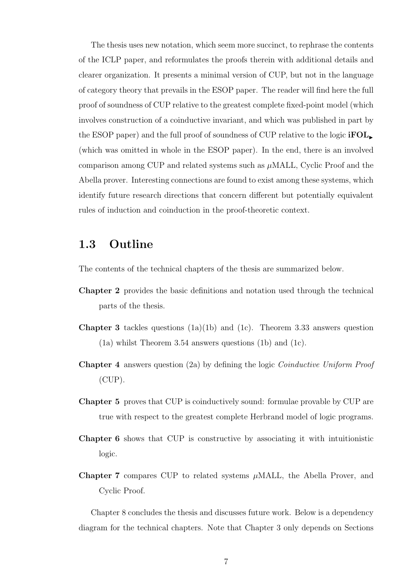The thesis uses new notation, which seem more succinct, to rephrase the contents of the ICLP paper, and reformulates the proofs therein with additional details and clearer organization. It presents a minimal version of CUP, but not in the language of category theory that prevails in the ESOP paper. The reader will find here the full proof of soundness of CUP relative to the greatest complete fixed-point model (which involves construction of a coinductive invariant, and which was published in part by the ESOP paper) and the full proof of soundness of CUP relative to the logic  $\text{FOL}_{\blacktriangleright}$ (which was omitted in whole in the ESOP paper). In the end, there is an involved comparison among CUP and related systems such as  $\mu$ MALL, Cyclic Proof and the Abella prover. Interesting connections are found to exist among these systems, which identify future research directions that concern different but potentially equivalent rules of induction and coinduction in the proof-theoretic context.

#### 1.3 Outline

The contents of the technical chapters of the thesis are summarized below.

- Chapter 2 provides the basic definitions and notation used through the technical parts of the thesis.
- **Chapter 3** tackles questions  $(1a)(1b)$  and  $(1c)$ . Theorem 3.33 answers question (1a) whilst Theorem 3.54 answers questions (1b) and (1c).
- Chapter 4 answers question (2a) by defining the logic Coinductive Uniform Proof (CUP).
- Chapter 5 proves that CUP is coinductively sound: formulae provable by CUP are true with respect to the greatest complete Herbrand model of logic programs.
- Chapter 6 shows that CUP is constructive by associating it with intuitionistic logic.
- Chapter 7 compares CUP to related systems  $\mu$ MALL, the Abella Prover, and Cyclic Proof.

Chapter 8 concludes the thesis and discusses future work. Below is a dependency diagram for the technical chapters. Note that Chapter 3 only depends on Sections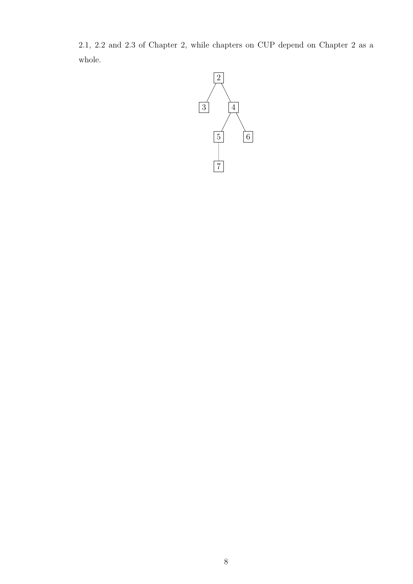2.1, 2.2 and 2.3 of Chapter 2, while chapters on CUP depend on Chapter 2 as a whole.

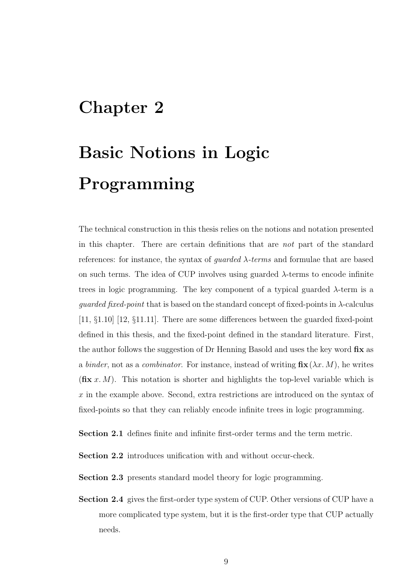### Chapter 2

# Basic Notions in Logic Programming

The technical construction in this thesis relies on the notions and notation presented in this chapter. There are certain definitions that are not part of the standard references: for instance, the syntax of *quarded*  $\lambda$ -terms and formulae that are based on such terms. The idea of CUP involves using guarded  $\lambda$ -terms to encode infinite trees in logic programming. The key component of a typical guarded  $\lambda$ -term is a *guarded fixed-point* that is based on the standard concept of fixed-points in  $\lambda$ -calculus [11, §1.10] [12, §11.11]. There are some differences between the guarded fixed-point defined in this thesis, and the fixed-point defined in the standard literature. First, the author follows the suggestion of Dr Henning Basold and uses the key word fix as a binder, not as a combinator. For instance, instead of writing  $\mathbf{fix}(\lambda x. M)$ , he writes  $(f\mathbf{\hat{x}} x. M)$ . This notation is shorter and highlights the top-level variable which is x in the example above. Second, extra restrictions are introduced on the syntax of fixed-points so that they can reliably encode infinite trees in logic programming.

Section 2.1 defines finite and infinite first-order terms and the term metric.

Section 2.2 introduces unification with and without occur-check.

Section 2.3 presents standard model theory for logic programming.

Section 2.4 gives the first-order type system of CUP. Other versions of CUP have a more complicated type system, but it is the first-order type that CUP actually needs.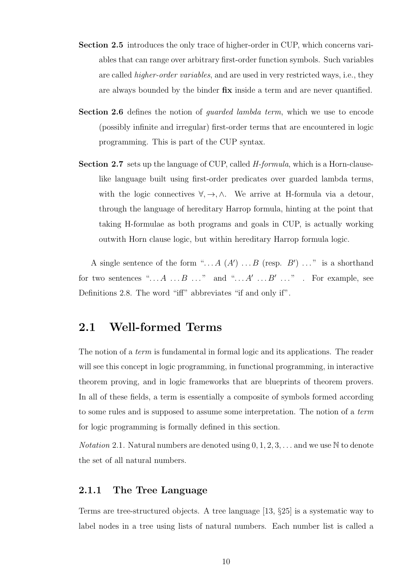- Section 2.5 introduces the only trace of higher-order in CUP, which concerns variables that can range over arbitrary first-order function symbols. Such variables are called *higher-order variables*, and are used in very restricted ways, i.e., they are always bounded by the binder fix inside a term and are never quantified.
- Section 2.6 defines the notion of *quarded lambda term*, which we use to encode (possibly infinite and irregular) first-order terms that are encountered in logic programming. This is part of the CUP syntax.
- Section 2.7 sets up the language of CUP, called *H-formula*, which is a Horn-clauselike language built using first-order predicates over guarded lambda terms, with the logic connectives  $\forall, \rightarrow, \wedge$ . We arrive at H-formula via a detour, through the language of hereditary Harrop formula, hinting at the point that taking H-formulae as both programs and goals in CUP, is actually working outwith Horn clause logic, but within hereditary Harrop formula logic.

A single sentence of the form "...  $A(A')$ ...  $B$  (resp.  $B'$ )..." is a shorthand for two sentences " $\ldots A \ldots B \ldots$ " and " $\ldots A' \ldots B' \ldots$ ". For example, see Definitions 2.8. The word "iff" abbreviates "if and only if".

#### 2.1 Well-formed Terms

The notion of a term is fundamental in formal logic and its applications. The reader will see this concept in logic programming, in functional programming, in interactive theorem proving, and in logic frameworks that are blueprints of theorem provers. In all of these fields, a term is essentially a composite of symbols formed according to some rules and is supposed to assume some interpretation. The notion of a term for logic programming is formally defined in this section.

*Notation* 2.1. Natural numbers are denoted using  $0, 1, 2, 3, \ldots$  and we use N to denote the set of all natural numbers.

#### 2.1.1 The Tree Language

Terms are tree-structured objects. A tree language [13, §25] is a systematic way to label nodes in a tree using lists of natural numbers. Each number list is called a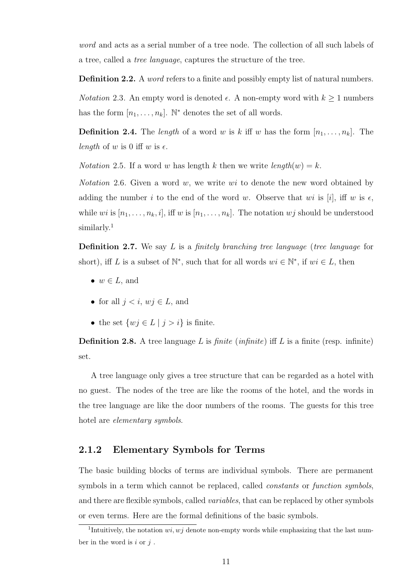word and acts as a serial number of a tree node. The collection of all such labels of a tree, called a tree language, captures the structure of the tree.

**Definition 2.2.** A *word* refers to a finite and possibly empty list of natural numbers.

*Notation* 2.3. An empty word is denoted  $\epsilon$ . A non-empty word with  $k \ge 1$  numbers has the form  $[n_1, \ldots, n_k]$ . N<sup>\*</sup> denotes the set of all words.

**Definition 2.4.** The *length* of a word w is k iff w has the form  $[n_1, \ldots, n_k]$ . The length of w is 0 iff w is  $\epsilon$ .

*Notation* 2.5. If a word w has length k then we write  $length(w) = k$ .

*Notation* 2.6. Given a word w, we write wi to denote the new word obtained by adding the number i to the end of the word w. Observe that wi is [i], iff w is  $\epsilon$ . while wi is  $[n_1, \ldots, n_k, i]$ , iff w is  $[n_1, \ldots, n_k]$ . The notation wj should be understood similarly.<sup>1</sup>

**Definition 2.7.** We say L is a *finitely branching tree language (tree language for* short), iff L is a subset of  $\mathbb{N}^*$ , such that for all words  $wi \in \mathbb{N}^*$ , if  $wi \in L$ , then

- $w \in L$ , and
- for all  $j < i$ ,  $wj \in L$ , and
- the set  $\{wj \in L \mid j > i\}$  is finite.

**Definition 2.8.** A tree language L is *finite* (*infinite*) iff L is a finite (resp. infinite) set.

A tree language only gives a tree structure that can be regarded as a hotel with no guest. The nodes of the tree are like the rooms of the hotel, and the words in the tree language are like the door numbers of the rooms. The guests for this tree hotel are elementary symbols.

#### 2.1.2 Elementary Symbols for Terms

The basic building blocks of terms are individual symbols. There are permanent symbols in a term which cannot be replaced, called *constants* or *function symbols*, and there are flexible symbols, called *variables*, that can be replaced by other symbols or even terms. Here are the formal definitions of the basic symbols.

<sup>&</sup>lt;sup>1</sup>Intuitively, the notation  $wi, wj$  denote non-empty words while emphasizing that the last number in the word is  $i$  or  $j$ .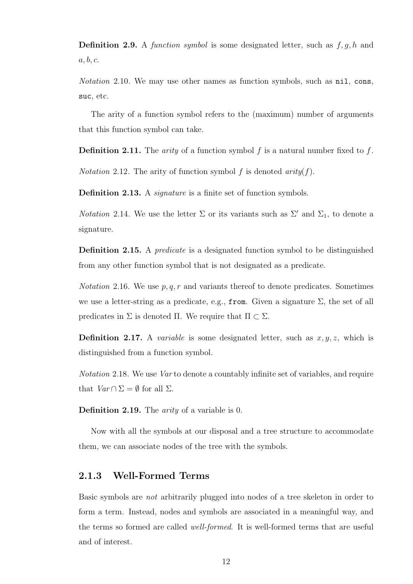**Definition 2.9.** A function symbol is some designated letter, such as  $f, g, h$  and  $a, b, c.$ 

Notation 2.10. We may use other names as function symbols, such as nil, cons, suc, etc.

The arity of a function symbol refers to the (maximum) number of arguments that this function symbol can take.

**Definition 2.11.** The *arity* of a function symbol f is a natural number fixed to f.

*Notation* 2.12. The arity of function symbol f is denoted  $arity(f)$ .

Definition 2.13. A *signature* is a finite set of function symbols.

*Notation* 2.14. We use the letter  $\Sigma$  or its variants such as  $\Sigma'$  and  $\Sigma_1$ , to denote a signature.

Definition 2.15. A *predicate* is a designated function symbol to be distinguished from any other function symbol that is not designated as a predicate.

*Notation* 2.16. We use  $p, q, r$  and variants thereof to denote predicates. Sometimes we use a letter-string as a predicate, e.g., from. Given a signature  $\Sigma$ , the set of all predicates in  $\Sigma$  is denoted Π. We require that  $\Pi \subset \Sigma$ .

**Definition 2.17.** A *variable* is some designated letter, such as  $x, y, z$ , which is distinguished from a function symbol.

Notation 2.18. We use Var to denote a countably infinite set of variables, and require that  $Var \cap \Sigma = \emptyset$  for all  $\Sigma$ .

Definition 2.19. The *arity* of a variable is 0.

Now with all the symbols at our disposal and a tree structure to accommodate them, we can associate nodes of the tree with the symbols.

#### 2.1.3 Well-Formed Terms

Basic symbols are not arbitrarily plugged into nodes of a tree skeleton in order to form a term. Instead, nodes and symbols are associated in a meaningful way, and the terms so formed are called well-formed. It is well-formed terms that are useful and of interest.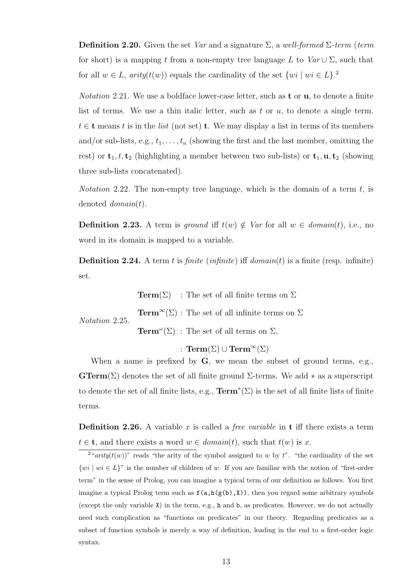**Definition 2.20.** Given the set Var and a signature  $\Sigma$ , a well-formed  $\Sigma$ -term (term for short) is a mapping t from a non-empty tree language L to  $Var \cup \Sigma$ , such that for all  $w \in L$ ,  $arity(t(w))$  equals the cardinality of the set  $\{wi \mid wi \in L\}$ <sup>2</sup>

*Notation* 2.21. We use a boldface lower-case letter, such as **t** or **u**, to denote a finite list of terms. We use a thin italic letter, such as t or  $u$ , to denote a single term.  $t \in \mathbf{t}$  means t is in the list (not set) **t**. We may display a list in terms of its members and/or sub-lists, e.g.,  $t_1, \ldots, t_n$  (showing the first and the last member, omitting the rest) or  $\mathbf{t}_1, t, \mathbf{t}_2$  (highlighting a member between two sub-lists) or  $\mathbf{t}_1, \mathbf{u}, \mathbf{t}_2$  (showing three sub-lists concatenated).

*Notation* 2.22. The non-empty tree language, which is the domain of a term  $t$ , is denoted  $domain(t)$ .

**Definition 2.23.** A term is ground iff  $t(w) \notin Var$  for all  $w \in domain(t)$ , i.e., no word in its domain is mapped to a variable.

**Definition 2.24.** A term t is finite (infinite) iff  $domain(t)$  is a finite (resp. infinite) set.

Notation 2.25. **Term**( $\Sigma$ ) : The set of all finite terms on  $\Sigma$  $\mathbf{Term}^{\infty}(\Sigma)$ : The set of all infinite terms on  $\Sigma$ **Term**<sup> $\omega$ </sup>( $\Sigma$ ) : The set of all terms on  $\Sigma$ ,

: Term $(\Sigma) \cup \mathrm{Term}^{\infty}(\Sigma)$ 

When a name is prefixed by  $G$ , we mean the subset of ground terms, e.g., **GTerm**( $\Sigma$ ) denotes the set of all finite ground  $\Sigma$ -terms. We add  $*$  as a superscript to denote the set of all finite lists, e.g.,  $\textbf{Term}^*(\Sigma)$  is the set of all finite lists of finite terms.

**Definition 2.26.** A variable x is called a *free variable* in **t** iff there exists a term  $t \in \mathbf{t}$ , and there exists a word  $w \in domain(t)$ , such that  $t(w)$  is x.

<sup>&</sup>lt;sup>2</sup>"*arity*( $t(w)$ )" reads "the arity of the symbol assigned to w by t". "the cardinality of the set  $\{wi \mid wi \in L\}$ " is the number of children of w. If you are familiar with the notion of "first-order" term" in the sense of Prolog, you can imagine a typical term of our definition as follows. You first imagine a typical Prolog term such as  $f(a,h(g(b),X))$ , then you regard some arbitrary symbols (except the only variable X) in the term, e.g., h and b, as predicates. However, we do not actually need such complication as "functions on predicates" in our theory. Regarding predicates as a subset of function symbols is merely a way of definition, leading in the end to a first-order logic syntax.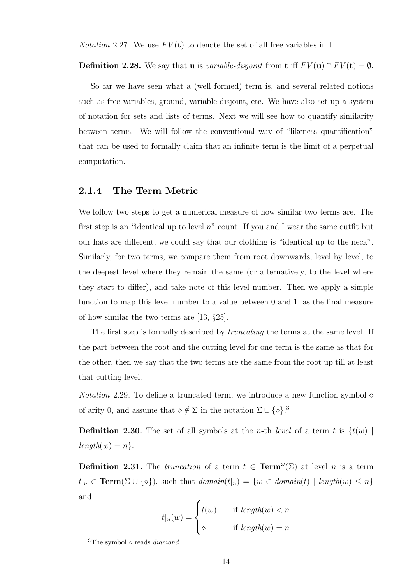*Notation* 2.27. We use  $FV(t)$  to denote the set of all free variables in **t**.

**Definition 2.28.** We say that **u** is *variable-disjoint* from **t** iff  $F V(\mathbf{u}) \cap F V(\mathbf{t}) = \emptyset$ .

So far we have seen what a (well formed) term is, and several related notions such as free variables, ground, variable-disjoint, etc. We have also set up a system of notation for sets and lists of terms. Next we will see how to quantify similarity between terms. We will follow the conventional way of "likeness quantification" that can be used to formally claim that an infinite term is the limit of a perpetual computation.

#### 2.1.4 The Term Metric

We follow two steps to get a numerical measure of how similar two terms are. The first step is an "identical up to level  $n$ " count. If you and I wear the same outfit but our hats are different, we could say that our clothing is "identical up to the neck". Similarly, for two terms, we compare them from root downwards, level by level, to the deepest level where they remain the same (or alternatively, to the level where they start to differ), and take note of this level number. Then we apply a simple function to map this level number to a value between 0 and 1, as the final measure of how similar the two terms are [13, §25].

The first step is formally described by *truncating* the terms at the same level. If the part between the root and the cutting level for one term is the same as that for the other, then we say that the two terms are the same from the root up till at least that cutting level.

*Notation* 2.29. To define a truncated term, we introduce a new function symbol  $\diamond$ of arity 0, and assume that  $\diamond \notin \Sigma$  in the notation  $\Sigma \cup {\diamond}$ .<sup>3</sup>

**Definition 2.30.** The set of all symbols at the *n*-th *level* of a term t is  $\{t(w)$  $length(w) = n$ .

**Definition 2.31.** The *truncation* of a term  $t \in \text{Term}^{\omega}(\Sigma)$  at level *n* is a term  $t|_n \in \textbf{Term}(\Sigma \cup \{\diamond\}),$  such that  $domain(t|_n) = \{w \in domain(t) \mid length(w) \leq n\}$ and

$$
t|_n(w) = \begin{cases} t(w) & \text{if } length(w) < n \\ \diamond & \text{if } length(w) = n \end{cases}
$$

<sup>&</sup>lt;sup>3</sup>The symbol  $\diamond$  reads *diamond*.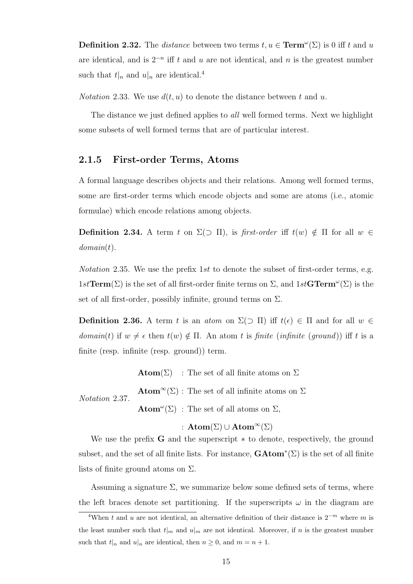**Definition 2.32.** The *distance* between two terms  $t, u \in \text{Term}^{\omega}(\Sigma)$  is 0 iff t and u are identical, and is  $2^{-n}$  iff t and u are not identical, and n is the greatest number such that  $t|_n$  and  $u|_n$  are identical.<sup>4</sup>

*Notation* 2.33. We use  $d(t, u)$  to denote the distance between t and u.

The distance we just defined applies to *all* well formed terms. Next we highlight some subsets of well formed terms that are of particular interest.

#### 2.1.5 First-order Terms, Atoms

A formal language describes objects and their relations. Among well formed terms, some are first-order terms which encode objects and some are atoms (i.e., atomic formulae) which encode relations among objects.

**Definition 2.34.** A term t on  $\Sigma(\supset \Pi)$ , is first-order iff  $t(w) \notin \Pi$  for all  $w \in \Pi$  $domain(t)$ .

*Notation* 2.35. We use the prefix 1st to denote the subset of first-order terms, e.g.  $1st\mathbf{Term}(\Sigma)$  is the set of all first-order finite terms on  $\Sigma$ , and  $1st\mathbf{GTerm}^{\omega}(\Sigma)$  is the set of all first-order, possibly infinite, ground terms on  $\Sigma$ .

**Definition 2.36.** A term t is an atom on  $\Sigma(\supset \Pi)$  iff  $t(\epsilon) \in \Pi$  and for all  $w \in \Pi$ domain(t) if  $w \neq \epsilon$  then  $t(w) \notin \Pi$ . An atom t is finite (infinite (ground)) iff t is a finite (resp. infinite (resp. ground)) term.

 $\mathbf{Atom}(\Sigma)$ : The set of all finite atoms on  $\Sigma$ 

Notation 2.37.  $\mathbf{Atom}^{\infty}(\Sigma)$ : The set of all infinite atoms on  $\Sigma$ **Atom**<sup>"</sup>( $\Sigma$ ) : The set of all atoms on  $\Sigma$ ,

#### :  $\text{Atom}(\Sigma) \cup \text{Atom}^{\infty}(\Sigma)$

We use the prefix  $G$  and the superscript  $*$  to denote, respectively, the ground subset, and the set of all finite lists. For instance,  $\mathbf{GAtom}^*(\Sigma)$  is the set of all finite lists of finite ground atoms on  $\Sigma$ .

Assuming a signature  $\Sigma$ , we summarize below some defined sets of terms, where the left braces denote set partitioning. If the superscripts  $\omega$  in the diagram are

 $\sqrt[4]{4}$ When t and u are not identical, an alternative definition of their distance is  $2^{-m}$  where m is the least number such that  $t|_{m}$  and  $u|_{m}$  are not identical. Moreover, if n is the greatest number such that  $t|_n$  and  $u|_n$  are identical, then  $n \geq 0$ , and  $m = n + 1$ .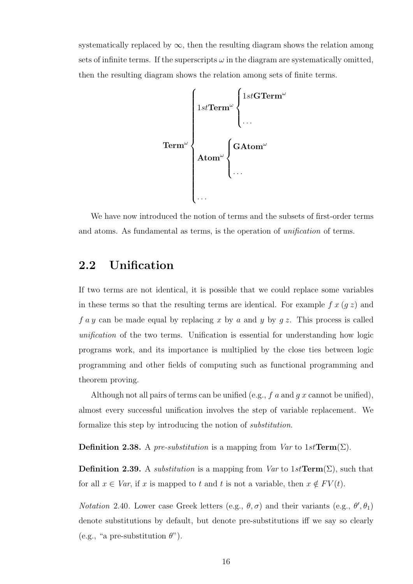systematically replaced by  $\infty$ , then the resulting diagram shows the relation among sets of infinite terms. If the superscripts  $\omega$  in the diagram are systematically omitted, then the resulting diagram shows the relation among sets of finite terms.



We have now introduced the notion of terms and the subsets of first-order terms and atoms. As fundamental as terms, is the operation of unification of terms.

#### 2.2 Unification

If two terms are not identical, it is possible that we could replace some variables in these terms so that the resulting terms are identical. For example  $f(x)$  and  $f \, a \, y$  can be made equal by replacing x by a and y by  $g \, z$ . This process is called unification of the two terms. Unification is essential for understanding how logic programs work, and its importance is multiplied by the close ties between logic programming and other fields of computing such as functional programming and theorem proving.

Although not all pairs of terms can be unified (e.g.,  $f$  a and  $g$  x cannot be unified), almost every successful unification involves the step of variable replacement. We formalize this step by introducing the notion of substitution.

**Definition 2.38.** A pre-substitution is a mapping from Var to  $1stTerm(\Sigma)$ .

**Definition 2.39.** A *substitution* is a mapping from  $Var$  to 1st **Term**( $\Sigma$ ), such that for all  $x \in Var$ , if x is mapped to t and t is not a variable, then  $x \notin FV(t)$ .

*Notation* 2.40. Lower case Greek letters (e.g.,  $\theta$ ,  $\sigma$ ) and their variants (e.g.,  $\theta'$ ,  $\theta_1$ ) denote substitutions by default, but denote pre-substitutions iff we say so clearly (e.g., "a pre-substitution  $\theta$ ").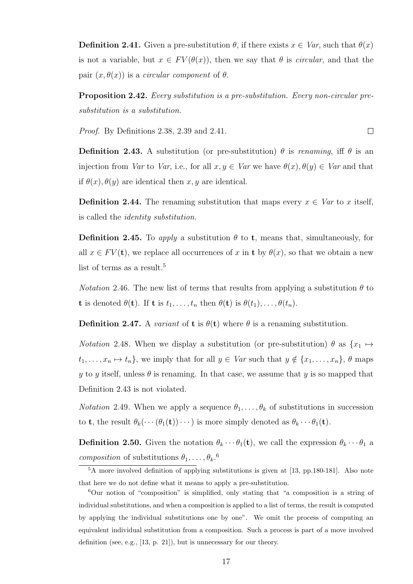**Definition 2.41.** Given a pre-substitution  $\theta$ , if there exists  $x \in Var$ , such that  $\theta(x)$ is not a variable, but  $x \in FV(\theta(x))$ , then we say that  $\theta$  is *circular*, and that the pair  $(x, \theta(x))$  is a *circular component* of  $\theta$ .

Proposition 2.42. Every substitution is a pre-substitution. Every non-circular presubstitution is a substitution.

 $\Box$ 

Proof. By Definitions 2.38, 2.39 and 2.41.

**Definition 2.43.** A substitution (or pre-substitution)  $\theta$  is renaming, iff  $\theta$  is an injection from Var to Var, i.e., for all  $x, y \in Var$  we have  $\theta(x), \theta(y) \in Var$  and that if  $\theta(x)$ ,  $\theta(y)$  are identical then x, y are identical.

**Definition 2.44.** The renaming substitution that maps every  $x \in Var$  to x itself, is called the identity substitution.

**Definition 2.45.** To apply a substitution  $\theta$  to **t**, means that, simultaneously, for all  $x \in FV(\mathbf{t})$ , we replace all occurrences of x in t by  $\theta(x)$ , so that we obtain a new list of terms as a result.<sup>5</sup>

*Notation* 2.46. The new list of terms that results from applying a substitution  $\theta$  to **t** is denoted  $\theta(\mathbf{t})$ . If **t** is  $t_1, \ldots, t_n$  then  $\theta(\mathbf{t})$  is  $\theta(t_1), \ldots, \theta(t_n)$ .

**Definition 2.47.** A variant of **t** is  $\theta(t)$  where  $\theta$  is a renaming substitution.

*Notation* 2.48. When we display a substitution (or pre-substitution)  $\theta$  as  $\{x_1 \mapsto$  $t_1, \ldots, x_n \mapsto t_n$ , we imply that for all  $y \in Var$  such that  $y \notin \{x_1, \ldots, x_n\}, \theta$  maps y to y itself, unless  $\theta$  is renaming. In that case, we assume that y is so mapped that Definition 2.43 is not violated.

*Notation* 2.49. When we apply a sequence  $\theta_1, \ldots, \theta_k$  of substitutions in succession to **t**, the result  $\theta_k(\cdots(\theta_1(\mathbf{t}))\cdots)$  is more simply denoted as  $\theta_k\cdots\theta_1(\mathbf{t})$ .

**Definition 2.50.** Given the notation  $\theta_k \cdots \theta_1(t)$ , we call the expression  $\theta_k \cdots \theta_1$  a *composition* of substitutions  $\theta_1, \ldots, \theta_k$ <sup>6</sup>.

<sup>5</sup>A more involved definition of applying substitutions is given at [13, pp.180-181]. Also note that here we do not define what it means to apply a pre-substitution.

<sup>6</sup>Our notion of "composition" is simplified, only stating that "a composition is a string of individual substitutions, and when a composition is applied to a list of terms, the result is computed by applying the individual substitutions one by one". We omit the process of computing an equivalent individual substitution from a composition. Such a process is part of a move involved definition (see, e.g., [13, p. 21]), but is unnecessary for our theory.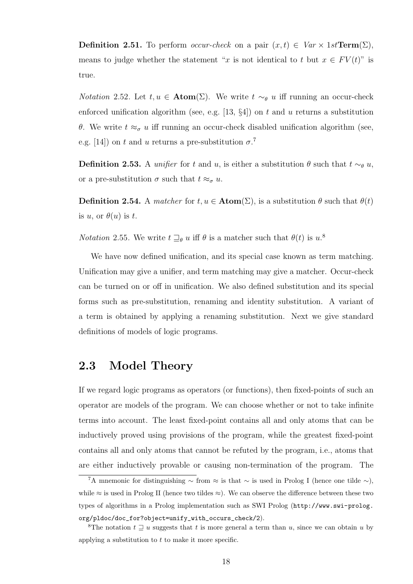**Definition 2.51.** To perform *occur-check* on a pair  $(x, t) \in Var \times 1st\text{Term}(\Sigma)$ , means to judge whether the statement "x is not identical to t but  $x \in FV(t)$ " is true.

*Notation* 2.52. Let  $t, u \in \text{Atom}(\Sigma)$ . We write  $t \sim_{\theta} u$  iff running an occur-check enforced unification algorithm (see, e.g. [13,  $\S4$ ]) on t and u returns a substitution θ. We write  $t ≈ σ$  u iff running an occur-check disabled unification algorithm (see, e.g. [14]) on t and u returns a pre-substitution  $\sigma$ <sup>7</sup>

**Definition 2.53.** A *unifier* for t and u, is either a substitution  $\theta$  such that  $t \sim_{\theta} u$ , or a pre-substitution  $\sigma$  such that  $t \approx_{\sigma} u$ .

**Definition 2.54.** A matcher for  $t, u \in \text{Atom}(\Sigma)$ , is a substitution  $\theta$  such that  $\theta(t)$ is u, or  $\theta(u)$  is t.

*Notation* 2.55. We write  $t \sqsupseteq_{\theta} u$  iff  $\theta$  is a matcher such that  $\theta(t)$  is  $u$ .<sup>8</sup>

We have now defined unification, and its special case known as term matching. Unification may give a unifier, and term matching may give a matcher. Occur-check can be turned on or off in unification. We also defined substitution and its special forms such as pre-substitution, renaming and identity substitution. A variant of a term is obtained by applying a renaming substitution. Next we give standard definitions of models of logic programs.

#### 2.3 Model Theory

If we regard logic programs as operators (or functions), then fixed-points of such an operator are models of the program. We can choose whether or not to take infinite terms into account. The least fixed-point contains all and only atoms that can be inductively proved using provisions of the program, while the greatest fixed-point contains all and only atoms that cannot be refuted by the program, i.e., atoms that are either inductively provable or causing non-termination of the program. The

<sup>&</sup>lt;sup>7</sup>A mnemonic for distinguishing  $\sim$  from  $\approx$  is that  $\sim$  is used in Prolog I (hence one tilde  $\sim$ ), while  $\approx$  is used in Prolog II (hence two tildes  $\approx$ ). We can observe the difference between these two types of algorithms in a Prolog implementation such as SWI Prolog (http://www.swi-prolog. org/pldoc/doc\_for?object=unify\_with\_occurs\_check/2).

<sup>&</sup>lt;sup>8</sup>The notation  $t \supseteq u$  suggests that t is more general a term than u, since we can obtain u by applying a substitution to  $t$  to make it more specific.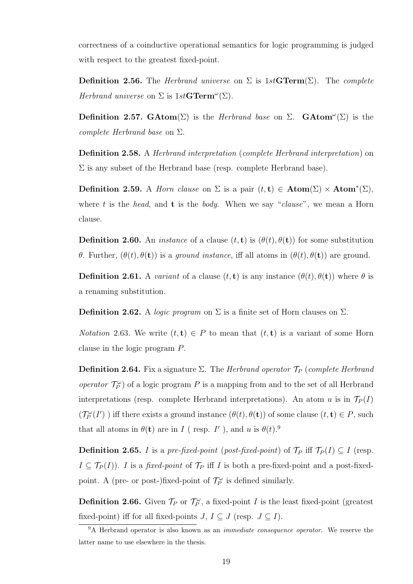correctness of a coinductive operational semantics for logic programming is judged with respect to the greatest fixed-point.

**Definition 2.56.** The *Herbrand universe* on  $\Sigma$  is 1st GTerm( $\Sigma$ ). The *complete* Herbrand universe on  $\Sigma$  is  $1stGTerm^{\omega}(\Sigma)$ .

Definition 2.57. GAtom( $\Sigma$ ) is the *Herbrand base* on  $\Sigma$ . GAtom<sup>"</sup>( $\Sigma$ ) is the complete Herbrand base on  $\Sigma$ .

**Definition 2.58.** A *Herbrand interpretation (complete Herbrand interpretation)* on  $\Sigma$  is any subset of the Herbrand base (resp. complete Herbrand base).

Definition 2.59. A *Horn clause* on  $\Sigma$  is a pair  $(t, t) \in$  **Atom** $(\Sigma) \times$  **Atom** $^*(\Sigma)$ , where t is the head, and **t** is the body. When we say "clause", we mean a Horn clause.

**Definition 2.60.** An *instance* of a clause  $(t, t)$  is  $(\theta(t), \theta(t))$  for some substitution θ. Further,  $(θ(t), θ(t))$  is a *ground instance*, iff all atoms in  $(θ(t), θ(t))$  are ground.

**Definition 2.61.** A variant of a clause  $(t, t)$  is any instance  $(\theta(t), \theta(t))$  where  $\theta$  is a renaming substitution.

**Definition 2.62.** A logic program on  $\Sigma$  is a finite set of Horn clauses on  $\Sigma$ .

*Notation* 2.63. We write  $(t, t) \in P$  to mean that  $(t, t)$  is a variant of some Horn clause in the logic program P.

**Definition 2.64.** Fix a signature  $\Sigma$ . The *Herbrand operator*  $\mathcal{T}_P$  (complete *Herbrand* operator  $\mathcal{T}_P^{\omega}$  of a logic program P is a mapping from and to the set of all Herbrand interpretations (resp. complete Herbrand interpretations). An atom u is in  $\mathcal{T}_P(I)$  $(\mathcal{T}_P^{\omega}(I'))$  iff there exists a ground instance  $(\theta(t), \theta(t))$  of some clause  $(t, t) \in P$ , such that all atoms in  $\theta(\mathbf{t})$  are in I (resp. I'), and u is  $\theta(t)$ .<sup>9</sup>

**Definition 2.65.** I is a pre-fixed-point (post-fixed-point) of  $\mathcal{T}_P$  iff  $\mathcal{T}_P(I) \subseteq I$  (resp.  $I \subseteq \mathcal{T}_P(I)$ . I is a fixed-point of  $\mathcal{T}_P$  iff I is both a pre-fixed-point and a post-fixedpoint. A (pre- or post-)fixed-point of  $\mathcal{T}_P^{\omega}$  is defined similarly.

**Definition 2.66.** Given  $\mathcal{T}_P$  or  $\mathcal{T}_P^{\omega}$ , a fixed-point I is the least fixed-point (greatest fixed-point) iff for all fixed-points  $J, I \subseteq J$  (resp.  $J \subseteq I$ ).

<sup>&</sup>lt;sup>9</sup>A Herbrand operator is also known as an *immediate consequence operator*. We reserve the latter name to use elsewhere in the thesis.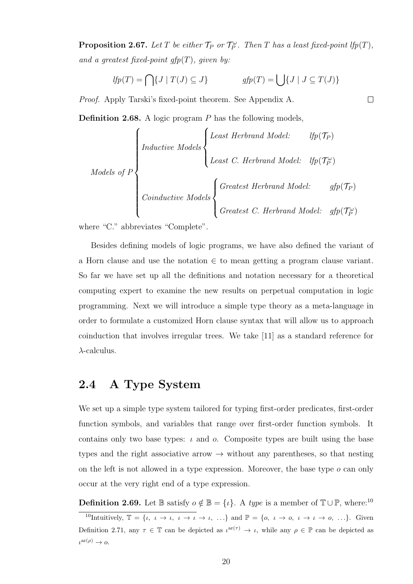**Proposition 2.67.** Let T be either  $\mathcal{T}_P$  or  $\mathcal{T}_P^{\omega}$ . Then T has a least fixed-point lfp(T), and a greatest fixed-point  $gfp(T)$ , given by:

$$
lfp(T) = \bigcap \{ J \mid T(J) \subseteq J \} \qquad gfp(T) = \bigcup \{ J \mid J \subseteq T(J) \}
$$

Proof. Apply Tarski's fixed-point theorem. See Appendix A.

**Definition 2.68.** A logic program  $P$  has the following models,

Models of P

\nConductive Models

\n
$$
\left\{\n\begin{aligned}\n\text{Least Herbrand Model:} & \text{Ifp}(\mathcal{T}_P) \\
\text{Least C. Herbrand Model:} & \text{Ifp}(\mathcal{T}_P^{\omega}) \\
\text{Conductive Models} \\
\text{Greatest Herbrand Model:} & \text{gfp}(\mathcal{T}_P) \\
\text{Greatest C. Herbrand Model:} & \text{gfp}(\mathcal{T}_P^{\omega})\n\end{aligned}\n\right.
$$

where "C." abbreviates "Complete".

Besides defining models of logic programs, we have also defined the variant of a Horn clause and use the notation  $\in$  to mean getting a program clause variant. So far we have set up all the definitions and notation necessary for a theoretical computing expert to examine the new results on perpetual computation in logic programming. Next we will introduce a simple type theory as a meta-language in order to formulate a customized Horn clause syntax that will allow us to approach coinduction that involves irregular trees. We take [11] as a standard reference for  $\lambda$ -calculus.

#### 2.4 A Type System

We set up a simple type system tailored for typing first-order predicates, first-order function symbols, and variables that range over first-order function symbols. It contains only two base types:  $\iota$  and  $\iota$ . Composite types are built using the base types and the right associative arrow  $\rightarrow$  without any parentheses, so that nesting on the left is not allowed in a type expression. Moreover, the base type  $\sigma$  can only occur at the very right end of a type expression.

**Definition 2.69.** Let  $\mathbb{B}$  satisfy  $o \notin \mathbb{B} = \{i\}$ . A type is a member of  $\mathbb{T} \cup \mathbb{P}$ , where:<sup>10</sup> <sup>10</sup>Intuitively,  $\mathbb{T} = \{i, i \to i, i \to i \to i, ... \}$  and  $\mathbb{P} = \{o, i \to o, i \to i \to o, ... \}$ . Given Definition 2.71, any  $\tau \in \mathbb{T}$  can be depicted as  $\iota^{ar(\tau)} \to \iota$ , while any  $\rho \in \mathbb{P}$  can be depicted as  $\iota^{\operatorname{ar}(\rho)} \to o.$ 

 $\Box$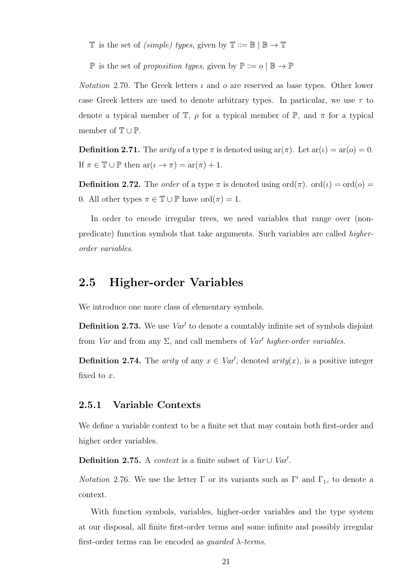- T is the set of *(simple)* types, given by  $\mathbb{T} ::= \mathbb{B} | \mathbb{B} \to \mathbb{T}$
- P is the set of proposition types, given by  $\mathbb{P} ::= o | \mathbb{B} \to \mathbb{P}$

*Notation* 2.70. The Greek letters  $\iota$  and  $\omicron$  are reserved as base types. Other lower case Greek letters are used to denote arbitrary types. In particular, we use  $\tau$  to denote a typical member of  $\mathbb{T}$ ,  $\rho$  for a typical member of  $\mathbb{P}$ , and  $\pi$  for a typical member of  $\mathbb{T} \cup \mathbb{P}$ .

**Definition 2.71.** The *arity* of a type  $\pi$  is denoted using ar $(\pi)$ . Let  $ar(\iota) = ar(\iota) = 0$ . If  $\pi \in \mathbb{T} \cup \mathbb{P}$  then  $ar(\iota \to \pi) = ar(\pi) + 1$ .

**Definition 2.72.** The *order* of a type  $\pi$  is denoted using  $\text{ord}(\pi)$ .  $\text{ord}(\iota) = \text{ord}(o)$ 0. All other types  $\pi \in \mathbb{T} \cup \mathbb{P}$  have  $\text{ord}(\pi) = 1$ .

In order to encode irregular trees, we need variables that range over (nonpredicate) function symbols that take arguments. Such variables are called higherorder variables.

#### 2.5 Higher-order Variables

We introduce one more class of elementary symbols.

**Definition 2.73.** We use  $Var<sup>t</sup>$  to denote a countably infinite set of symbols disjoint from Var and from any  $\Sigma$ , and call members of Var' higher-order variables.

**Definition 2.74.** The *arity* of any  $x \in Var'$ , denoted *arity*(*x*), is a positive integer fixed to x.

#### 2.5.1 Variable Contexts

We define a variable context to be a finite set that may contain both first-order and higher order variables.

Definition 2.75. A context is a finite subset of  $Var \cup Var'$ .

*Notation* 2.76. We use the letter  $\Gamma$  or its variants such as  $\Gamma'$  and  $\Gamma_1$ , to denote a context.

With function symbols, variables, higher-order variables and the type system at our disposal, all finite first-order terms and some infinite and possibly irregular first-order terms can be encoded as *quarded*  $\lambda$ -terms.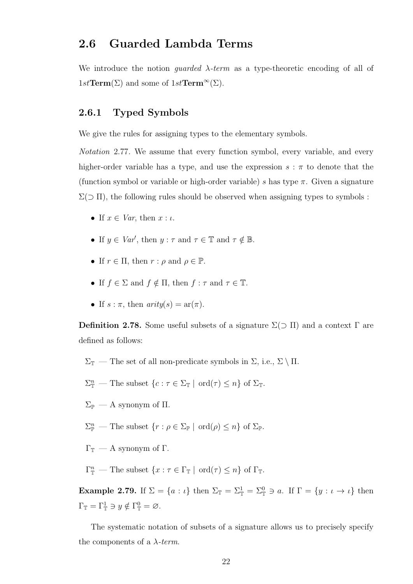#### 2.6 Guarded Lambda Terms

We introduce the notion *guarded*  $\lambda$ -term as a type-theoretic encoding of all of  $1st\mathbf{Term}(\Sigma)$  and some of  $1st\mathbf{Term}^{\infty}(\Sigma)$ .

#### 2.6.1 Typed Symbols

We give the rules for assigning types to the elementary symbols.

Notation 2.77. We assume that every function symbol, every variable, and every higher-order variable has a type, and use the expression  $s : \pi$  to denote that the (function symbol or variable or high-order variable) s has type  $\pi$ . Given a signature  $\Sigma(\supset \Pi)$ , the following rules should be observed when assigning types to symbols :

- If  $x \in Var$ , then  $x : \iota$ .
- If  $y \in Var'$ , then  $y : \tau$  and  $\tau \in \mathbb{T}$  and  $\tau \notin \mathbb{B}$ .
- If  $r \in \Pi$ , then  $r : \rho$  and  $\rho \in \mathbb{P}$ .
- If  $f \in \Sigma$  and  $f \notin \Pi$ , then  $f : \tau$  and  $\tau \in \mathbb{T}$ .
- If  $s : \pi$ , then  $arity(s) = ar(\pi)$ .

Definition 2.78. Some useful subsets of a signature  $\Sigma(\supset \Pi)$  and a context  $\Gamma$  are defined as follows:

- $\Sigma_{\mathbb{T}}$  The set of all non-predicate symbols in  $\Sigma$ , i.e.,  $\Sigma \setminus \Pi$ .
- $\Sigma_{\mathbb{T}}^n$  The subset  $\{c : \tau \in \Sigma_{\mathbb{T}} \mid \text{ord}(\tau) \leq n\}$  of  $\Sigma_{\mathbb{T}}$ .
- $\Sigma_{\mathbb{P}}$  A synonym of  $\Pi.$
- $\Sigma_{\mathbb{P}}^n$  The subset  $\{r : \rho \in \Sigma_{\mathbb{P}} \mid \text{ord}(\rho) \leq n\}$  of  $\Sigma_{\mathbb{P}}$ .
- $Γ_$  A synonym of Γ.
- $\Gamma_{\mathbb{T}}^n$  The subset  $\{x : \tau \in \Gamma_{\mathbb{T}} \mid \text{ord}(\tau) \leq n\}$  of  $\Gamma_{\mathbb{T}}$ .

Example 2.79. If  $\Sigma = \{a : \iota\}$  then  $\Sigma_{\mathbb{T}} = \Sigma_{\mathbb{T}}^1 = \Sigma_{\mathbb{T}}^0 \ni a$ . If  $\Gamma = \{y : \iota \to \iota\}$  then  $\Gamma_{\mathbb{T}} = \Gamma_{\mathbb{T}}^1 \ni y \notin \Gamma_{\mathbb{T}}^0 = \varnothing.$ 

The systematic notation of subsets of a signature allows us to precisely specify the components of a  $\lambda$ -term.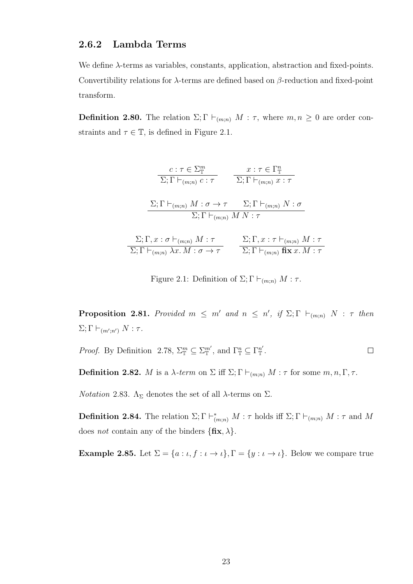#### 2.6.2 Lambda Terms

We define λ-terms as variables, constants, application, abstraction and fixed-points. Convertibility relations for  $\lambda$ -terms are defined based on  $\beta$ -reduction and fixed-point transform.

**Definition 2.80.** The relation  $\Sigma$ ;  $\Gamma \vdash_{(m:n)} M : \tau$ , where  $m, n \geq 0$  are order constraints and  $\tau \in \mathbb{T}$ , is defined in Figure 2.1.

$$
\frac{c:\tau \in \Sigma_{\mathbb{T}}^m}{\Sigma; \Gamma \vdash_{(m;n)} c:\tau} \qquad \frac{x:\tau \in \Gamma_{\mathbb{T}}^n}{\Sigma; \Gamma \vdash_{(m;n)} x:\tau}
$$
\n
$$
\frac{\Sigma; \Gamma \vdash_{(m;n)} M:\sigma \to \tau \quad \Sigma; \Gamma \vdash_{(m;n)} N:\sigma}{\Sigma; \Gamma \vdash_{(m;n)} M N:\tau}
$$
\n
$$
\frac{\Sigma; \Gamma, x:\sigma \vdash_{(m;n)} M:\tau}{\Sigma; \Gamma \vdash_{(m;n)} \lambda x. M:\sigma \to \tau} \qquad \frac{\Sigma; \Gamma, x:\tau \vdash_{(m;n)} M:\tau}{\Sigma; \Gamma \vdash_{(m;n)} \text{fix } x. M:\tau}
$$

Figure 2.1: Definition of  $\Sigma; \Gamma \vdash_{(m;n)} M : \tau$ .

**Proposition 2.81.** Provided  $m \leq m'$  and  $n \leq n'$ , if  $\Sigma$ ;  $\Gamma \vdash_{(m;n)} N : \tau$  then  $\Sigma; \Gamma \vdash_{(m';n')} N : \tau.$ 

*Proof.* By Definition 2.78,  $\Sigma^m_{\mathbb{T}} \subseteq \Sigma^{m'}_{\mathbb{T}}$ , and  $\Gamma^n_{\mathbb{T}} \subseteq \Gamma^{n'}_{\mathbb{T}}$ .  $\Box$ 

**Definition 2.82.** M is a  $\lambda$ -term on  $\Sigma$  iff  $\Sigma$ ;  $\Gamma \vdash_{(m;n)} M : \tau$  for some  $m, n, \Gamma, \tau$ .

*Notation* 2.83.  $\Lambda_{\Sigma}$  denotes the set of all  $\lambda$ -terms on  $\Sigma$ .

**Definition 2.84.** The relation  $\Sigma; \Gamma \vdash^*_{(m;n)} M : \tau$  holds iff  $\Sigma; \Gamma \vdash_{(m;n)} M : \tau$  and M does *not* contain any of the binders  $\{\mathbf{fix}, \lambda\}.$ 

**Example 2.85.** Let  $\Sigma = \{a : \iota, f : \iota \to \iota\}$ ,  $\Gamma = \{y : \iota \to \iota\}$ . Below we compare true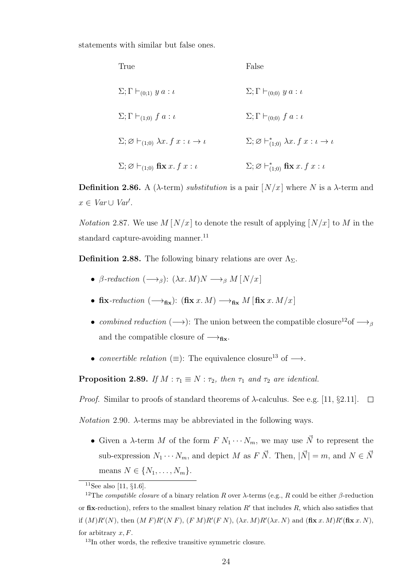statements with similar but false ones.

| True                                                                   | False                                                                    |
|------------------------------------------------------------------------|--------------------------------------------------------------------------|
| $\Sigma; \Gamma \vdash_{(0,1)} y a : \iota$                            | $\Sigma; \Gamma \vdash_{(0,0)} y a : \iota$                              |
| $\Sigma; \Gamma \vdash_{(1,0)} f a : \iota$                            | $\Sigma; \Gamma \vdash_{(0,0)} f a : \iota$                              |
| $\Sigma; \varnothing \vdash_{(1:0)} \lambda x. f x : \iota \to \iota$  | $\Sigma; \varnothing \vdash_{(1:0)}^* \lambda x. f x : \iota \to \iota$  |
| $\Sigma; \varnothing \vdash_{(1,0)} \operatorname{fix} x. f x : \iota$ | $\Sigma; \varnothing \vdash^*_{(1;0)} \operatorname{fix} x. f x : \iota$ |

**Definition 2.86.** A ( $\lambda$ -term) *substitution* is a pair  $[N/x]$  where N is a  $\lambda$ -term and  $x \in Var \cup Var'.$ 

*Notation* 2.87. We use  $M[N/x]$  to denote the result of applying  $[N/x]$  to M in the standard capture-avoiding manner. $^{11}$ 

**Definition 2.88.** The following binary relations are over  $\Lambda_{\Sigma}$ .

- β-reduction  $(\longrightarrow_{\beta})$ :  $(\lambda x. M)N \longrightarrow_{\beta} M[N/x]$
- fix-reduction  $(\rightarrow_{\text{fix}}):$  (fix x. M)  $\rightarrow_{\text{fix}} M$  [fix x. M/x]
- combined reduction  $(\longrightarrow)$ : The union between the compatible closure<sup>12</sup>of  $\longrightarrow$ <sub>β</sub> and the compatible closure of  $\longrightarrow_{\text{fix}}$ .
- convertible relation ( $\equiv$ ): The equivalence closure<sup>13</sup> of  $\rightarrow$ .

**Proposition 2.89.** If  $M : \tau_1 \equiv N : \tau_2$ , then  $\tau_1$  and  $\tau_2$  are identical.

*Proof.* Similar to proofs of standard theorems of  $\lambda$ -calculus. See e.g. [11, §2.11].  $\Box$ 

*Notation* 2.90.  $\lambda$ -terms may be abbreviated in the following ways.

• Given a  $\lambda$ -term M of the form  $F N_1 \cdots N_m$ , we may use  $\vec{N}$  to represent the sub-expression  $N_1 \cdots N_m$ , and depict M as F  $\vec{N}$ . Then,  $|\vec{N}| = m$ , and  $N \in \vec{N}$ means  $N \in \{N_1, \ldots, N_m\}.$ 

 $11$ See also [11, §1.6].

<sup>&</sup>lt;sup>12</sup>The *compatible closure* of a binary relation R over  $\lambda$ -terms (e.g., R could be either  $\beta$ -reduction or fix-reduction), refers to the smallest binary relation  $R'$  that includes  $R$ , which also satisfies that if  $(M)R'(N)$ , then  $(M F)R'(N F)$ ,  $(F M)R'(F N)$ ,  $(\lambda x. M)R'(\lambda x. N)$  and  $(\textbf{fix } x. M)R'(\textbf{fix } x. N)$ , for arbitrary  $x, F$ .

<sup>&</sup>lt;sup>13</sup>In other words, the reflexive transitive symmetric closure.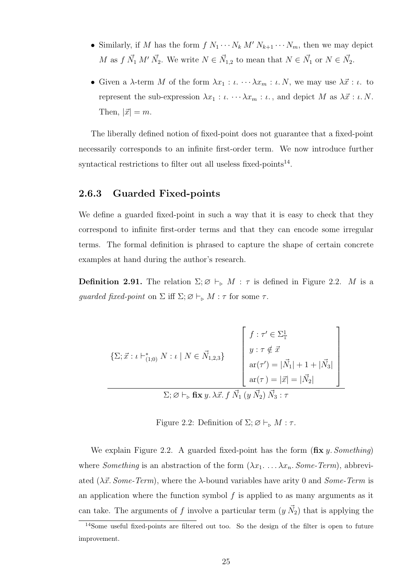- Similarly, if M has the form  $f N_1 \cdots N_k M' N_{k+1} \cdots N_m$ , then we may depict M as  $f \, \vec{N_1} \, M' \, \vec{N_2}$ . We write  $N \in \vec{N}_{1,2}$  to mean that  $N \in \vec{N_1}$  or  $N \in \vec{N_2}$ .
- Given a  $\lambda$ -term M of the form  $\lambda x_1 : \iota \cdots \lambda x_m : \iota N$ , we may use  $\lambda \vec{x} : \iota$ . to represent the sub-expression  $\lambda x_1 : \iota \cdots \lambda x_m : \iota$ , and depict M as  $\lambda \vec{x} : \iota \cdot N$ . Then,  $|\vec{x}| = m$ .

The liberally defined notion of fixed-point does not guarantee that a fixed-point necessarily corresponds to an infinite first-order term. We now introduce further syntactical restrictions to filter out all useless fixed-points<sup>14</sup>.

#### 2.6.3 Guarded Fixed-points

We define a guarded fixed-point in such a way that it is easy to check that they correspond to infinite first-order terms and that they can encode some irregular terms. The formal definition is phrased to capture the shape of certain concrete examples at hand during the author's research.

**Definition 2.91.** The relation  $\Sigma; \emptyset \vdash_{\triangleright} M : \tau$  is defined in Figure 2.2. M is a guarded fixed-point on  $\Sigma$  iff  $\Sigma; \varnothing \vdash_{\triangleright} M : \tau$  for some  $\tau$ .

$$
\left\{\Sigma; \vec{x}: \iota \vdash_{(1;0)}^* N: \iota \mid N \in \vec{N}_{1,2,3}\right\}\n\left[\n\begin{array}{c}\nf: \tau' \in \Sigma^1_{\mathbb{T}} \\
y: \tau \notin \vec{x} \\
\text{ar}(\tau') = |\vec{N}_1| + 1 + |\vec{N}_3| \\
\text{ar}(\tau) = |\vec{x}| = |\vec{N}_2|\n\end{array}\n\right]
$$
\n
$$
\Sigma; \varnothing \vdash_{\triangleright} \mathbf{fix} \ y. \ \lambda \vec{x}. \ f \ \vec{N}_1 \ (y \ \vec{N}_2) \ \vec{N}_3 : \tau
$$

Figure 2.2: Definition of  $\Sigma; \varnothing \vdash_{\triangleright} M : \tau$ .

We explain Figure 2.2. A guarded fixed-point has the form  $(fix y.$  Something) where *Something* is an abstraction of the form  $(\lambda x_1, \ldots, \lambda x_n, Some-Term)$ , abbreviated ( $\lambda \vec{x}$ . Some-Term), where the  $\lambda$ -bound variables have arity 0 and Some-Term is an application where the function symbol  $f$  is applied to as many arguments as it can take. The arguments of f involve a particular term  $(y \vec{N}_2)$  that is applying the

 $14$ Some useful fixed-points are filtered out too. So the design of the filter is open to future improvement.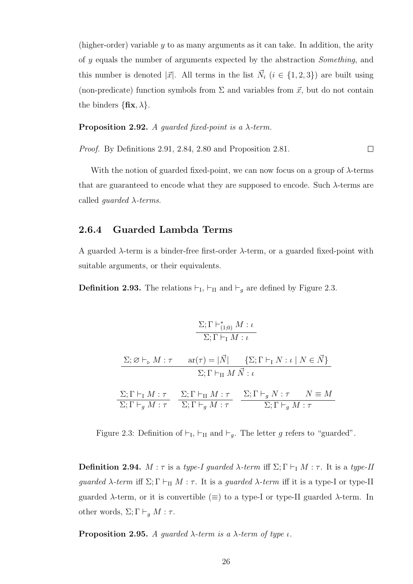(higher-order) variable y to as many arguments as it can take. In addition, the arity of y equals the number of arguments expected by the abstraction Something, and this number is denoted  $|\vec{x}|$ . All terms in the list  $\vec{N}_i$   $(i \in \{1, 2, 3\})$  are built using (non-predicate) function symbols from  $\Sigma$  and variables from  $\vec{x}$ , but do not contain the binders  $\{\mathbf{fix}, \lambda\}.$ 

**Proposition 2.92.** A quarded fixed-point is a  $\lambda$ -term.

Proof. By Definitions 2.91, 2.84, 2.80 and Proposition 2.81.  $\Box$ 

With the notion of guarded fixed-point, we can now focus on a group of  $\lambda$ -terms that are guaranteed to encode what they are supposed to encode. Such  $\lambda$ -terms are called *guarded*  $\lambda$ -terms.

#### 2.6.4 Guarded Lambda Terms

A guarded  $\lambda$ -term is a binder-free first-order  $\lambda$ -term, or a guarded fixed-point with suitable arguments, or their equivalents.

**Definition 2.93.** The relations  $\vdash_{\mathrm{I}}, \vdash_{\mathrm{II}}$  and  $\vdash_g$  are defined by Figure 2.3.

$$
\frac{\Sigma; \Gamma \vdash_{(1;0)}^{*} M : \iota}{\Sigma; \Gamma \vdash_{\mathbf{I}} M : \iota}
$$
\n
$$
\frac{\Sigma; \varnothing \vdash_{\triangleright} M : \tau \quad \text{ar}(\tau) = |\vec{N}| \quad \{\Sigma; \Gamma \vdash_{\mathbf{I}} N : \iota \mid N \in \vec{N}\}}{\Sigma; \Gamma \vdash_{\mathbf{II}} M \vec{N} : \iota}
$$
\n
$$
\frac{\Sigma; \Gamma \vdash_{\mathbf{I}} M : \tau}{\Sigma; \Gamma \vdash_{g} M : \tau} \quad \frac{\Sigma; \Gamma \vdash_{\mathbf{II}} M : \tau}{\Sigma; \Gamma \vdash_{g} M : \tau} \quad \frac{\Sigma; \Gamma \vdash_{g} N : \tau \quad N \equiv M}{\Sigma; \Gamma \vdash_{g} M : \tau}
$$

Figure 2.3: Definition of  $\vdash_{\mathrm{I}}, \vdash_{\mathrm{II}}$  and  $\vdash_g$ . The letter g refers to "guarded".

**Definition 2.94.**  $M : \tau$  is a type-I guarded  $\lambda$ -term iff  $\Sigma$ ;  $\Gamma \vdash_{\mathrm{I}} M : \tau$ . It is a type-II guarded  $\lambda$ -term iff  $\Sigma$ ;  $\Gamma \vdash_{\Pi} M : \tau$ . It is a guarded  $\lambda$ -term iff it is a type-I or type-II guarded  $\lambda$ -term, or it is convertible ( $\equiv$ ) to a type-I or type-II guarded  $\lambda$ -term. In other words,  $\Sigma; \Gamma \vdash_{g} M : \tau$ .

**Proposition 2.95.** A guarded  $\lambda$ -term is a  $\lambda$ -term of type  $\iota$ .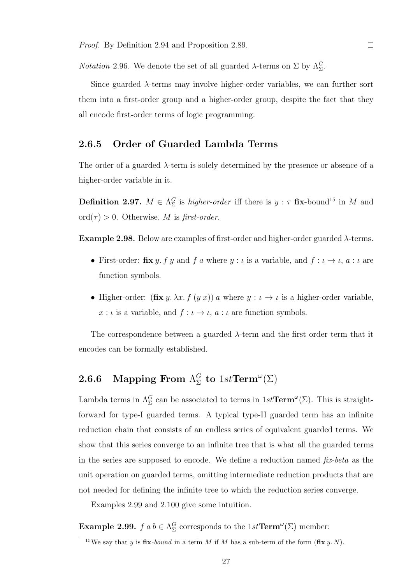*Notation* 2.96. We denote the set of all guarded  $\lambda$ -terms on  $\Sigma$  by  $\Lambda_{\Sigma}^G$ .

Since guarded  $\lambda$ -terms may involve higher-order variables, we can further sort them into a first-order group and a higher-order group, despite the fact that they all encode first-order terms of logic programming.

#### 2.6.5 Order of Guarded Lambda Terms

The order of a guarded  $\lambda$ -term is solely determined by the presence or absence of a higher-order variable in it.

**Definition 2.97.**  $M \in \Lambda_{\Sigma}^G$  is *higher-order* iff there is  $y : \tau$  fix-bound<sup>15</sup> in M and ord $(\tau) > 0$ . Otherwise, M is first-order.

**Example 2.98.** Below are examples of first-order and higher-order guarded  $\lambda$ -terms.

- First-order:  $\mathbf{fix}\,y$ ,  $f\,y$  and  $f\,a$  where  $y : \iota$  is a variable, and  $f : \iota \to \iota$ ,  $a : \iota$  are function symbols.
- Higher-order:  $(fix y. \lambda x. f (y x)) a$  where  $y : \iota \to \iota$  is a higher-order variable,  $x : \iota$  is a variable, and  $f : \iota \to \iota$ ,  $a : \iota$  are function symbols.

The correspondence between a guarded  $\lambda$ -term and the first order term that it encodes can be formally established.

#### **2.6.6** Mapping From  $\Lambda_{\Sigma}^G$  $_{\Sigma}^{G}$  to  $1st\mathbf{Term}^{\omega}(\Sigma)$

Lambda terms in  $\Lambda_{\Sigma}^G$  can be associated to terms in  $1st\mathbf{Term}^{\omega}(\Sigma)$ . This is straightforward for type-I guarded terms. A typical type-II guarded term has an infinite reduction chain that consists of an endless series of equivalent guarded terms. We show that this series converge to an infinite tree that is what all the guarded terms in the series are supposed to encode. We define a reduction named  $fix$ -beta as the unit operation on guarded terms, omitting intermediate reduction products that are not needed for defining the infinite tree to which the reduction series converge.

Examples 2.99 and 2.100 give some intuition.

**Example 2.99.**  $f \circ b \in \Lambda_{\Sigma}^G$  corresponds to the  $1st\mathbf{Term}^{\omega}(\Sigma)$  member:

<sup>&</sup>lt;sup>15</sup>We say that y is fix-bound in a term M if M has a sub-term of the form  $(fix y. N)$ .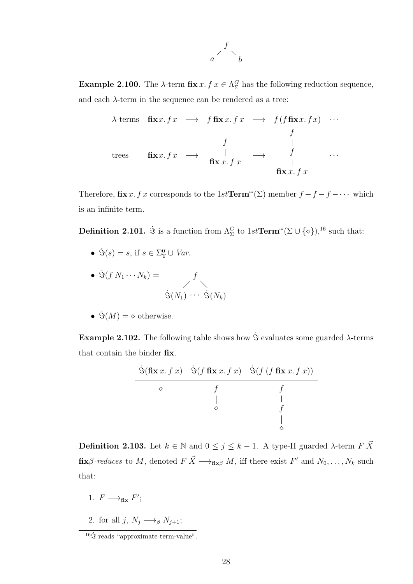

**Example 2.100.** The  $\lambda$ -term  $\mathbf{fix } x. f x \in \Lambda_{\Sigma}^G$  has the following reduction sequence, and each  $\lambda$ -term in the sequence can be rendered as a tree:

$$
\lambda \text{-terms } \operatorname{fix} x. f x \longrightarrow f \operatorname{fix} x. f x \longrightarrow f (f \operatorname{fix} x. f x) \cdots
$$
\n
$$
\begin{array}{cccc} f & & & | & & \\ \operatorname{fix} x. f x & \longrightarrow & \operatorname{fix} x. f x & \longrightarrow & f & \cdots \\ & & & & \operatorname{fix} x. f x & \longrightarrow & \operatorname{fix} x. f x \end{array}
$$

Therefore,  $\textbf{fix } x.$  f x corresponds to the  $1st \textbf{Term}^{\omega}(\Sigma)$  member  $f - f - f - \cdots$  which is an infinite term.

**Definition 2.101.**  $\dot{\mathcal{S}}$  is a function from  $\Lambda_{\Sigma}^G$  to  $1st\mathbf{Term}^{\omega}(\Sigma\cup\{\diamond\}),^{16}$  such that:

- $\dot{\Im}(s) = s$ , if  $s \in \Sigma^0_{\mathbb{T}} \cup Var$ .
- $\dot{\mathfrak{S}}(f\ N_1 \cdots N_k) = f$  $\dot{\Im}(N_1) \cdots \dot{\Im}(N_k)$
- $\dot{\Im}(M) = \diamond$  otherwise.

Example 2.102. The following table shows how  $\dot{\mathcal{S}}$  evaluates some guarded  $\lambda$ -terms that contain the binder fix.

$$
\begin{array}{c|cc}\n\dot{\mathbf{S}}(\mathbf{fix} \ x. \ f \ x) & \dot{\mathbf{S}}(f \mathbf{fix} \ x. \ f \ x) & \dot{\mathbf{S}}(f \ (f \mathbf{fix} \ x. \ f \ x)) \\
\Diamond & f & f \\
\downarrow & \downarrow & \downarrow \\
\Diamond & f & \downarrow \\
\Diamond\n\end{array}
$$

**Definition 2.103.** Let  $k \in \mathbb{N}$  and  $0 \leq j \leq k-1$ . A type-II guarded  $\lambda$ -term  $F \times$  $\textbf{fix}\beta$ -reduces to M, denoted  $F\vec{X} \longrightarrow_{\textbf{fix}\beta} M$ , iff there exist  $F'$  and  $N_0, \ldots, N_k$  such that:

- 1.  $F \longrightarrow_{\textbf{fix}} F'$ ;
- 2. for all j,  $N_j \longrightarrow_\beta N_{j+1};$

 $16\dot{\text{S}}$  reads "approximate term-value".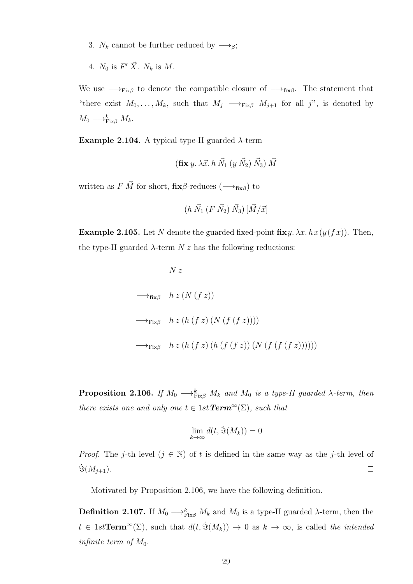- 3.  $N_k$  cannot be further reduced by  $\longrightarrow_{\beta}$ ;
- 4.  $N_0$  is  $F' \, \vec{X}$ .  $N_k$  is  $M$ .

We use  $\longrightarrow_{Fix\beta}$  to denote the compatible closure of  $\longrightarrow_{fix\beta}$ . The statement that "there exist  $M_0, \ldots, M_k$ , such that  $M_j \longrightarrow_{\text{Fix}\beta} M_{j+1}$  for all j", is denoted by  $M_0 \longrightarrow_{\text{Fix}\beta}^k M_k.$ 

Example 2.104. A typical type-II guarded  $λ$ -term

$$
(\mathbf{fix}\,y.\,\lambda\vec{x}\cdot h\,\vec{N}_1\;(y\,\vec{N}_2)\,\vec{N}_3)\,\vec{M}
$$

written as  $F \vec{M}$  for short,  $fix\beta$ -reduces ( $\longrightarrow_{fix\beta}$ ) to

$$
(h\ \vec{N_1}\ (F\ \vec{N_2})\ \vec{N_3})\ [\vec{M}/\vec{x}]
$$

**Example 2.105.** Let N denote the guarded fixed-point  $fixy$ .  $\lambda x \cdot hx(y(fx))$ . Then, the type-II guarded  $\lambda$ -term  $N z$  has the following reductions:

$$
N z
$$
\n
$$
\longrightarrow_{\text{fix}\beta} \quad h z (N (f z))
$$
\n
$$
\longrightarrow_{\text{Fix}\beta} \quad h z (h (f z) (N (f (f z))))
$$
\n
$$
\longrightarrow_{\text{Fix}\beta} \quad h z (h (f z) (h (f (f z)) (N (f (f (f z))))))
$$

**Proposition 2.106.** If  $M_0 \longrightarrow_{Fix\beta}^k M_k$  and  $M_0$  is a type-II guarded  $\lambda$ -term, then there exists one and only one  $t \in 1$ st **Term**<sup>∞</sup>( $\Sigma$ ), such that

$$
\lim_{k\to\infty}d(t,\dot{\Im}(M_k))=0
$$

*Proof.* The j-th level  $(j \in \mathbb{N})$  of t is defined in the same way as the j-th level of  $\dot{\Im}(M_{j+1}).$  $\Box$ 

Motivated by Proposition 2.106, we have the following definition.

**Definition 2.107.** If  $M_0 \longrightarrow_{\text{Fix}\beta}^k M_k$  and  $M_0$  is a type-II guarded  $\lambda$ -term, then the  $t \in 1st\mathbf{Term}^{\infty}(\Sigma)$ , such that  $d(t, \dot{\mathcal{S}}(M_k)) \to 0$  as  $k \to \infty$ , is called the intended infinite term of  $M_0$ .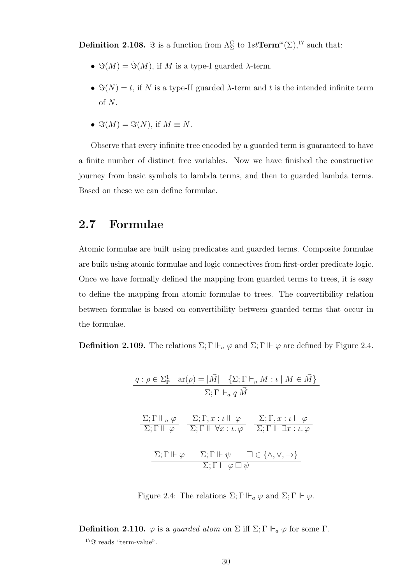**Definition 2.108.**  $\Im$  is a function from  $\Lambda_{\Sigma}^G$  to  $1st\mathbf{Term}^{\omega}(\Sigma),^{17}$  such that:

- $\Im(M) = \dot{\Im}(M)$ , if M is a type-I guarded  $\lambda$ -term.
- $\Im(N) = t$ , if N is a type-II guarded  $\lambda$ -term and t is the intended infinite term of N.
- $\Im(M) = \Im(N)$ , if  $M \equiv N$ .

Observe that every infinite tree encoded by a guarded term is guaranteed to have a finite number of distinct free variables. Now we have finished the constructive journey from basic symbols to lambda terms, and then to guarded lambda terms. Based on these we can define formulae.

#### 2.7 Formulae

Atomic formulae are built using predicates and guarded terms. Composite formulae are built using atomic formulae and logic connectives from first-order predicate logic. Once we have formally defined the mapping from guarded terms to trees, it is easy to define the mapping from atomic formulae to trees. The convertibility relation between formulae is based on convertibility between guarded terms that occur in the formulae.

**Definition 2.109.** The relations  $\Sigma$ ;  $\Gamma \Vdash_{a} \varphi$  and  $\Sigma$ ;  $\Gamma \Vdash \varphi$  are defined by Figure 2.4.

$$
q: \rho \in \Sigma_{\mathbb{P}}^{1} \quad \text{ar}(\rho) = |\vec{M}| \quad \{\Sigma; \Gamma \vdash_{g} M : \iota \mid M \in \vec{M}\}
$$

$$
\Sigma; \Gamma \Vdash_{a} q \vec{M}
$$

$$
\frac{\Sigma; \Gamma \Vdash_{a} \varphi}{\Sigma; \Gamma \Vdash \varphi} \quad \frac{\Sigma; \Gamma, x : \iota \Vdash \varphi}{\Sigma; \Gamma \Vdash \forall x : \iota. \varphi} \quad \frac{\Sigma; \Gamma, x : \iota \Vdash \varphi}{\Sigma; \Gamma \Vdash \exists x : \iota. \varphi}
$$

$$
\frac{\Sigma; \Gamma \Vdash \varphi}{\Sigma; \Gamma \Vdash \varphi} \quad \frac{\Sigma; \Gamma \Vdash \psi}{\Sigma; \Gamma \Vdash \varphi \Box \psi} \quad \frac{\Box \in \{\land, \lor, \to\}}{\Sigma; \Gamma \Vdash \varphi \Box \psi}
$$

Figure 2.4: The relations  $\Sigma$ ;  $\Gamma \Vdash_{a} \varphi$  and  $\Sigma$ ;  $\Gamma \Vdash \varphi$ .

**Definition 2.110.**  $\varphi$  is a *guarded atom* on  $\Sigma$  iff  $\Sigma$ ;  $\Gamma \Vdash_{a} \varphi$  for some  $\Gamma$ .

 $17\%$  reads "term-value".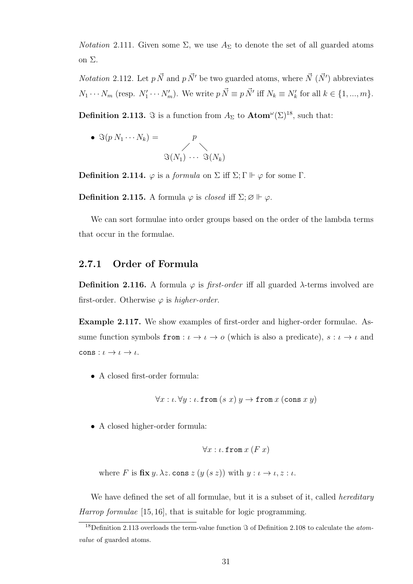*Notation* 2.111. Given some  $\Sigma$ , we use  $A_{\Sigma}$  to denote the set of all guarded atoms on Σ.

*Notation* 2.112. Let  $p \vec{N}$  and  $p \vec{N}'$  be two guarded atoms, where  $\vec{N}$  ( $\vec{N}'$ ) abbreviates  $N_1 \cdots N_m$  (resp.  $N'_1 \cdots N'_m$ ). We write  $p \, \vec{N} \equiv p \, \vec{N}'$  iff  $N_k \equiv N'_k$  for all  $k \in \{1, ..., m\}$ .

**Definition 2.113.**  $\Im$  is a function from  $A_{\Sigma}$  to  $\text{Atom}^{\omega}(\Sigma)^{18}$ , such that:

• 
$$
\Im(p N_1 \cdots N_k) = p
$$
  

$$
\Im(N_1) \cdots \Im(N_k)
$$

**Definition 2.114.**  $\varphi$  is a *formula* on  $\Sigma$  iff  $\Sigma$ ;  $\Gamma \Vdash \varphi$  for some  $\Gamma$ .

**Definition 2.115.** A formula  $\varphi$  is closed iff  $\Sigma; \varnothing \Vdash \varphi$ .

We can sort formulae into order groups based on the order of the lambda terms that occur in the formulae.

#### 2.7.1 Order of Formula

Definition 2.116. A formula  $\varphi$  is *first-order* iff all guarded  $\lambda$ -terms involved are first-order. Otherwise  $\varphi$  is higher-order.

Example 2.117. We show examples of first-order and higher-order formulae. Assume function symbols  ${\tt from} : \iota \to \iota \to o$  (which is also a predicate),  $s : \iota \to \iota$  and cons :  $\iota \to \iota \to \iota$ .

• A closed first-order formula:

$$
\forall x:\iota.\,\forall y:\iota.\,\mathtt{from}\,(s\;x)\;y\to\mathtt{from}\,x\,(\mathtt{cons}\;x\,y)
$$

• A closed higher-order formula:

$$
\forall x:\iota.\texttt{from }x\ (F\ x)
$$

where F is  $fix y. \lambda z$ . cons  $z(y(s z))$  with  $y: \iota \to \iota, z: \iota$ .

We have defined the set of all formulae, but it is a subset of it, called *hereditary* Harrop formulae [15, 16], that is suitable for logic programming.

<sup>&</sup>lt;sup>18</sup>Definition 2.113 overloads the term-value function  $\Im$  of Definition 2.108 to calculate the *atom*value of guarded atoms.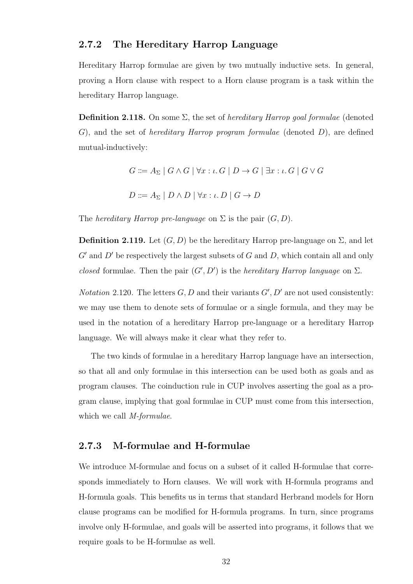#### 2.7.2 The Hereditary Harrop Language

Hereditary Harrop formulae are given by two mutually inductive sets. In general, proving a Horn clause with respect to a Horn clause program is a task within the hereditary Harrop language.

**Definition 2.118.** On some  $\Sigma$ , the set of *hereditary Harrop goal formulae* (denoted G), and the set of hereditary Harrop program formulae (denoted D), are defined mutual-inductively:

$$
G ::= A_{\Sigma} | G \wedge G | \forall x : \iota. G | D \rightarrow G | \exists x : \iota. G | G \vee G
$$

 $D ::= A_{\Sigma} | D \wedge D | \forall x : \iota. D | G \rightarrow D$ 

The *hereditary Harrop pre-language* on  $\Sigma$  is the pair  $(G, D)$ .

**Definition 2.119.** Let  $(G, D)$  be the hereditary Harrop pre-language on  $\Sigma$ , and let  $G'$  and  $D'$  be respectively the largest subsets of  $G$  and  $D$ , which contain all and only closed formulae. Then the pair  $(G', D')$  is the *hereditary Harrop language* on  $\Sigma$ .

*Notation* 2.120. The letters  $G, D$  and their variants  $G', D'$  are not used consistently: we may use them to denote sets of formulae or a single formula, and they may be used in the notation of a hereditary Harrop pre-language or a hereditary Harrop language. We will always make it clear what they refer to.

The two kinds of formulae in a hereditary Harrop language have an intersection, so that all and only formulae in this intersection can be used both as goals and as program clauses. The coinduction rule in CUP involves asserting the goal as a program clause, implying that goal formulae in CUP must come from this intersection, which we call *M-formulae*.

#### 2.7.3 M-formulae and H-formulae

We introduce M-formulae and focus on a subset of it called H-formulae that corresponds immediately to Horn clauses. We will work with H-formula programs and H-formula goals. This benefits us in terms that standard Herbrand models for Horn clause programs can be modified for H-formula programs. In turn, since programs involve only H-formulae, and goals will be asserted into programs, it follows that we require goals to be H-formulae as well.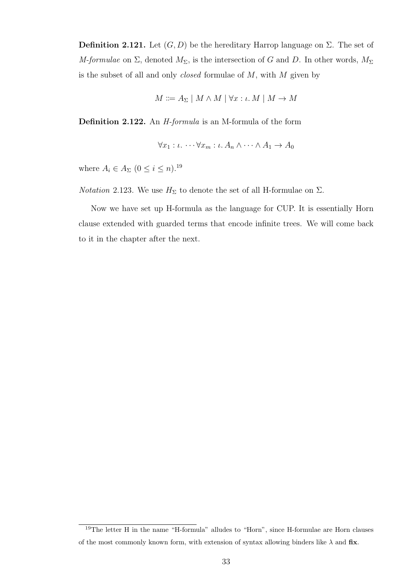**Definition 2.121.** Let  $(G, D)$  be the hereditary Harrop language on  $\Sigma$ . The set of M-formulae on  $\Sigma$ , denoted  $M_{\Sigma}$ , is the intersection of G and D. In other words,  $M_{\Sigma}$ is the subset of all and only *closed* formulae of  $M$ , with  $M$  given by

$$
M ::= A_{\Sigma} | M \wedge M | \forall x : \iota. M | M \rightarrow M
$$

Definition 2.122. An H-formula is an M-formula of the form

$$
\forall x_1 : \iota. \cdots \forall x_m : \iota. A_n \wedge \cdots \wedge A_1 \to A_0
$$

where  $A_i \in A_{\Sigma}$   $(0 \leq i \leq n)$ .<sup>19</sup>

*Notation* 2.123. We use  $H_{\Sigma}$  to denote the set of all H-formulae on  $\Sigma$ .

Now we have set up H-formula as the language for CUP. It is essentially Horn clause extended with guarded terms that encode infinite trees. We will come back to it in the chapter after the next.

<sup>19</sup>The letter H in the name "H-formula" alludes to "Horn", since H-formulae are Horn clauses of the most commonly known form, with extension of syntax allowing binders like  $\lambda$  and fix.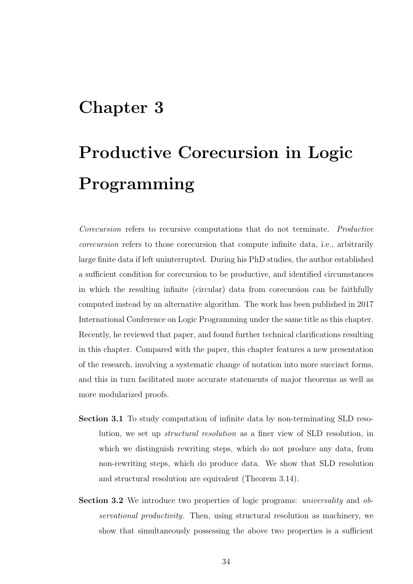# Chapter 3

# Productive Corecursion in Logic Programming

Corecursion refers to recursive computations that do not terminate. Productive corecursion refers to those corecursion that compute infinite data, i.e., arbitrarily large finite data if left uninterrupted. During his PhD studies, the author established a sufficient condition for corecursion to be productive, and identified circumstances in which the resulting infinite (circular) data from corecursion can be faithfully computed instead by an alternative algorithm. The work has been published in 2017 International Conference on Logic Programming under the same title as this chapter. Recently, he reviewed that paper, and found further technical clarifications resulting in this chapter. Compared with the paper, this chapter features a new presentation of the research, involving a systematic change of notation into more succinct forms, and this in turn facilitated more accurate statements of major theorems as well as more modularized proofs.

- Section 3.1 To study computation of infinite data by non-terminating SLD resolution, we set up structural resolution as a finer view of SLD resolution, in which we distinguish rewriting steps, which do not produce any data, from non-rewriting steps, which do produce data. We show that SLD resolution and structural resolution are equivalent (Theorem 3.14).
- Section 3.2 We introduce two properties of logic programs: *universality* and *ob*servational productivity. Then, using structural resolution as machinery, we show that simultaneously possessing the above two properties is a sufficient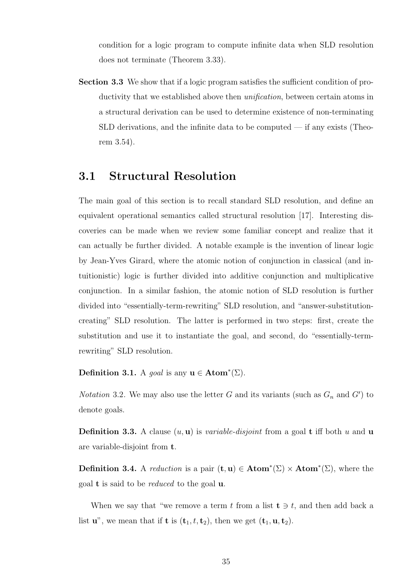condition for a logic program to compute infinite data when SLD resolution does not terminate (Theorem 3.33).

Section 3.3 We show that if a logic program satisfies the sufficient condition of productivity that we established above then unification, between certain atoms in a structural derivation can be used to determine existence of non-terminating SLD derivations, and the infinite data to be computed — if any exists (Theorem 3.54).

### 3.1 Structural Resolution

The main goal of this section is to recall standard SLD resolution, and define an equivalent operational semantics called structural resolution [17]. Interesting discoveries can be made when we review some familiar concept and realize that it can actually be further divided. A notable example is the invention of linear logic by Jean-Yves Girard, where the atomic notion of conjunction in classical (and intuitionistic) logic is further divided into additive conjunction and multiplicative conjunction. In a similar fashion, the atomic notion of SLD resolution is further divided into "essentially-term-rewriting" SLD resolution, and "answer-substitutioncreating" SLD resolution. The latter is performed in two steps: first, create the substitution and use it to instantiate the goal, and second, do "essentially-termrewriting" SLD resolution.

Definition 3.1. A goal is any  $u \in Atom^*(\Sigma)$ .

*Notation* 3.2. We may also use the letter G and its variants (such as  $G_n$  and  $G'$ ) to denote goals.

**Definition 3.3.** A clause  $(u, u)$  is variable-disjoint from a goal **t** iff both u and u are variable-disjoint from t.

**Definition 3.4.** A reduction is a pair  $(\mathbf{t}, \mathbf{u}) \in \text{Atom}^*(\Sigma) \times \text{Atom}^*(\Sigma)$ , where the goal **t** is said to be *reduced* to the goal  $\bf{u}$ .

When we say that "we remove a term t from a list  $t \ni t$ , and then add back a list  $\mathbf{u}^n$ , we mean that if **t** is  $(\mathbf{t}_1, t, \mathbf{t}_2)$ , then we get  $(\mathbf{t}_1, \mathbf{u}, \mathbf{t}_2)$ .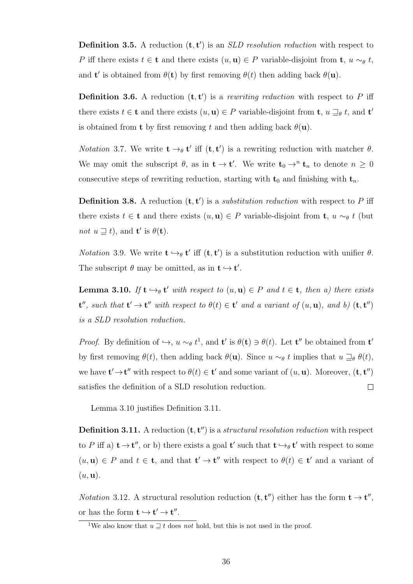**Definition 3.5.** A reduction  $(t, t')$  is an *SLD resolution reduction* with respect to P iff there exists  $t \in \mathbf{t}$  and there exists  $(u, \mathbf{u}) \in P$  variable-disjoint from  $\mathbf{t}$ ,  $u \sim_{\theta} t$ , and **t**' is obtained from  $\theta(\mathbf{t})$  by first removing  $\theta(t)$  then adding back  $\theta(\mathbf{u})$ .

**Definition 3.6.** A reduction  $(t, t')$  is a rewriting reduction with respect to P iff there exists  $t \in \mathbf{t}$  and there exists  $(u, \mathbf{u}) \in P$  variable-disjoint from  $\mathbf{t}$ ,  $u \sqsupseteq_{\theta} t$ , and  $\mathbf{t}'$ is obtained from **t** by first removing t and then adding back  $\theta(\mathbf{u})$ .

*Notation* 3.7. We write  $\mathbf{t} \rightarrow_{\theta} \mathbf{t}'$  iff  $(\mathbf{t}, \mathbf{t}')$  is a rewriting reduction with matcher  $\theta$ . We may omit the subscript  $\theta$ , as in  $t \to t'$ . We write  $t_0 \to^n t_n$  to denote  $n \geq 0$ consecutive steps of rewriting reduction, starting with  $t_0$  and finishing with  $t_n$ .

**Definition 3.8.** A reduction  $(t, t')$  is a *substitution reduction* with respect to P iff there exists  $t \in \mathbf{t}$  and there exists  $(u, \mathbf{u}) \in P$  variable-disjoint from  $\mathbf{t}$ ,  $u \sim_{\theta} t$  (but not  $u \sqsupseteq t$ , and  $\mathbf{t}'$  is  $\theta(\mathbf{t})$ .

*Notation* 3.9. We write  $\mathbf{t} \hookrightarrow_{\theta} \mathbf{t}'$  iff  $(\mathbf{t}, \mathbf{t}')$  is a substitution reduction with unifier  $\theta$ . The subscript  $\theta$  may be omitted, as in  $t \hookrightarrow t'$ .

**Lemma 3.10.** If  $\mathbf{t} \hookrightarrow_{\theta} \mathbf{t}'$  with respect to  $(u, \mathbf{u}) \in P$  and  $t \in \mathbf{t}$ , then a) there exists  $\mathbf{t}'$ , such that  $\mathbf{t}' \to \mathbf{t}''$  with respect to  $\theta(t) \in \mathbf{t}'$  and a variant of  $(u, \mathbf{u})$ , and b)  $(\mathbf{t}, \mathbf{t}'')$ is a SLD resolution reduction.

*Proof.* By definition of  $\hookrightarrow$ ,  $u \sim_{\theta} t^1$ , and **t**' is  $\theta(\mathbf{t}) \ni \theta(t)$ . Let **t**" be obtained from **t**' by first removing  $\theta(t)$ , then adding back  $\theta(\mathbf{u})$ . Since  $u \sim_{\theta} t$  implies that  $u \sqsupseteq_{\theta} \theta(t)$ , we have  $\mathbf{t}' \to \mathbf{t}''$  with respect to  $\theta(t) \in \mathbf{t}'$  and some variant of  $(u, \mathbf{u})$ . Moreover,  $(\mathbf{t}, \mathbf{t}'')$ satisfies the definition of a SLD resolution reduction.  $\Box$ 

Lemma 3.10 justifies Definition 3.11.

**Definition 3.11.** A reduction  $(t, t'')$  is a *structural resolution reduction* with respect to P iff a)  $t \to t''$ , or b) there exists a goal  $t'$  such that  $t \to_\theta t'$  with respect to some  $(u, u) \in P$  and  $t \in \mathbf{t}$ , and that  $\mathbf{t}' \to \mathbf{t}''$  with respect to  $\theta(t) \in \mathbf{t}'$  and a variant of  $(u, \mathbf{u}).$ 

*Notation* 3.12. A structural resolution reduction  $(\mathbf{t}, \mathbf{t}'')$  either has the form  $\mathbf{t} \to \mathbf{t}'',$ or has the form  $t \hookrightarrow t' \rightarrow t''$ .

<sup>&</sup>lt;sup>1</sup>We also know that  $u \sqsupseteq t$  does not hold, but this is not used in the proof.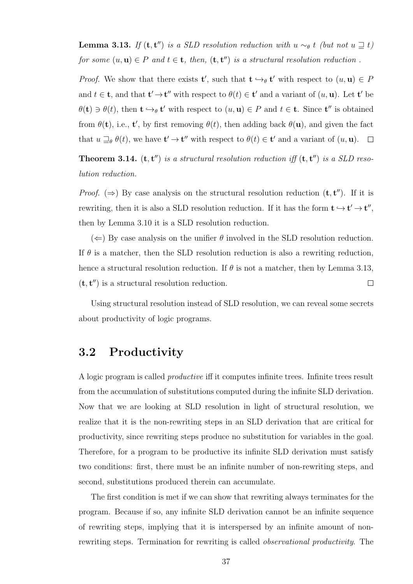**Lemma 3.13.** If  $(t, t'')$  is a SLD resolution reduction with u  $\sim_{\theta} t$  (but not u  $\supseteq t$ ) for some  $(u, u) \in P$  and  $t \in t$ , then,  $(t, t'')$  is a structural resolution reduction.

*Proof.* We show that there exists **t'**, such that  $\mathbf{t} \hookrightarrow_{\theta} \mathbf{t}'$  with respect to  $(u, \mathbf{u}) \in P$ and  $t \in \mathbf{t}$ , and that  $\mathbf{t}' \to \mathbf{t}''$  with respect to  $\theta(t) \in \mathbf{t}'$  and a variant of  $(u, \mathbf{u})$ . Let  $\mathbf{t}'$  be  $\theta(\mathbf{t}) \ni \theta(t)$ , then  $\mathbf{t} \hookrightarrow_{\theta} \mathbf{t}'$  with respect to  $(u, \mathbf{u}) \in P$  and  $t \in \mathbf{t}$ . Since  $\mathbf{t}''$  is obtained from  $\theta(\mathbf{t})$ , i.e.,  $\mathbf{t}'$ , by first removing  $\theta(t)$ , then adding back  $\theta(\mathbf{u})$ , and given the fact that  $u \sqsupseteq_{\theta} \theta(t)$ , we have  $\mathbf{t}' \to \mathbf{t}''$  with respect to  $\theta(t) \in \mathbf{t}'$  and a variant of  $(u, \mathbf{u})$ .

**Theorem 3.14.** ( $\mathbf{t}, \mathbf{t}'$ ) is a structural resolution reduction iff  $(\mathbf{t}, \mathbf{t}'')$  is a SLD resolution reduction.

*Proof.* ( $\Rightarrow$ ) By case analysis on the structural resolution reduction (**t**, **t**"). If it is rewriting, then it is also a SLD resolution reduction. If it has the form  $\mathbf{t} \to \mathbf{t}' \to \mathbf{t}'',$ then by Lemma 3.10 it is a SLD resolution reduction.

 $(\Leftarrow)$  By case analysis on the unifier  $\theta$  involved in the SLD resolution reduction. If  $\theta$  is a matcher, then the SLD resolution reduction is also a rewriting reduction, hence a structural resolution reduction. If  $\theta$  is not a matcher, then by Lemma 3.13,  $(\mathbf{t}, \mathbf{t}'')$  is a structural resolution reduction.  $\Box$ 

Using structural resolution instead of SLD resolution, we can reveal some secrets about productivity of logic programs.

### 3.2 Productivity

A logic program is called productive iff it computes infinite trees. Infinite trees result from the accumulation of substitutions computed during the infinite SLD derivation. Now that we are looking at SLD resolution in light of structural resolution, we realize that it is the non-rewriting steps in an SLD derivation that are critical for productivity, since rewriting steps produce no substitution for variables in the goal. Therefore, for a program to be productive its infinite SLD derivation must satisfy two conditions: first, there must be an infinite number of non-rewriting steps, and second, substitutions produced therein can accumulate.

The first condition is met if we can show that rewriting always terminates for the program. Because if so, any infinite SLD derivation cannot be an infinite sequence of rewriting steps, implying that it is interspersed by an infinite amount of nonrewriting steps. Termination for rewriting is called observational productivity. The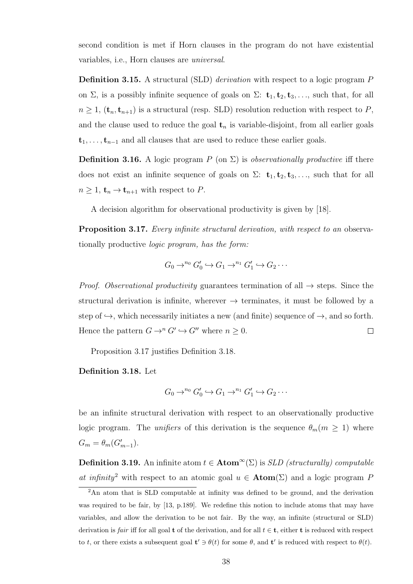second condition is met if Horn clauses in the program do not have existential variables, i.e., Horn clauses are universal.

Definition 3.15. A structural (SLD) derivation with respect to a logic program P on  $\Sigma$ , is a possibly infinite sequence of goals on  $\Sigma:$   $\mathbf{t}_1, \mathbf{t}_2, \mathbf{t}_3, \ldots$ , such that, for all  $n \geq 1$ ,  $(\mathbf{t}_n, \mathbf{t}_{n+1})$  is a structural (resp. SLD) resolution reduction with respect to P, and the clause used to reduce the goal  $t_n$  is variable-disjoint, from all earlier goals  $t_1, \ldots, t_{n-1}$  and all clauses that are used to reduce these earlier goals.

**Definition 3.16.** A logic program P (on  $\Sigma$ ) is *observationally productive* iff there does not exist an infinite sequence of goals on  $\Sigma:$   $t_1, t_2, t_3, \ldots$ , such that for all  $n \geq 1$ ,  $\mathbf{t}_n \to \mathbf{t}_{n+1}$  with respect to P.

A decision algorithm for observational productivity is given by [18].

Proposition 3.17. Every infinite structural derivation, with respect to an observationally productive logic program, has the form:

$$
G_0 \to^{n_0} G'_0 \hookrightarrow G_1 \to^{n_1} G'_1 \hookrightarrow G_2 \cdots
$$

*Proof.* Observational productivity guarantees termination of all  $\rightarrow$  steps. Since the structural derivation is infinite, wherever  $\rightarrow$  terminates, it must be followed by a step of  $\hookrightarrow$ , which necessarily initiates a new (and finite) sequence of  $\rightarrow$ , and so forth. Hence the pattern  $G \to^n G' \hookrightarrow G''$  where  $n \geq 0$ .  $\Box$ 

Proposition 3.17 justifies Definition 3.18.

Definition 3.18. Let

$$
G_0 \to^{n_0} G'_0 \hookrightarrow G_1 \to^{n_1} G'_1 \hookrightarrow G_2 \cdots
$$

be an infinite structural derivation with respect to an observationally productive logic program. The unifiers of this derivation is the sequence  $\theta_m(m \geq 1)$  where  $G_m = \theta_m(G'_{m-1}).$ 

Definition 3.19. An infinite atom  $t \in \text{Atom}^{\infty}(\Sigma)$  is SLD (structurally) computable at infinity<sup>2</sup> with respect to an atomic goal  $u \in \text{Atom}(\Sigma)$  and a logic program P

<sup>2</sup>An atom that is SLD computable at infinity was defined to be ground, and the derivation was required to be fair, by [13, p.189]. We redefine this notion to include atoms that may have variables, and allow the derivation to be not fair. By the way, an infinite (structural or SLD) derivation is fair iff for all goal t of the derivation, and for all  $t \in \mathbf{t}$ , either t is reduced with respect to t, or there exists a subsequent goal  $\mathbf{t}' \ni \theta(t)$  for some  $\theta$ , and  $\mathbf{t}'$  is reduced with respect to  $\theta(t)$ .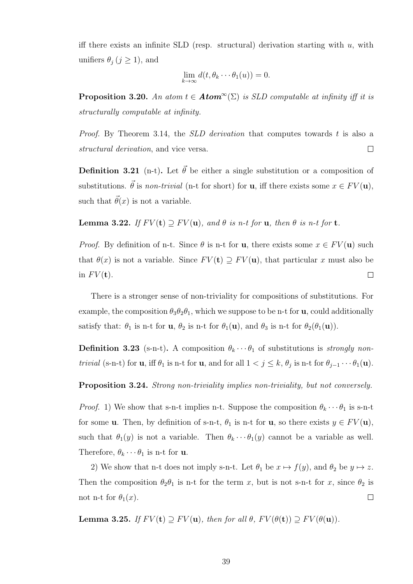iff there exists an infinite SLD (resp. structural) derivation starting with  $u$ , with unifiers  $\theta_j$  ( $j \geq 1$ ), and

$$
\lim_{k \to \infty} d(t, \theta_k \cdots \theta_1(u)) = 0.
$$

**Proposition 3.20.** An atom  $t \in Atom^{\infty}(\Sigma)$  is SLD computable at infinity iff it is structurally computable at infinity.

Proof. By Theorem 3.14, the *SLD derivation* that computes towards t is also a structural derivation, and vice versa.  $\Box$ 

**Definition 3.21** (n-t). Let  $\vec{\theta}$  be either a single substitution or a composition of substitutions.  $\vec{\theta}$  is non-trivial (n-t for short) for **u**, iff there exists some  $x \in FV(\mathbf{u})$ , such that  $\vec{\theta}(x)$  is not a variable.

**Lemma 3.22.** If  $FV(t) \supseteq FV(u)$ , and  $\theta$  is n-t for u, then  $\theta$  is n-t for t.

*Proof.* By definition of n-t. Since  $\theta$  is n-t for **u**, there exists some  $x \in FV(\mathbf{u})$  such that  $\theta(x)$  is not a variable. Since  $FV(t) \supseteq FV(u)$ , that particular x must also be in  $FV(t)$ .  $\Box$ 

There is a stronger sense of non-triviality for compositions of substitutions. For example, the composition  $\theta_3 \theta_2 \theta_1$ , which we suppose to be n-t for **u**, could additionally satisfy that:  $\theta_1$  is n-t for  $\mathbf{u}, \theta_2$  is n-t for  $\theta_1(\mathbf{u})$ , and  $\theta_3$  is n-t for  $\theta_2(\theta_1(\mathbf{u}))$ .

**Definition 3.23** (s-n-t). A composition  $\theta_k \cdots \theta_1$  of substitutions is *strongly nontrivial* (s-n-t) for **u**, iff  $\theta_1$  is n-t for **u**, and for all  $1 < j \leq k$ ,  $\theta_j$  is n-t for  $\theta_{j-1} \cdots \theta_1(\mathbf{u})$ .

Proposition 3.24. Strong non-triviality implies non-triviality, but not conversely.

*Proof.* 1) We show that s-n-t implies n-t. Suppose the composition  $\theta_k \cdots \theta_1$  is s-n-t for some **u**. Then, by definition of s-n-t,  $\theta_1$  is n-t for **u**, so there exists  $y \in FV(\mathbf{u})$ , such that  $\theta_1(y)$  is not a variable. Then  $\theta_k \cdots \theta_1(y)$  cannot be a variable as well. Therefore,  $\theta_k \cdots \theta_1$  is n-t for **u**.

2) We show that n-t does not imply s-n-t. Let  $\theta_1$  be  $x \mapsto f(y)$ , and  $\theta_2$  be  $y \mapsto z$ . Then the composition  $\theta_2 \theta_1$  is n-t for the term x, but is not s-n-t for x, since  $\theta_2$  is not n-t for  $\theta_1(x)$ .  $\Box$ 

**Lemma 3.25.** If  $FV(t) \supseteq FV(u)$ , then for all  $\theta$ ,  $FV(\theta(t)) \supseteq FV(\theta(u))$ .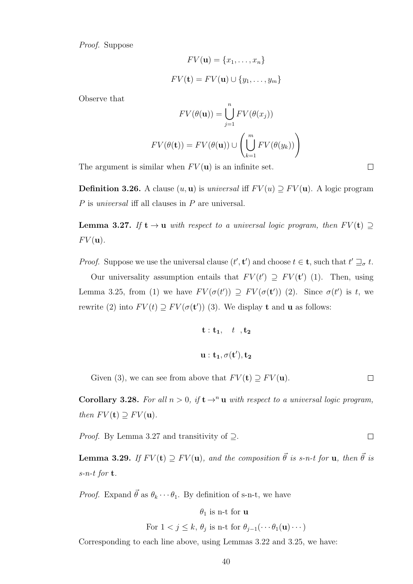Proof. Suppose

$$
FV(\mathbf{u}) = \{x_1, \dots, x_n\}
$$

$$
FV(\mathbf{t}) = FV(\mathbf{u}) \cup \{y_1, \dots, y_m\}
$$

Observe that

$$
FV(\theta(\mathbf{u})) = \bigcup_{j=1}^{n} FV(\theta(x_j))
$$

$$
FV(\theta(\mathbf{t})) = FV(\theta(\mathbf{u})) \cup \left(\bigcup_{k=1}^{m} FV(\theta(y_k))\right)
$$

The argument is similar when  $FV(\mathbf{u})$  is an infinite set.

**Definition 3.26.** A clause  $(u, u)$  is universal iff  $F V(u) \supseteq F V(u)$ . A logic program P is universal iff all clauses in P are universal.

**Lemma 3.27.** If  $t \to u$  with respect to a universal logic program, then  $F V(t) \supseteq$  $FV(\mathbf{u})$ .

*Proof.* Suppose we use the universal clause  $(t', t')$  and choose  $t \in \mathbf{t}$ , such that  $t' \sqsupseteq_{\sigma} t$ .

Our universality assumption entails that  $FV(t') \supseteq FV(t')$  (1). Then, using Lemma 3.25, from (1) we have  $FV(\sigma(t')) \supseteq FV(\sigma(t'))$  (2). Since  $\sigma(t')$  is t, we rewrite (2) into  $FV(t) \supseteq FV(\sigma(\mathbf{t}'))$  (3). We display **t** and **u** as follows:

$$
\begin{aligned} \mathbf{t} &:\mathbf{t}_1, \quad t \quad, \mathbf{t}_2 \\ \mathbf{u} &:\mathbf{t}_1, \sigma(\mathbf{t}'), \mathbf{t}_2 \end{aligned}
$$

Given (3), we can see from above that  $FV(\mathbf{t}) \supseteq FV(\mathbf{u})$ .  $\Box$ 

Corollary 3.28. For all  $n > 0$ , if  $t \rightarrow^n u$  with respect to a universal logic program, then  $FV(\mathbf{t}) \supseteq FV(\mathbf{u})$ .

*Proof.* By Lemma 3.27 and transitivity of  $\supset$ .

**Lemma 3.29.** If  $F V(t) \supseteq F V(u)$ , and the composition  $\vec{\theta}$  is s-n-t for **u**, then  $\vec{\theta}$  is  $s$ -n-t for **t**.

*Proof.* Expand  $\vec{\theta}$  as  $\theta_k \cdots \theta_1$ . By definition of s-n-t, we have

$$
\theta_1
$$
 is n-t for **u**

For  $1 < j \leq k$ ,  $\theta_j$  is n-t for  $\theta_{j-1}(\cdots \theta_1(\mathbf{u}) \cdots)$ 

Corresponding to each line above, using Lemmas 3.22 and 3.25, we have:

 $\Box$ 

 $\Box$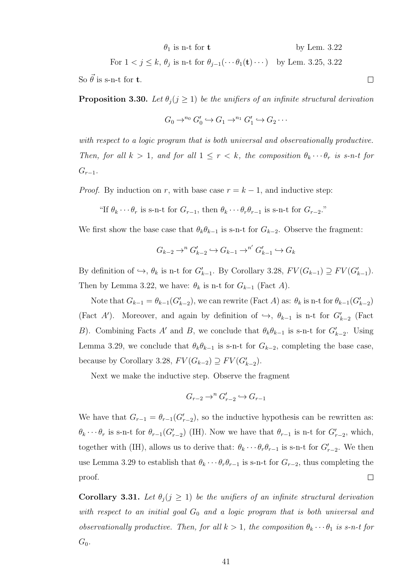$$
\theta_1
$$
 is n-t for t by Lem. 3.22

For 
$$
1 < j \leq k
$$
,  $\theta_j$  is n-t for  $\theta_{j-1}(\cdots \theta_1(\mathbf{t}) \cdots)$  by Lem. 3.25, 3.22

So  $\vec{\theta}$  is s-n-t for **t**.

**Proposition 3.30.** Let  $\theta_i$  ( $j \geq 1$ ) be the unifiers of an infinite structural derivation

$$
G_0 \to^{n_0} G'_0 \hookrightarrow G_1 \to^{n_1} G'_1 \hookrightarrow G_2 \cdots
$$

with respect to a logic program that is both universal and observationally productive. Then, for all  $k > 1$ , and for all  $1 \leq r < k$ , the composition  $\theta_k \cdots \theta_r$  is s-n-t for  $G_{r-1}$ .

*Proof.* By induction on r, with base case  $r = k - 1$ , and inductive step:

"If  $\theta_k \cdots \theta_r$  is s-n-t for  $G_{r-1}$ , then  $\theta_k \cdots \theta_r \theta_{r-1}$  is s-n-t for  $G_{r-2}$ ."

We first show the base case that  $\theta_k \theta_{k-1}$  is s-n-t for  $G_{k-2}$ . Observe the fragment:

$$
G_{k-2}\to^n G'_{k-2}\hookrightarrow G_{k-1}\to^{n'} G'_{k-1}\hookrightarrow G_k
$$

By definition of  $\hookrightarrow$ ,  $\theta_k$  is n-t for  $G'_{k-1}$ . By Corollary 3.28,  $FV(G_{k-1}) \supseteq FV(G'_{k-1})$ . Then by Lemma 3.22, we have:  $\theta_k$  is n-t for  $G_{k-1}$  (Fact A).

Note that  $G_{k-1} = \theta_{k-1}(G'_{k-2})$ , we can rewrite (Fact A) as:  $\theta_k$  is n-t for  $\theta_{k-1}(G'_{k-2})$ (Fact A'). Moreover, and again by definition of  $\hookrightarrow$ ,  $\theta_{k-1}$  is n-t for  $G'_{k-2}$  (Fact B). Combining Facts A' and B, we conclude that  $\theta_k \theta_{k-1}$  is s-n-t for  $G'_{k-2}$ . Using Lemma 3.29, we conclude that  $\theta_k \theta_{k-1}$  is s-n-t for  $G_{k-2}$ , completing the base case, because by Corollary 3.28,  $FV(G_{k-2}) \supseteq FV(G'_{k-2})$ .

Next we make the inductive step. Observe the fragment

$$
G_{r-2} \to^n G'_{r-2} \hookrightarrow G_{r-1}
$$

We have that  $G_{r-1} = \theta_{r-1}(G'_{r-2})$ , so the inductive hypothesis can be rewritten as:  $\theta_k \cdots \theta_r$  is s-n-t for  $\theta_{r-1}(G_{r-2}')$  (IH). Now we have that  $\theta_{r-1}$  is n-t for  $G'_{r-2}$ , which, together with (IH), allows us to derive that:  $\theta_k \cdots \theta_r \theta_{r-1}$  is s-n-t for  $G'_{r-2}$ . We then use Lemma 3.29 to establish that  $\theta_k \cdots \theta_r \theta_{r-1}$  is s-n-t for  $G_{r-2}$ , thus completing the  $\Box$ proof.

Corollary 3.31. Let  $\theta_j$  ( $j \geq 1$ ) be the unifiers of an infinite structural derivation with respect to an initial goal  $G_0$  and a logic program that is both universal and observationally productive. Then, for all  $k > 1$ , the composition  $\theta_k \cdots \theta_1$  is s-n-t for  $G_0$ .

 $\Box$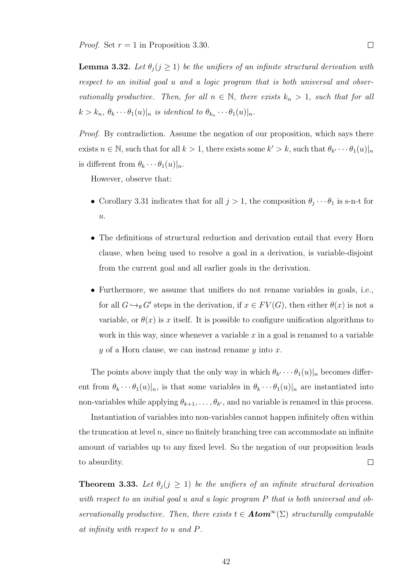**Lemma 3.32.** Let  $\theta_j$  ( $j \geq 1$ ) be the unifiers of an infinite structural derivation with respect to an initial goal u and a logic program that is both universal and observationally productive. Then, for all  $n \in \mathbb{N}$ , there exists  $k_n > 1$ , such that for all  $k > k_n, \theta_k \cdots \theta_1(u)|_n$  is identical to  $\theta_{k_n} \cdots \theta_1(u)|_n$ .

Proof. By contradiction. Assume the negation of our proposition, which says there exists  $n \in \mathbb{N}$ , such that for all  $k > 1$ , there exists some  $k' > k$ , such that  $\theta_{k'} \cdots \theta_1(u)|_n$ is different from  $\theta_k \cdots \theta_1(u)|_n$ .

However, observe that:

- Corollary 3.31 indicates that for all  $j > 1$ , the composition  $\theta_j \cdots \theta_1$  is s-n-t for  $\overline{u}$ .
- The definitions of structural reduction and derivation entail that every Horn clause, when being used to resolve a goal in a derivation, is variable-disjoint from the current goal and all earlier goals in the derivation.
- Furthermore, we assume that unifiers do not rename variables in goals, i.e., for all  $G \hookrightarrow_{\theta} G'$  steps in the derivation, if  $x \in FV(G)$ , then either  $\theta(x)$  is not a variable, or  $\theta(x)$  is x itself. It is possible to configure unification algorithms to work in this way, since whenever a variable  $x$  in a goal is renamed to a variable  $y$  of a Horn clause, we can instead rename  $y$  into  $x$ .

The points above imply that the only way in which  $\theta_{k'} \cdots \theta_1(u)|_n$  becomes different from  $\theta_k \cdots \theta_1(u)|_n$ , is that some variables in  $\theta_k \cdots \theta_1(u)|_n$  are instantiated into non-variables while applying  $\theta_{k+1}, \ldots, \theta_{k'}$ , and no variable is renamed in this process.

Instantiation of variables into non-variables cannot happen infinitely often within the truncation at level  $n$ , since no finitely branching tree can accommodate an infinite amount of variables up to any fixed level. So the negation of our proposition leads  $\Box$ to absurdity.

**Theorem 3.33.** Let  $\theta_j$  ( $j \geq 1$ ) be the unifiers of an infinite structural derivation with respect to an initial goal u and a logic program P that is both universal and observationally productive. Then, there exists  $t \in Atom^{\infty}(\Sigma)$  structurally computable at infinity with respect to u and P.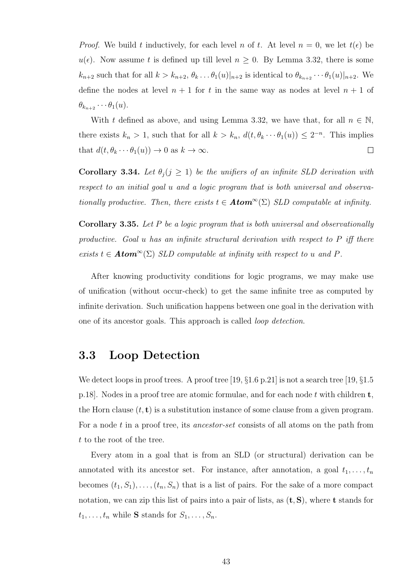*Proof.* We build t inductively, for each level n of t. At level  $n = 0$ , we let  $t(\epsilon)$  be  $u(\epsilon)$ . Now assume t is defined up till level  $n \geq 0$ . By Lemma 3.32, there is some  $k_{n+2}$  such that for all  $k > k_{n+2}$ ,  $\theta_k \dots \theta_1(u)|_{n+2}$  is identical to  $\theta_{k_{n+2}} \dots \theta_1(u)|_{n+2}$ . We define the nodes at level  $n + 1$  for t in the same way as nodes at level  $n + 1$  of  $\theta_{k_{n+2}}\cdots\theta_1(u)$ .

With t defined as above, and using Lemma 3.32, we have that, for all  $n \in \mathbb{N}$ , there exists  $k_n > 1$ , such that for all  $k > k_n$ ,  $d(t, \theta_k \cdots \theta_1(u)) \leq 2^{-n}$ . This implies that  $d(t, \theta_k \cdots \theta_1(u)) \to 0$  as  $k \to \infty$ .  $\Box$ 

Corollary 3.34. Let  $\theta_j$  ( $j \geq 1$ ) be the unifiers of an infinite SLD derivation with respect to an initial goal u and a logic program that is both universal and observationally productive. Then, there exists  $t \in Atom^{\infty}(\Sigma)$  SLD computable at infinity.

**Corollary 3.35.** Let  $P$  be a logic program that is both universal and observationally productive. Goal u has an infinite structural derivation with respect to P iff there exists  $t \in Atom^{\infty}(\Sigma)$  SLD computable at infinity with respect to u and P.

After knowing productivity conditions for logic programs, we may make use of unification (without occur-check) to get the same infinite tree as computed by infinite derivation. Such unification happens between one goal in the derivation with one of its ancestor goals. This approach is called loop detection.

## 3.3 Loop Detection

We detect loops in proof trees. A proof tree [19,  $\S 1.6$  p.21] is not a search tree [19,  $\S 1.5$ ] p.18]. Nodes in a proof tree are atomic formulae, and for each node t with children  $t$ , the Horn clause  $(t, t)$  is a substitution instance of some clause from a given program. For a node t in a proof tree, its *ancestor-set* consists of all atoms on the path from t to the root of the tree.

Every atom in a goal that is from an SLD (or structural) derivation can be annotated with its ancestor set. For instance, after annotation, a goal  $t_1, \ldots, t_n$ becomes  $(t_1, S_1), \ldots, (t_n, S_n)$  that is a list of pairs. For the sake of a more compact notation, we can zip this list of pairs into a pair of lists, as  $(\mathbf{t}, \mathbf{S})$ , where **t** stands for  $t_1, \ldots, t_n$  while S stands for  $S_1, \ldots, S_n$ .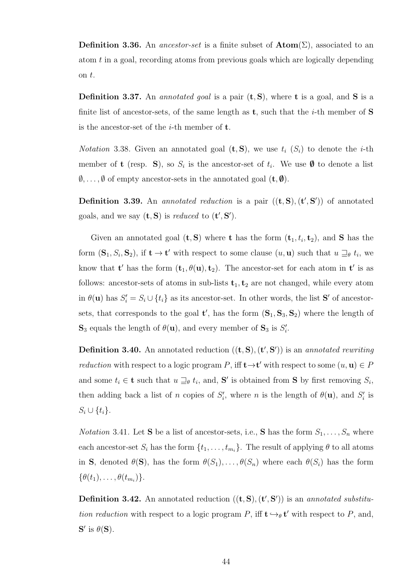**Definition 3.36.** An *ancestor-set* is a finite subset of  $\text{Atom}(\Sigma)$ , associated to an atom t in a goal, recording atoms from previous goals which are logically depending on t.

**Definition 3.37.** An *annotated goal* is a pair  $(t, S)$ , where **t** is a goal, and **S** is a finite list of ancestor-sets, of the same length as  $t$ , such that the *i*-th member of S is the ancestor-set of the  $i$ -th member of  $t$ .

*Notation* 3.38. Given an annotated goal  $(\mathbf{t}, \mathbf{S})$ , we use  $t_i$  ( $S_i$ ) to denote the *i*-th member of **t** (resp. S), so  $S_i$  is the ancestor-set of  $t_i$ . We use  $\emptyset$  to denote a list  $\emptyset, \ldots, \emptyset$  of empty ancestor-sets in the annotated goal  $(\mathbf{t}, \emptyset)$ .

**Definition 3.39.** An *annotated reduction* is a pair  $((t, S), (t', S'))$  of annotated goals, and we say  $(\mathbf{t}, \mathbf{S})$  is reduced to  $(\mathbf{t}', \mathbf{S}')$ .

Given an annotated goal  $(\mathbf{t}, \mathbf{S})$  where **t** has the form  $(\mathbf{t}_1, t_i, \mathbf{t}_2)$ , and **S** has the form  $(\mathbf{S}_1, S_i, \mathbf{S}_2)$ , if  $\mathbf{t} \to \mathbf{t}'$  with respect to some clause  $(u, \mathbf{u})$  such that  $u \sqsupseteq_{\theta} t_i$ , we know that **t'** has the form  $(\mathbf{t}_1, \theta(\mathbf{u}), \mathbf{t}_2)$ . The ancestor-set for each atom in **t'** is as follows: ancestor-sets of atoms in sub-lists  $t_1, t_2$  are not changed, while every atom in  $\theta(\mathbf{u})$  has  $S_i' = S_i \cup \{t_i\}$  as its ancestor-set. In other words, the list **S'** of ancestorsets, that corresponds to the goal  $\mathbf{t}'$ , has the form  $(\mathbf{S}_1, \mathbf{S}_3, \mathbf{S}_2)$  where the length of  $\mathbf{S}_3$  equals the length of  $\theta(\mathbf{u})$ , and every member of  $\mathbf{S}_3$  is  $S_i'$ .

**Definition 3.40.** An annotated reduction  $((t, S), (t', S'))$  is an *annotated rewriting reduction* with respect to a logic program P, iff  $t \rightarrow t'$  with respect to some  $(u, u) \in P$ and some  $t_i \in \mathbf{t}$  such that  $u \sqsupseteq_{\theta} t_i$ , and, S' is obtained from S by first removing  $S_i$ , then adding back a list of n copies of  $S_i'$ , where n is the length of  $\theta(\mathbf{u})$ , and  $S_i'$  is  $S_i \cup \{t_i\}.$ 

*Notation* 3.41. Let **S** be a list of ancestor-sets, i.e., **S** has the form  $S_1, \ldots, S_n$  where each ancestor-set  $S_i$  has the form  $\{t_1, \ldots, t_{m_i}\}$ . The result of applying  $\theta$  to all atoms in S, denoted  $\theta(S)$ , has the form  $\theta(S_1), \ldots, \theta(S_n)$  where each  $\theta(S_i)$  has the form  $\{\theta(t_1),\ldots,\theta(t_{m_i})\}.$ 

**Definition 3.42.** An annotated reduction  $((t, S), (t', S'))$  is an annotated substitution reduction with respect to a logic program P, iff  $\mathbf{t} \leftrightarrow_{\theta} \mathbf{t}'$  with respect to P, and,  $S'$  is  $\theta(S)$ .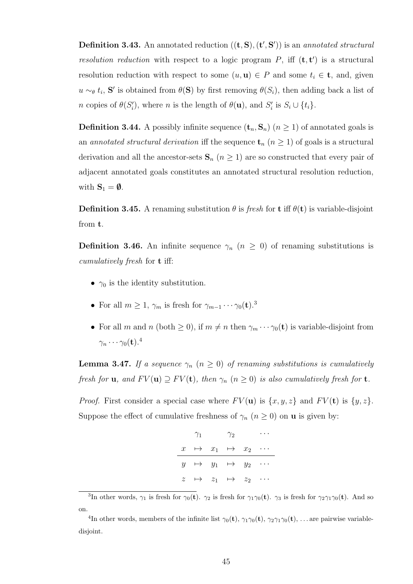**Definition 3.43.** An annotated reduction  $((t, S), (t', S'))$  is an *annotated structural* resolution reduction with respect to a logic program  $P$ , iff  $(\mathbf{t}, \mathbf{t}')$  is a structural resolution reduction with respect to some  $(u, u) \in P$  and some  $t_i \in \mathbf{t}$ , and, given  $u \sim_{\theta} t_i$ , S' is obtained from  $\theta(S)$  by first removing  $\theta(S_i)$ , then adding back a list of *n* copies of  $\theta(S'_i)$ , where *n* is the length of  $\theta(\mathbf{u})$ , and  $S'_i$  is  $S_i \cup \{t_i\}$ .

**Definition 3.44.** A possibly infinite sequence  $(\mathbf{t}_n, \mathbf{S}_n)$  ( $n \geq 1$ ) of annotated goals is an annotated structural derivation iff the sequence  $\mathbf{t}_n$   $(n \geq 1)$  of goals is a structural derivation and all the ancestor-sets  $S_n$  ( $n \geq 1$ ) are so constructed that every pair of adjacent annotated goals constitutes an annotated structural resolution reduction, with  $S_1 = \emptyset$ .

**Definition 3.45.** A renaming substitution  $\theta$  is fresh for **t** iff  $\theta$ (**t**) is variable-disjoint from t.

**Definition 3.46.** An infinite sequence  $\gamma_n$   $(n \geq 0)$  of renaming substitutions is cumulatively fresh for t iff:

- $\gamma_0$  is the identity substitution.
- For all  $m \geq 1$ ,  $\gamma_m$  is fresh for  $\gamma_{m-1} \cdots \gamma_0(\mathbf{t}).^3$
- For all m and n (both  $\geq 0$ ), if  $m \neq n$  then  $\gamma_m \cdots \gamma_0(\mathbf{t})$  is variable-disjoint from  $\gamma_n \cdots \gamma_0(\mathbf{t}).^4$

**Lemma 3.47.** If a sequence  $\gamma_n$   $(n \geq 0)$  of renaming substitutions is cumulatively fresh for **u**, and  $FV(\mathbf{u}) \supseteq FV(\mathbf{t})$ , then  $\gamma_n$   $(n \geq 0)$  is also cumulatively fresh for **t**.

*Proof.* First consider a special case where  $FV(\mathbf{u})$  is  $\{x, y, z\}$  and  $FV(\mathbf{t})$  is  $\{y, z\}$ . Suppose the effect of cumulative freshness of  $\gamma_n$   $(n \geq 0)$  on **u** is given by:

| $\gamma_1$ | $\gamma_2$                                 |  |
|------------|--------------------------------------------|--|
|            | $x \rightarrow x_1 \rightarrow x_2 \cdots$ |  |
|            | $y \rightarrow y_1 \rightarrow y_2 \cdots$ |  |
|            | $z \rightarrow z_1 \rightarrow z_2 \cdots$ |  |

<sup>&</sup>lt;sup>3</sup>In other words,  $\gamma_1$  is fresh for  $\gamma_0(t)$ .  $\gamma_2$  is fresh for  $\gamma_1\gamma_0(t)$ .  $\gamma_3$  is fresh for  $\gamma_2\gamma_1\gamma_0(t)$ . And so on.

<sup>&</sup>lt;sup>4</sup>In other words, members of the infinite list  $\gamma_0(\mathbf{t}), \gamma_1\gamma_0(\mathbf{t}), \gamma_2\gamma_1\gamma_0(\mathbf{t}), \dots$  are pairwise variabledisjoint.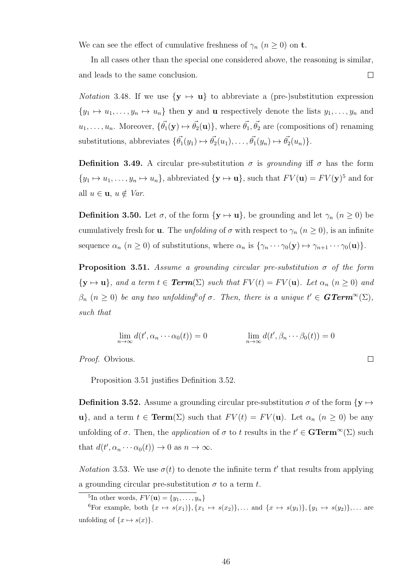We can see the effect of cumulative freshness of  $\gamma_n$   $(n \geq 0)$  on **t**.

In all cases other than the special one considered above, the reasoning is similar, and leads to the same conclusion.  $\Box$ 

*Notation* 3.48. If we use  $\{y \mapsto u\}$  to abbreviate a (pre-)substitution expression  $\{y_1 \mapsto u_1, \ldots, y_n \mapsto u_n\}$  then y and u respectively denote the lists  $y_1, \ldots, y_n$  and  $u_1, \ldots, u_n$ . Moreover,  $\{\vec{\theta_1}(\mathbf{y}) \mapsto \vec{\theta_2}(\mathbf{u})\}$ , where  $\vec{\theta_1}, \vec{\theta_2}$  are (compositions of) renaming substitutions, abbreviates  $\{\vec{\theta_1}(y_1) \mapsto \vec{\theta_2}(u_1), \dots, \vec{\theta_1}(y_n) \mapsto \vec{\theta_2}(u_n)\}.$ 

**Definition 3.49.** A circular pre-substitution  $\sigma$  is grounding iff  $\sigma$  has the form  $\{y_1 \mapsto u_1, \ldots, y_n \mapsto u_n\}$ , abbreviated  $\{y \mapsto u\}$ , such that  $FV(u) = FV(y)^5$  and for all  $u \in \mathbf{u}, u \notin Var$ .

**Definition 3.50.** Let  $\sigma$ , of the form  $\{y \mapsto u\}$ , be grounding and let  $\gamma_n$   $(n \geq 0)$  be cumulatively fresh for **u**. The *unfolding* of  $\sigma$  with respect to  $\gamma_n$  ( $n \geq 0$ ), is an infinite sequence  $\alpha_n$   $(n \geq 0)$  of substitutions, where  $\alpha_n$  is  $\{\gamma_n \cdots \gamma_0(\mathbf{y}) \mapsto \gamma_{n+1} \cdots \gamma_0(\mathbf{u})\}.$ 

**Proposition 3.51.** Assume a grounding circular pre-substitution  $\sigma$  of the form  ${\bf y}\mapsto {\bf u}$ , and a term  $t\in \text{Term}(\Sigma)$  such that  $FV(t) = FV({\bf u})$ . Let  $\alpha_n$   $(n\geq 0)$  and  $\beta_n$   $(n \geq 0)$  be any two unfolding of  $\sigma$ . Then, there is a unique  $t' \in \mathbf{GTerm}^{\infty}(\Sigma)$ , such that

$$
\lim_{n \to \infty} d(t', \alpha_n \cdots \alpha_0(t)) = 0 \qquad \qquad \lim_{n \to \infty} d(t', \beta_n \cdots \beta_0(t)) = 0
$$

 $\Box$ 

Proof. Obvious.

Proposition 3.51 justifies Definition 3.52.

**Definition 3.52.** Assume a grounding circular pre-substitution  $\sigma$  of the form  $\{y \mapsto$ u}, and a term  $t \in \text{Term}(\Sigma)$  such that  $FV(t) = FV(u)$ . Let  $\alpha_n$   $(n \geq 0)$  be any unfolding of  $\sigma$ . Then, the *application* of  $\sigma$  to t results in the  $t' \in \mathbf{GTerm}^{\infty}(\Sigma)$  such that  $d(t', \alpha_n \cdots \alpha_0(t)) \to 0$  as  $n \to \infty$ .

*Notation* 3.53. We use  $\sigma(t)$  to denote the infinite term t' that results from applying a grounding circular pre-substitution  $\sigma$  to a term t.

<sup>5</sup>In other words,  $FV(\mathbf{u}) = \{y_1, \ldots, y_n\}$ 

<sup>6</sup>For example, both  $\{x \mapsto s(x_1)\}\$ ,  $\{x_1 \mapsto s(x_2)\}\$ , ... and  $\{x \mapsto s(y_1)\}\$ ,  $\{y_1 \mapsto s(y_2)\}\$ , ... are unfolding of  $\{x \mapsto s(x)\}.$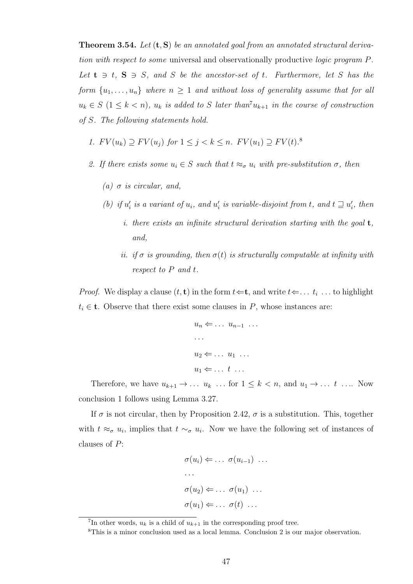**Theorem 3.54.** Let  $(t, S)$  be an annotated goal from an annotated structural derivation with respect to some universal and observationally productive logic program P. Let  $t \ni t$ ,  $S \ni S$ , and S be the ancestor-set of t. Furthermore, let S has the form  $\{u_1, \ldots, u_n\}$  where  $n \geq 1$  and without loss of generality assume that for all  $u_k \in S$   $(1 \leq k < n)$ ,  $u_k$  is added to S later than<sup>7</sup> $u_{k+1}$  in the course of construction of S. The following statements hold.

- 1.  $FV(u_k) \supseteq FV(u_j)$  for  $1 \leq j < k \leq n$ .  $FV(u_1) \supseteq FV(t)$ .<sup>8</sup>
- 2. If there exists some  $u_i \in S$  such that  $t \approx_{\sigma} u_i$  with pre-substitution  $\sigma$ , then
	- (a)  $\sigma$  is circular, and,
	- (b) if  $u'_i$  is a variant of  $u_i$ , and  $u'_i$  is variable-disjoint from t, and  $t \sqsupseteq u'_i$ , then
		- i. there exists an infinite structural derivation starting with the goal  $t$ , and,
		- ii. if  $\sigma$  is grounding, then  $\sigma(t)$  is structurally computable at infinity with respect to P and t.

*Proof.* We display a clause  $(t, t)$  in the form  $t \leftarrow t$ , and write  $t \leftarrow \ldots t_i$ ... to highlight  $t_i \in \mathbf{t}$ . Observe that there exist some clauses in P, whose instances are:

$$
u_n \Leftarrow \dots u_{n-1} \dots
$$
  
...  

$$
u_2 \Leftarrow \dots u_1 \dots
$$
  

$$
u_1 \Leftarrow \dots t \dots
$$

Therefore, we have  $u_{k+1} \to \ldots u_k \ldots$  for  $1 \leq k < n$ , and  $u_1 \to \ldots t \ldots$  Now conclusion 1 follows using Lemma 3.27.

If  $\sigma$  is not circular, then by Proposition 2.42,  $\sigma$  is a substitution. This, together with  $t \approx_{\sigma} u_i$ , implies that  $t \sim_{\sigma} u_i$ . Now we have the following set of instances of clauses of P:

$$
\sigma(u_i) \Leftarrow \dots \sigma(u_{i-1}) \dots
$$
  
\n
$$
\dots
$$
  
\n
$$
\sigma(u_2) \Leftarrow \dots \sigma(u_1) \dots
$$
  
\n
$$
\sigma(u_1) \Leftarrow \dots \sigma(t) \dots
$$

<sup>&</sup>lt;sup>7</sup>In other words,  $u_k$  is a child of  $u_{k+1}$  in the corresponding proof tree.

<sup>8</sup>This is a minor conclusion used as a local lemma. Conclusion 2 is our major observation.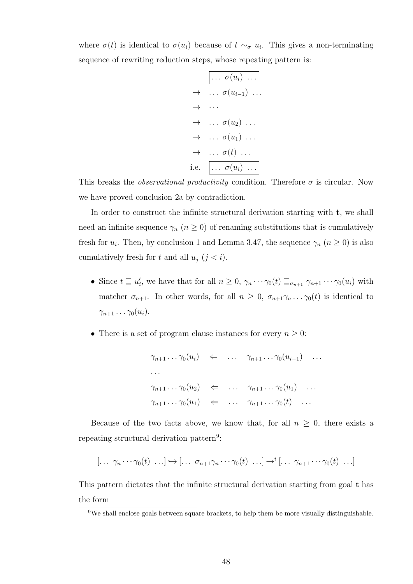where  $\sigma(t)$  is identical to  $\sigma(u_i)$  because of  $t \sim_\sigma u_i$ . This gives a non-terminating sequence of rewriting reduction steps, whose repeating pattern is:

$$
\begin{array}{rcl}\n & \ldots & \sigma(u_i) & \ldots \\
\rightarrow & \ldots & \sigma(u_{i-1}) & \ldots \\
\rightarrow & \ldots & \vdots \\
\rightarrow & \ldots & \sigma(u_2) & \ldots \\
\rightarrow & \ldots & \sigma(u_1) & \ldots \\
\rightarrow & \ldots & \sigma(t) & \ldots \\
\text{i.e.} & \ldots & \sigma(u_i) & \ldots\n\end{array}
$$

This breaks the *observational productivity* condition. Therefore  $\sigma$  is circular. Now we have proved conclusion 2a by contradiction.

In order to construct the infinite structural derivation starting with  $t$ , we shall need an infinite sequence  $\gamma_n$   $(n \geq 0)$  of renaming substitutions that is cumulatively fresh for  $u_i$ . Then, by conclusion 1 and Lemma 3.47, the sequence  $\gamma_n$   $(n \geq 0)$  is also cumulatively fresh for t and all  $u_j$   $(j < i)$ .

- Since  $t \supseteq u'_i$ , we have that for all  $n \geq 0$ ,  $\gamma_n \cdots \gamma_0(t) \supseteq_{\sigma_{n+1}} \gamma_{n+1} \cdots \gamma_0(u_i)$  with matcher  $\sigma_{n+1}$ . In other words, for all  $n \geq 0$ ,  $\sigma_{n+1}\gamma_n \ldots \gamma_0(t)$  is identical to  $\gamma_{n+1} \ldots \gamma_0(u_i)$ .
- There is a set of program clause instances for every  $n \geq 0$ :

$$
\gamma_{n+1} \dots \gamma_0(u_i) \Leftarrow \dots \gamma_{n+1} \dots \gamma_0(u_{i-1}) \dots
$$
  
\n
$$
\dots
$$
  
\n
$$
\gamma_{n+1} \dots \gamma_0(u_2) \Leftarrow \dots \gamma_{n+1} \dots \gamma_0(u_1) \dots
$$
  
\n
$$
\gamma_{n+1} \dots \gamma_0(u_1) \Leftarrow \dots \gamma_{n+1} \dots \gamma_0(t) \dots
$$

Because of the two facts above, we know that, for all  $n \geq 0$ , there exists a repeating structural derivation pattern<sup>9</sup>:

$$
[\ldots \gamma_n \cdots \gamma_0(t) \ldots] \hookrightarrow [\ldots \sigma_{n+1} \gamma_n \cdots \gamma_0(t) \ldots] \to^i [\ldots \gamma_{n+1} \cdots \gamma_0(t) \ldots]
$$

This pattern dictates that the infinite structural derivation starting from goal t has the form

<sup>9</sup>We shall enclose goals between square brackets, to help them be more visually distinguishable.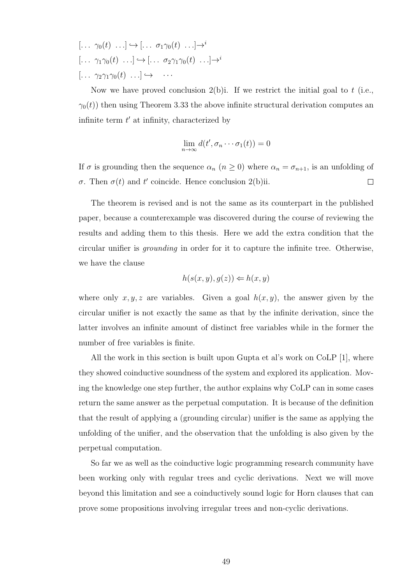$$
[\dots \gamma_0(t) \dots] \hookrightarrow [\dots \sigma_1 \gamma_0(t) \dots] \to^i
$$
  

$$
[\dots \gamma_1 \gamma_0(t) \dots] \hookrightarrow [\dots \sigma_2 \gamma_1 \gamma_0(t) \dots] \to^i
$$
  

$$
[\dots \gamma_2 \gamma_1 \gamma_0(t) \dots] \hookrightarrow \dots
$$

Now we have proved conclusion 2(b)i. If we restrict the initial goal to t (i.e.,  $\gamma_0(t)$  then using Theorem 3.33 the above infinite structural derivation computes an infinite term  $t'$  at infinity, characterized by

$$
\lim_{n \to \infty} d(t', \sigma_n \cdots \sigma_1(t)) = 0
$$

If  $\sigma$  is grounding then the sequence  $\alpha_n$   $(n \geq 0)$  where  $\alpha_n = \sigma_{n+1}$ , is an unfolding of σ. Then  $\sigma(t)$  and t' coincide. Hence conclusion 2(b)ii.  $\Box$ 

The theorem is revised and is not the same as its counterpart in the published paper, because a counterexample was discovered during the course of reviewing the results and adding them to this thesis. Here we add the extra condition that the circular unifier is grounding in order for it to capture the infinite tree. Otherwise, we have the clause

$$
h(s(x, y), g(z)) \Leftarrow h(x, y)
$$

where only  $x, y, z$  are variables. Given a goal  $h(x, y)$ , the answer given by the circular unifier is not exactly the same as that by the infinite derivation, since the latter involves an infinite amount of distinct free variables while in the former the number of free variables is finite.

All the work in this section is built upon Gupta et al's work on CoLP [1], where they showed coinductive soundness of the system and explored its application. Moving the knowledge one step further, the author explains why CoLP can in some cases return the same answer as the perpetual computation. It is because of the definition that the result of applying a (grounding circular) unifier is the same as applying the unfolding of the unifier, and the observation that the unfolding is also given by the perpetual computation.

So far we as well as the coinductive logic programming research community have been working only with regular trees and cyclic derivations. Next we will move beyond this limitation and see a coinductively sound logic for Horn clauses that can prove some propositions involving irregular trees and non-cyclic derivations.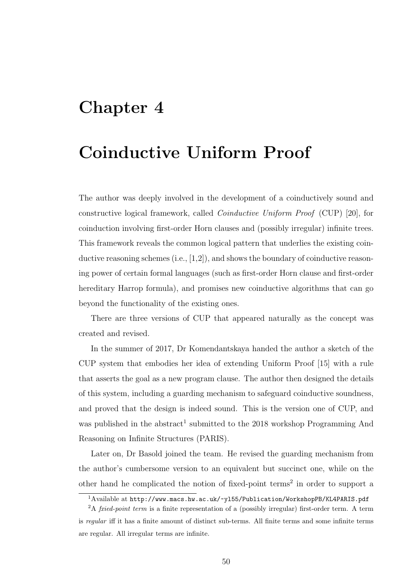# Chapter 4

# Coinductive Uniform Proof

The author was deeply involved in the development of a coinductively sound and constructive logical framework, called Coinductive Uniform Proof (CUP) [20], for coinduction involving first-order Horn clauses and (possibly irregular) infinite trees. This framework reveals the common logical pattern that underlies the existing coinductive reasoning schemes (i.e., [1,2]), and shows the boundary of coinductive reasoning power of certain formal languages (such as first-order Horn clause and first-order hereditary Harrop formula), and promises new coinductive algorithms that can go beyond the functionality of the existing ones.

There are three versions of CUP that appeared naturally as the concept was created and revised.

In the summer of 2017, Dr Komendantskaya handed the author a sketch of the CUP system that embodies her idea of extending Uniform Proof [15] with a rule that asserts the goal as a new program clause. The author then designed the details of this system, including a guarding mechanism to safeguard coinductive soundness, and proved that the design is indeed sound. This is the version one of CUP, and was published in the abstract<sup>1</sup> submitted to the  $2018$  workshop Programming And Reasoning on Infinite Structures (PARIS).

Later on, Dr Basold joined the team. He revised the guarding mechanism from the author's cumbersome version to an equivalent but succinct one, while on the other hand he complicated the notion of fixed-point terms<sup>2</sup> in order to support a

<sup>&</sup>lt;sup>1</sup>Available at http://www.macs.hw.ac.uk/~y155/Publication/WorkshopPB/KL4PARIS.pdf

<sup>&</sup>lt;sup>2</sup>A fxied-point term is a finite representation of a (possibly irregular) first-order term. A term is regular iff it has a finite amount of distinct sub-terms. All finite terms and some infinite terms are regular. All irregular terms are infinite.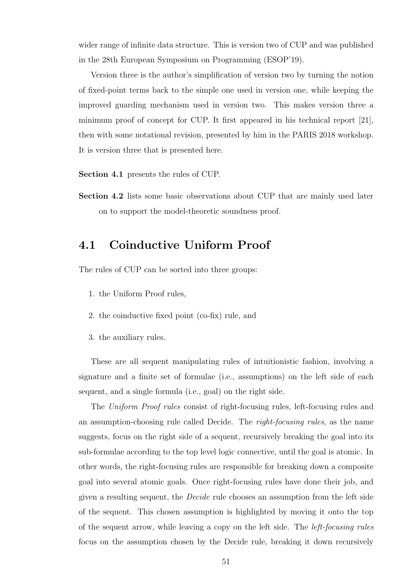wider range of infinite data structure. This is version two of CUP and was published in the 28th European Symposium on Programming (ESOP'19).

Version three is the author's simplification of version two by turning the notion of fixed-point terms back to the simple one used in version one, while keeping the improved guarding mechanism used in version two. This makes version three a minimum proof of concept for CUP. It first appeared in his technical report [21], then with some notational revision, presented by him in the PARIS 2018 workshop. It is version three that is presented here.

Section 4.1 presents the rules of CUP.

Section 4.2 lists some basic observations about CUP that are mainly used later on to support the model-theoretic soundness proof.

# 4.1 Coinductive Uniform Proof

The rules of CUP can be sorted into three groups:

- 1. the Uniform Proof rules,
- 2. the coinductive fixed point (co-fix) rule, and
- 3. the auxiliary rules.

These are all sequent manipulating rules of intuitionistic fashion, involving a signature and a finite set of formulae (i.e., assumptions) on the left side of each sequent, and a single formula (i.e., goal) on the right side.

The Uniform Proof rules consist of right-focusing rules, left-focusing rules and an assumption-choosing rule called Decide. The right-focusing rules, as the name suggests, focus on the right side of a sequent, recursively breaking the goal into its sub-formulae according to the top level logic connective, until the goal is atomic. In other words, the right-focusing rules are responsible for breaking down a composite goal into several atomic goals. Once right-focusing rules have done their job, and given a resulting sequent, the Decide rule chooses an assumption from the left side of the sequent. This chosen assumption is highlighted by moving it onto the top of the sequent arrow, while leaving a copy on the left side. The left-focusing rules focus on the assumption chosen by the Decide rule, breaking it down recursively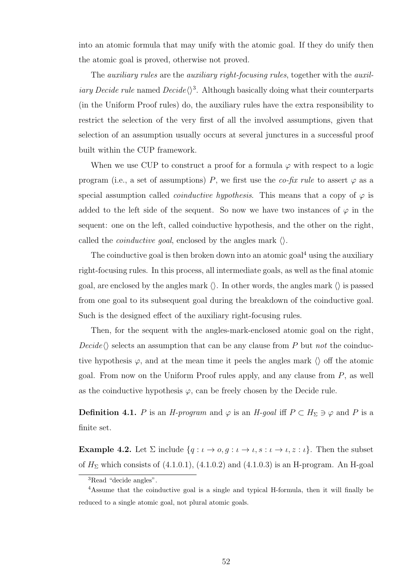into an atomic formula that may unify with the atomic goal. If they do unify then the atomic goal is proved, otherwise not proved.

The *auxiliary rules* are the *auxiliary right-focusing rules*, together with the *auxiliary Decide rule* named  $Decide \langle \rangle^3$ . Although basically doing what their counterparts (in the Uniform Proof rules) do, the auxiliary rules have the extra responsibility to restrict the selection of the very first of all the involved assumptions, given that selection of an assumption usually occurs at several junctures in a successful proof built within the CUP framework.

When we use CUP to construct a proof for a formula  $\varphi$  with respect to a logic program (i.e., a set of assumptions) P, we first use the co-fix rule to assert  $\varphi$  as a special assumption called *coinductive hypothesis*. This means that a copy of  $\varphi$  is added to the left side of the sequent. So now we have two instances of  $\varphi$  in the sequent: one on the left, called coinductive hypothesis, and the other on the right, called the *coinductive goal*, enclosed by the angles mark  $\langle \rangle$ .

The coinductive goal is then broken down into an atomic goal<sup>4</sup> using the auxiliary right-focusing rules. In this process, all intermediate goals, as well as the final atomic goal, are enclosed by the angles mark  $\langle \rangle$ . In other words, the angles mark  $\langle \rangle$  is passed from one goal to its subsequent goal during the breakdown of the coinductive goal. Such is the designed effect of the auxiliary right-focusing rules.

Then, for the sequent with the angles-mark-enclosed atomic goal on the right,  $Decide\langle\rangle$  selects an assumption that can be any clause from P but not the coinductive hypothesis  $\varphi$ , and at the mean time it peels the angles mark  $\langle \rangle$  off the atomic goal. From now on the Uniform Proof rules apply, and any clause from  $P$ , as well as the coinductive hypothesis  $\varphi$ , can be freely chosen by the Decide rule.

**Definition 4.1.** P is an H-program and  $\varphi$  is an H-goal iff  $P \subset H_{\Sigma} \ni \varphi$  and P is a finite set.

**Example 4.2.** Let  $\Sigma$  include  $\{q : \iota \to o, g : \iota \to \iota, s : \iota \to \iota, z : \iota\}$ . Then the subset of  $H<sub>\Sigma</sub>$  which consists of (4.1.0.1), (4.1.0.2) and (4.1.0.3) is an H-program. An H-goal

<sup>3</sup>Read "decide angles".

<sup>4</sup>Assume that the coinductive goal is a single and typical H-formula, then it will finally be reduced to a single atomic goal, not plural atomic goals.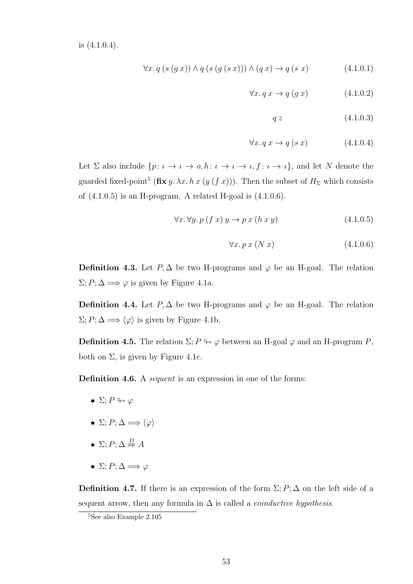is (4.1.0.4).

$$
\forall x. q \left( s \left( g \right. x \right) \right) \land q \left( s \left( g \left( s \right. x \right) \right) \right) \land \left( q \right. x \right) \rightarrow q \left( s \right. x \right) \tag{4.1.0.1}
$$

$$
\forall x. q \, x \to q \left( g \, x \right) \tag{4.1.0.2}
$$

$$
q \, z \tag{4.1.0.3}
$$

$$
\forall x. q \, x \to q \, (s \, x) \tag{4.1.0.4}
$$

Let  $\Sigma$  also include  $\{p: \iota \to \iota \to o, h: \iota \to \iota \to \iota, f: \iota \to \iota\}$ , and let N denote the guarded fixed-point<sup>5</sup> (fix y.  $\lambda x. h x (y (f x))$ ). Then the subset of  $H_{\Sigma}$  which consists of  $(4.1.0.5)$  is an H-program. A related H-goal is  $(4.1.0.6)$ .

$$
\forall x. \forall y. \, p \left( f \, x \right) \, y \to p \, x \left( h \, x \, y \right) \tag{4.1.0.5}
$$

$$
\forall x. \, p \, x \, (N \, x) \tag{4.1.0.6}
$$

**Definition 4.3.** Let  $P, \Delta$  be two H-programs and  $\varphi$  be an H-goal. The relation  $\Sigma; P; \Delta \Longrightarrow \varphi$  is given by Figure 4.1a.

**Definition 4.4.** Let  $P, \Delta$  be two H-programs and  $\varphi$  be an H-goal. The relation  $\Sigma; P; \Delta \Longrightarrow \langle \varphi \rangle$  is given by Figure 4.1b.

**Definition 4.5.** The relation  $\Sigma: P \rightarrow \varphi$  between an H-goal  $\varphi$  and an H-program P, both on  $\Sigma$ , is given by Figure 4.1c.

Definition 4.6. A *sequent* is an expression in one of the forms:

- $\Sigma: P \looparrowright \varphi$
- $\Sigma; P; \Delta \Longrightarrow \langle \varphi \rangle$
- $\Sigma; P; \Delta \stackrel{D}{\Rightarrow} A$
- $\Sigma: P: \Delta \Longrightarrow \varphi$

**Definition 4.7.** If there is an expression of the form  $\Sigma; P; \Delta$  on the left side of a sequent arrow, then any formula in  $\Delta$  is called a *coinductive hypothesis*.

<sup>5</sup>See also Example 2.105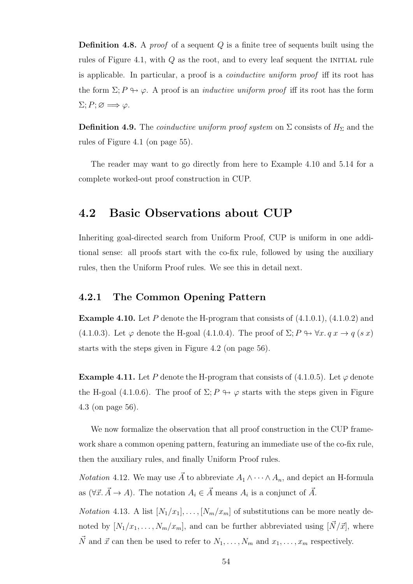**Definition 4.8.** A *proof* of a sequent  $Q$  is a finite tree of sequents built using the rules of Figure 4.1, with  $Q$  as the root, and to every leaf sequent the INITIAL rule is applicable. In particular, a proof is a coinductive uniform proof iff its root has the form  $\Sigma: P \mapsto \varphi$ . A proof is an *inductive uniform proof* iff its root has the form  $\Sigma; P; \varnothing \Longrightarrow \varphi.$ 

**Definition 4.9.** The *coinductive uniform proof system* on  $\Sigma$  consists of  $H_{\Sigma}$  and the rules of Figure 4.1 (on page 55).

The reader may want to go directly from here to Example 4.10 and 5.14 for a complete worked-out proof construction in CUP.

### 4.2 Basic Observations about CUP

Inheriting goal-directed search from Uniform Proof, CUP is uniform in one additional sense: all proofs start with the co-fix rule, followed by using the auxiliary rules, then the Uniform Proof rules. We see this in detail next.

#### 4.2.1 The Common Opening Pattern

**Example 4.10.** Let P denote the H-program that consists of  $(4.1.0.1)$ ,  $(4.1.0.2)$  and (4.1.0.3). Let  $\varphi$  denote the H-goal (4.1.0.4). The proof of  $\Sigma; P \leftrightarrow \forall x. q x \rightarrow q (s x)$ starts with the steps given in Figure 4.2 (on page 56).

**Example 4.11.** Let P denote the H-program that consists of (4.1.0.5). Let  $\varphi$  denote the H-goal (4.1.0.6). The proof of  $\Sigma: P \rightarrow \varphi$  starts with the steps given in Figure 4.3 (on page 56).

We now formalize the observation that all proof construction in the CUP framework share a common opening pattern, featuring an immediate use of the co-fix rule, then the auxiliary rules, and finally Uniform Proof rules.

*Notation* 4.12. We may use  $\vec{A}$  to abbreviate  $A_1 \wedge \cdots \wedge A_n$ , and depict an H-formula as  $(\forall \vec{x}. \vec{A} \rightarrow A)$ . The notation  $A_i \in \vec{A}$  means  $A_i$  is a conjunct of  $\vec{A}$ .

*Notation* 4.13. A list  $[N_1/x_1], \ldots, [N_m/x_m]$  of substitutions can be more neatly denoted by  $[N_1/x_1, \ldots, N_m/x_m]$ , and can be further abbreviated using  $[\vec{N}/\vec{x}]$ , where  $\vec{N}$  and  $\vec{x}$  can then be used to refer to  $N_1, \ldots, N_m$  and  $x_1, \ldots, x_m$  respectively.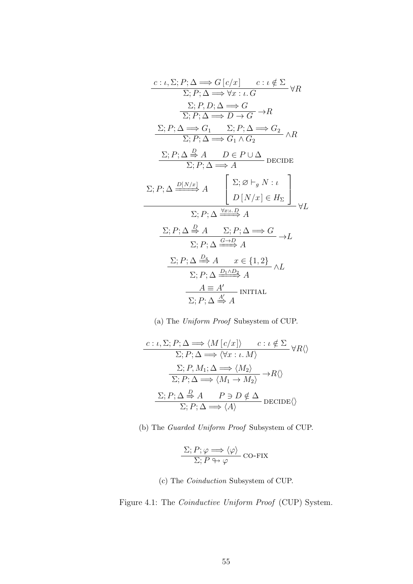$$
\frac{c : \iota, \Sigma; P; \Delta \Longrightarrow G[c/x] \quad c : \iota \notin \Sigma}{\Sigma; P; \Delta \Longrightarrow \forall x : \iota. G} \forall R
$$
\n
$$
\frac{\Sigma; P, D; \Delta \Longrightarrow G}{\Sigma; P; \Delta \Longrightarrow D \to G} \to R
$$
\n
$$
\frac{\Sigma; P; \Delta \Longrightarrow G_1 \quad \Sigma; P; \Delta \Longrightarrow G_2}{\Sigma; P; \Delta \Longrightarrow G_1 \land G_2} \land R
$$
\n
$$
\frac{\Sigma; P; \Delta \Longrightarrow A \quad D \in P \cup \Delta}{\Sigma; P; \Delta \Longrightarrow A} \text{DECIDE}
$$
\n
$$
\Sigma; P; \Delta \stackrel{D[N/x]}{\Longrightarrow} A \quad \left[ \begin{array}{c} \Sigma; \varnothing \vdash_g N : \iota \\ D[N/x] \in H_{\Sigma} \end{array} \right] \forall L
$$
\n
$$
\frac{\Sigma; P; \Delta \stackrel{\forall x : \iota. D}{\Longrightarrow} A}{\Sigma; P; \Delta \stackrel{\forall x : \iota. D}{\Longrightarrow} A} \land L
$$
\n
$$
\frac{\Sigma; P; \Delta \stackrel{\exists x : \iota. D}{\Longrightarrow} A}{\Sigma; P; \Delta \stackrel{G \to D}{\Longrightarrow} A} \land L
$$
\n
$$
\frac{\Sigma; P; \Delta \stackrel{\exists x : \iota. D}{\Longrightarrow} A}{\Sigma; P; \Delta \stackrel{G \to D}{\Longrightarrow} A} \land L
$$
\n
$$
\frac{A \equiv A'}{\Sigma; P; \Delta \stackrel{D_1 \land D_2}{\Longrightarrow} A} \land L
$$

(a) The Uniform Proof Subsystem of CUP.

$$
\frac{c : \iota, \Sigma; P; \Delta \Longrightarrow \langle M [c/x] \rangle \qquad c : \iota \notin \Sigma}{\Sigma; P; \Delta \Longrightarrow \langle \forall x : \iota. M \rangle} \forall R \langle \rangle
$$

$$
\frac{\Sigma; P, M_1; \Delta \Longrightarrow \langle M_2 \rangle}{\Sigma; P; \Delta \Longrightarrow \langle M_1 \rightarrow M_2 \rangle} \rightarrow R \langle \rangle
$$

$$
\frac{\Sigma; P, \Delta \stackrel{D}{\Longrightarrow} A \qquad P \ni D \notin \Delta}{\Sigma; P; \Delta \Longrightarrow \langle A \rangle} \text{DECIDE} \langle \rangle
$$

(b) The Guarded Uniform Proof Subsystem of CUP.

$$
\frac{\Sigma; P; \varphi \Longrightarrow \langle \varphi \rangle}{\Sigma; P \leftrightarrow \varphi} \text{CO-FIX}
$$

#### (c) The Coinduction Subsystem of CUP.

Figure 4.1: The Coinductive Uniform Proof (CUP) System.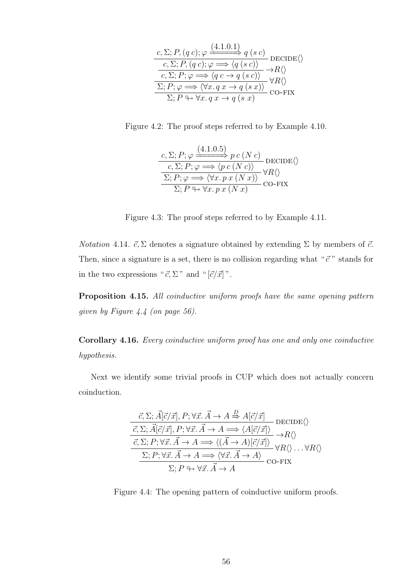| $c, \Sigma; P, (q c); \varphi \xrightarrow{(4.1.0.1)} q (s c)$ DECIDE $\langle \rangle$            |                                |
|----------------------------------------------------------------------------------------------------|--------------------------------|
| $c, \Sigma; P, (q c); \varphi \Longrightarrow \langle q (s c) \rangle$                             | $\rightarrow R\langle \rangle$ |
| $c, \Sigma; P; \varphi \Longrightarrow \langle q \ c \rightarrow \overline{q \ (s \ c)} \rangle$   | $\forall R \langle \rangle$    |
| $\overline{\Sigma; P; \varphi \Longrightarrow \langle \forall x. q x \rightarrow q (s x) \rangle}$ | CO-FIX                         |
| $\overline{\Sigma; P \looparrowright \forall x. q x \rightarrow q (s x)}$                          |                                |

Figure 4.2: The proof steps referred to by Example 4.10.

$$
\frac{c, \Sigma; P; \varphi \xrightarrow{(4.1.0.5)} p c (N c)}{\Sigma; P; \varphi \Longrightarrow \langle p c (N c) \rangle} \text{DECIDE}\langle \rangle
$$
  
\n
$$
\frac{\Sigma; P; \varphi \Longrightarrow \langle \forall x. p x (N x) \rangle}{\Sigma; P \leftrightarrow \forall x. p x (N x)} \forall R \langle \rangle
$$
  
\nCO-FIX

Figure 4.3: The proof steps referred to by Example 4.11.

*Notation* 4.14.  $\vec{c}$ ,  $\Sigma$  denotes a signature obtained by extending  $\Sigma$  by members of  $\vec{c}$ . Then, since a signature is a set, there is no collision regarding what " $\vec{c}$ " stands for in the two expressions " $\vec{c}$ ,  $\Sigma$ " and " $[\vec{c}/\vec{x}]$ ".

Proposition 4.15. All coinductive uniform proofs have the same opening pattern given by Figure 4.4 (on page 56).

Corollary 4.16. Every coinductive uniform proof has one and only one coinductive hypothesis.

Next we identify some trivial proofs in CUP which does not actually concern coinduction.

$$
\frac{\vec{c}, \Sigma; \vec{A}[\vec{c}/\vec{x}], P; \forall \vec{x}. \vec{A} \to A \stackrel{D}{\Rightarrow} A[\vec{c}/\vec{x}]}{\vec{c}, \Sigma; \vec{A}[\vec{c}/\vec{x}], P; \forall \vec{x}. \vec{A} \to A \implies \langle A[\vec{c}/\vec{x}] \rangle} \text{DECIDE}\langle \rangle
$$
\n
$$
\frac{\vec{c}, \Sigma; P; \forall \vec{x}. \vec{A} \to A \implies \langle (\vec{A} \to A)[\vec{c}/\vec{x}] \rangle}{\Sigma; P; \forall \vec{x}. \vec{A} \to A \implies \langle \forall \vec{x}. \vec{A} \to A \rangle} \text{CO-FIX}
$$
\n
$$
\Sigma; P \leftrightarrow \forall \vec{x}. \vec{A} \to A
$$

Figure 4.4: The opening pattern of coinductive uniform proofs.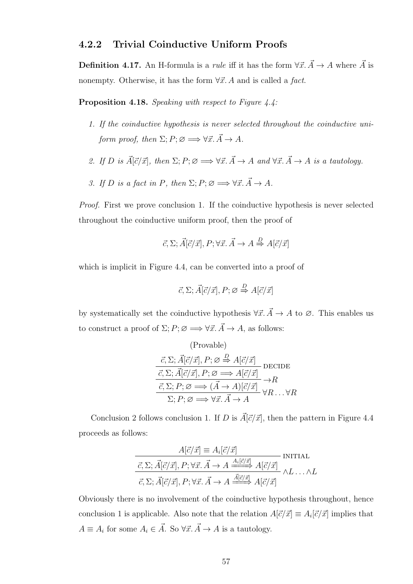#### 4.2.2 Trivial Coinductive Uniform Proofs

**Definition 4.17.** An H-formula is a *rule* iff it has the form  $\forall \vec{x} \cdot \vec{A} \rightarrow A$  where  $\vec{A}$  is nonempty. Otherwise, it has the form  $\forall \vec{x}$ . A and is called a fact.

Proposition 4.18. Speaking with respect to Figure 4.4:

- 1. If the coinductive hypothesis is never selected throughout the coinductive uniform proof, then  $\Sigma; P; \varnothing \Longrightarrow \forall \vec{x}. \vec{A} \to A$ .
- 2. If D is  $\vec{A}[\vec{c}/\vec{x}]$ , then  $\Sigma; P; \emptyset \Longrightarrow \forall \vec{x}. \vec{A} \to A$  and  $\forall \vec{x}. \vec{A} \to A$  is a tautology.
- 3. If D is a fact in P, then  $\Sigma; P; \emptyset \Longrightarrow \forall \vec{x}, \vec{A} \to A$ .

Proof. First we prove conclusion 1. If the coinductive hypothesis is never selected throughout the coinductive uniform proof, then the proof of

$$
\vec{c}, \Sigma; \vec{A}[\vec{c}/\vec{x}], P; \forall \vec{x}. \vec{A} \rightarrow A \stackrel{D}{\Rightarrow} A[\vec{c}/\vec{x}]
$$

which is implicit in Figure 4.4, can be converted into a proof of

$$
\vec{c}, \Sigma; \vec{A}[\vec{c}/\vec{x}], P; \varnothing \stackrel{D}{\Rightarrow} A[\vec{c}/\vec{x}]
$$

by systematically set the coinductive hypothesis  $\forall \vec{x}.\vec{A}\rightarrow A$  to  $\varnothing$ . This enables us to construct a proof of  $\Sigma; P; \varnothing \Longrightarrow \forall \vec{x}. \vec{A} \rightarrow A$ , as follows:

$$
(\text{Provable})
$$
\n
$$
\vec{c}, \Sigma; \vec{A}[\vec{c}/\vec{x}], P; \varnothing \stackrel{D}{\Rightarrow} A[\vec{c}/\vec{x}]
$$
\n
$$
\frac{\vec{c}, \Sigma; \vec{A}[\vec{c}/\vec{x}], P; \varnothing \implies A[\vec{c}/\vec{x}]}{\vec{c}, \Sigma; P; \varnothing \implies (\vec{A} \to A)[\vec{c}/\vec{x}]} \to R
$$
\n
$$
\Sigma; P; \varnothing \implies \forall \vec{x}, \vec{A} \to A
$$
\n
$$
\forall R \dots \forall R
$$

Conclusion 2 follows conclusion 1. If D is  $\vec{A}[\vec{c}/\vec{x}]$ , then the pattern in Figure 4.4 proceeds as follows:

$$
\frac{A[\vec{c}/\vec{x}] \equiv A_i[\vec{c}/\vec{x}]}{\vec{c}, \Sigma; \vec{A}[\vec{c}/\vec{x}], P; \forall \vec{x}. \vec{A} \to A \xrightarrow{A_i[\vec{c}/\vec{x}]} A[\vec{c}/\vec{x}]} \text{INITIAL}
$$
\n
$$
\vec{c}, \Sigma; \vec{A}[\vec{c}/\vec{x}], P; \forall \vec{x}. \vec{A} \to A \xrightarrow{\vec{A}[\vec{c}/\vec{x}]} A[\vec{c}/\vec{x}] \wedge L \dots \wedge L
$$

Obviously there is no involvement of the coinductive hypothesis throughout, hence conclusion 1 is applicable. Also note that the relation  $A[\vec{c}/\vec{x}] \equiv A_i[\vec{c}/\vec{x}]$  implies that  $A \equiv A_i$  for some  $A_i \in \vec{A}$ . So  $\forall \vec{x} \cdot \vec{A} \rightarrow A$  is a tautology.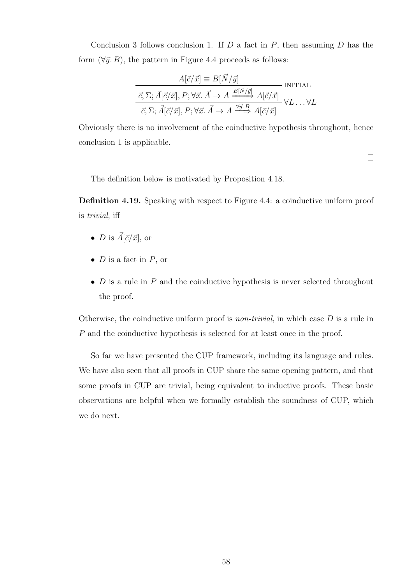Conclusion 3 follows conclusion 1. If  $D$  a fact in  $P$ , then assuming  $D$  has the form  $(\forall \vec{y}, B)$ , the pattern in Figure 4.4 proceeds as follows:

$$
A[\vec{c}/\vec{x}] \equiv B[\vec{N}/\vec{y}]
$$
INITIAL  

$$
\vec{c}, \Sigma; \vec{A}[\vec{c}/\vec{x}], P; \forall \vec{x}. \vec{A} \rightarrow A \xrightarrow{B[\vec{N}/\vec{y}]} A[\vec{c}/\vec{x}]
$$
IVITIAL  

$$
\vec{c}, \Sigma; \vec{A}[\vec{c}/\vec{x}], P; \forall \vec{x}. \vec{A} \rightarrow A \xrightarrow{\forall \vec{y}.B} A[\vec{c}/\vec{x}] \qquad \forall L \dots \forall L
$$

Obviously there is no involvement of the coinductive hypothesis throughout, hence conclusion 1 is applicable.

 $\Box$ 

The definition below is motivated by Proposition 4.18.

Definition 4.19. Speaking with respect to Figure 4.4: a coinductive uniform proof is trivial, iff

- *D* is  $\vec{A}[\vec{c}/\vec{x}]$ , or
- $D$  is a fact in  $P$ , or
- $D$  is a rule in  $P$  and the coinductive hypothesis is never selected throughout the proof.

Otherwise, the coinductive uniform proof is *non-trivial*, in which case  $D$  is a rule in P and the coinductive hypothesis is selected for at least once in the proof.

So far we have presented the CUP framework, including its language and rules. We have also seen that all proofs in CUP share the same opening pattern, and that some proofs in CUP are trivial, being equivalent to inductive proofs. These basic observations are helpful when we formally establish the soundness of CUP, which we do next.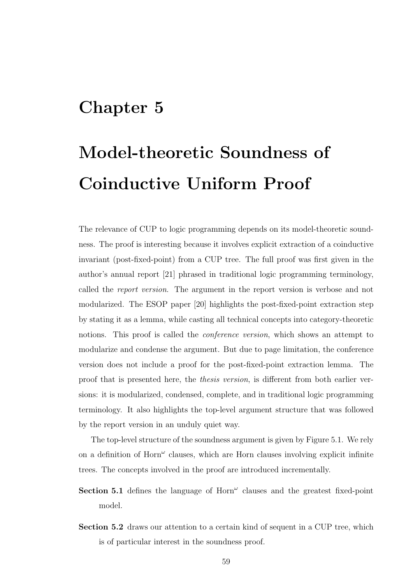# Chapter 5

# Model-theoretic Soundness of Coinductive Uniform Proof

The relevance of CUP to logic programming depends on its model-theoretic soundness. The proof is interesting because it involves explicit extraction of a coinductive invariant (post-fixed-point) from a CUP tree. The full proof was first given in the author's annual report [21] phrased in traditional logic programming terminology, called the report version. The argument in the report version is verbose and not modularized. The ESOP paper [20] highlights the post-fixed-point extraction step by stating it as a lemma, while casting all technical concepts into category-theoretic notions. This proof is called the *conference version*, which shows an attempt to modularize and condense the argument. But due to page limitation, the conference version does not include a proof for the post-fixed-point extraction lemma. The proof that is presented here, the thesis version, is different from both earlier versions: it is modularized, condensed, complete, and in traditional logic programming terminology. It also highlights the top-level argument structure that was followed by the report version in an unduly quiet way.

The top-level structure of the soundness argument is given by Figure 5.1. We rely on a definition of  $Horm^{\omega}$  clauses, which are Horn clauses involving explicit infinite trees. The concepts involved in the proof are introduced incrementally.

- Section 5.1 defines the language of  $Horn^{\omega}$  clauses and the greatest fixed-point model.
- Section 5.2 draws our attention to a certain kind of sequent in a CUP tree, which is of particular interest in the soundness proof.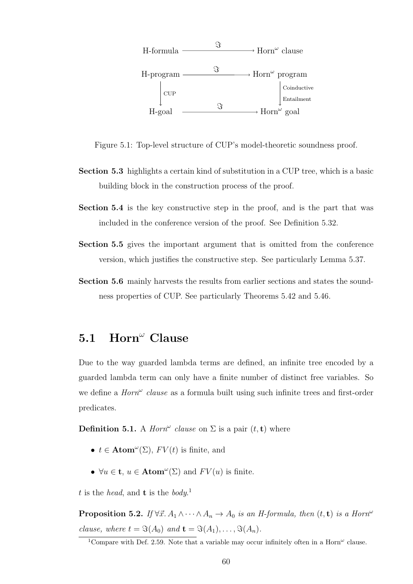

Figure 5.1: Top-level structure of CUP's model-theoretic soundness proof.

- Section 5.3 highlights a certain kind of substitution in a CUP tree, which is a basic building block in the construction process of the proof.
- Section 5.4 is the key constructive step in the proof, and is the part that was included in the conference version of the proof. See Definition 5.32.
- Section 5.5 gives the important argument that is omitted from the conference version, which justifies the constructive step. See particularly Lemma 5.37.
- Section 5.6 mainly harvests the results from earlier sections and states the soundness properties of CUP. See particularly Theorems 5.42 and 5.46.

# 5.1 Horn<sup> $\omega$ </sup> Clause

Due to the way guarded lambda terms are defined, an infinite tree encoded by a guarded lambda term can only have a finite number of distinct free variables. So we define a  $Horn^{\omega}$  clause as a formula built using such infinite trees and first-order predicates.

**Definition 5.1.** A *Horn*<sup> $\omega$ </sup> clause on  $\Sigma$  is a pair  $(t, t)$  where

- $t \in \text{Atom}^{\omega}(\Sigma)$ ,  $FV(t)$  is finite, and
- $\forall u \in \mathbf{t}, u \in \text{Atom}^{\omega}(\Sigma)$  and  $FV(u)$  is finite.

t is the head, and **t** is the body.<sup>1</sup>

**Proposition 5.2.** If  $\forall \vec{x} \, A_1 \wedge \cdots \wedge A_n \rightarrow A_0$  is an H-formula, then  $(t, t)$  is a Horn<sup> $\omega$ </sup> clause, where  $t = \Im(A_0)$  and  $\mathbf{t} = \Im(A_1), \dots, \Im(A_n)$ .

<sup>&</sup>lt;sup>1</sup>Compare with Def. 2.59. Note that a variable may occur infinitely often in a Horn<sup> $\omega$ </sup> clause.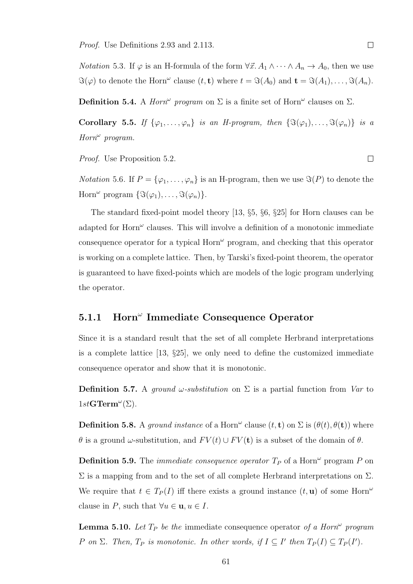Proof. Use Definitions 2.93 and 2.113.

*Notation* 5.3. If  $\varphi$  is an H-formula of the form  $\forall \vec{x} \, A_1 \wedge \cdots \wedge A_n \to A_0$ , then we use  $\Im(\varphi)$  to denote the Horn<sup> $\omega$ </sup> clause  $(t, \mathbf{t})$  where  $t = \Im(A_0)$  and  $\mathbf{t} = \Im(A_1), \ldots, \Im(A_n)$ .

**Definition 5.4.** A *Horn*<sup> $\omega$ </sup> program on  $\Sigma$  is a finite set of Horn<sup> $\omega$ </sup> clauses on  $\Sigma$ .

Corollary 5.5. If  $\{\varphi_1,\ldots,\varphi_n\}$  is an H-program, then  $\{\Im(\varphi_1),\ldots,\Im(\varphi_n)\}\$ is a  $Horn^{\omega}$  program.

Proof. Use Proposition 5.2.

*Notation* 5.6. If  $P = {\varphi_1, \ldots, \varphi_n}$  is an H-program, then we use  $\Im(P)$  to denote the Horn<sup> $\omega$ </sup> program  $\{\Im(\varphi_1), \ldots, \Im(\varphi_n)\}.$ 

The standard fixed-point model theory [13, §5, §6, §25] for Horn clauses can be adapted for  $Horm^{\omega}$  clauses. This will involve a definition of a monotonic immediate consequence operator for a typical  $\text{Horn}^{\omega}$  program, and checking that this operator is working on a complete lattice. Then, by Tarski's fixed-point theorem, the operator is guaranteed to have fixed-points which are models of the logic program underlying the operator.

# 5.1.1 Horn<sup>"</sup> Immediate Consequence Operator

Since it is a standard result that the set of all complete Herbrand interpretations is a complete lattice [13, §25], we only need to define the customized immediate consequence operator and show that it is monotonic.

**Definition 5.7.** A *ground ω-substitution* on  $\Sigma$  is a partial function from Var to  $1stGTerm^{\omega}(\Sigma).$ 

**Definition 5.8.** A ground instance of a Horn<sup> $\omega$ </sup> clause  $(t, \mathbf{t})$  on  $\Sigma$  is  $(\theta(t), \theta(\mathbf{t}))$  where  $\theta$  is a ground  $\omega$ -substitution, and  $FV(t) \cup FV(t)$  is a subset of the domain of  $\theta$ .

**Definition 5.9.** The *immediate consequence operator*  $T_P$  of a Horn<sup> $\omega$ </sup> program P on  $\Sigma$  is a mapping from and to the set of all complete Herbrand interpretations on  $\Sigma$ . We require that  $t \in T_P(I)$  iff there exists a ground instance  $(t, \mathbf{u})$  of some Horn<sup> $\omega$ </sup> clause in P, such that  $\forall u \in \mathbf{u}, u \in I$ .

**Lemma 5.10.** Let  $T_P$  be the immediate consequence operator of a Horn<sup> $\omega$ </sup> program P on  $\Sigma$ . Then,  $T_P$  is monotonic. In other words, if  $I \subseteq I'$  then  $T_P(I) \subseteq T_P(I')$ .

 $\Box$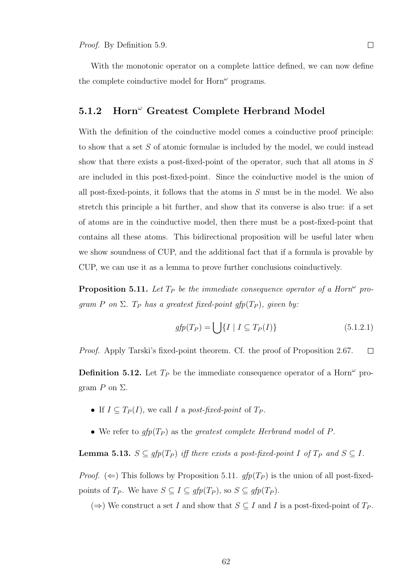With the monotonic operator on a complete lattice defined, we can now define the complete coinductive model for  $Horn^{\omega}$  programs.

#### 5.1.2 Horn<sup> $\omega$ </sup> Greatest Complete Herbrand Model

With the definition of the coinductive model comes a coinductive proof principle: to show that a set S of atomic formulae is included by the model, we could instead show that there exists a post-fixed-point of the operator, such that all atoms in S are included in this post-fixed-point. Since the coinductive model is the union of all post-fixed-points, it follows that the atoms in  $S$  must be in the model. We also stretch this principle a bit further, and show that its converse is also true: if a set of atoms are in the coinductive model, then there must be a post-fixed-point that contains all these atoms. This bidirectional proposition will be useful later when we show soundness of CUP, and the additional fact that if a formula is provable by CUP, we can use it as a lemma to prove further conclusions coinductively.

**Proposition 5.11.** Let  $T_P$  be the immediate consequence operator of a Horn<sup> $\omega$ </sup> program P on  $\Sigma$ . T<sub>P</sub> has a greatest fixed-point gfp(T<sub>P</sub>), given by:

$$
gfp(T_P) = \bigcup \{ I \mid I \subseteq T_P(I) \} \tag{5.1.2.1}
$$

Proof. Apply Tarski's fixed-point theorem. Cf. the proof of Proposition 2.67.  $\Box$ 

**Definition 5.12.** Let  $T_P$  be the immediate consequence operator of a Horn<sup> $\omega$ </sup> program  $P$  on  $\Sigma$ .

- If  $I \subseteq T_P(I)$ , we call I a post-fixed-point of  $T_P$ .
- We refer to  $gfp(T_P)$  as the greatest complete Herbrand model of P.

**Lemma 5.13.**  $S \subseteq gfp(T_P)$  iff there exists a post-fixed-point I of  $T_P$  and  $S \subseteq I$ .

*Proof.* ( $\Leftarrow$ ) This follows by Proposition 5.11. gfp(T<sub>P</sub>) is the union of all post-fixedpoints of  $T_P$ . We have  $S \subseteq I \subseteq gfp(T_P)$ , so  $S \subseteq gfp(T_P)$ .

(⇒) We construct a set I and show that  $S \subseteq I$  and I is a post-fixed-point of  $T_P$ .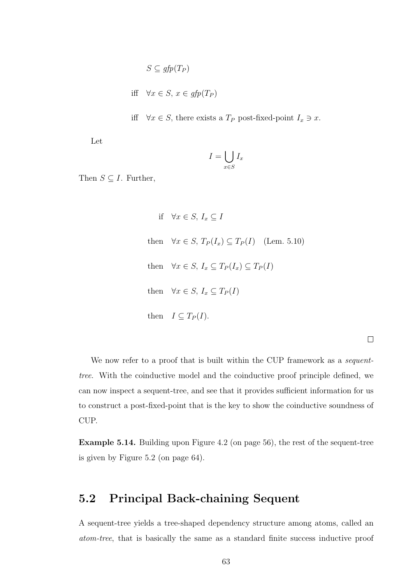$$
S \subseteq gfp(T_P)
$$

iff  $\forall x \in S, x \in qfp(T_P)$ 

iff  $\forall x \in S$ , there exists a  $T_P$  post-fixed-point  $I_x \ni x$ .

Let

$$
I = \bigcup_{x \in S} I_x
$$

Then  $S \subseteq I$ . Further,

if  $\forall x \in S, I_x \subseteq I$ then  $\forall x \in S$ ,  $T_P(I_x) \subseteq T_P(I)$  (Lem. 5.10) then  $\forall x \in S, I_x \subseteq T_P(I_x) \subseteq T_P(I)$ then  $\forall x \in S, I_x \subseteq T_P(I)$ then  $I \subseteq T_P(I)$ .

We now refer to a proof that is built within the CUP framework as a *sequent*tree. With the coinductive model and the coinductive proof principle defined, we can now inspect a sequent-tree, and see that it provides sufficient information for us to construct a post-fixed-point that is the key to show the coinductive soundness of CUP.

Example 5.14. Building upon Figure 4.2 (on page 56), the rest of the sequent-tree is given by Figure 5.2 (on page 64).

# 5.2 Principal Back-chaining Sequent

A sequent-tree yields a tree-shaped dependency structure among atoms, called an atom-tree, that is basically the same as a standard finite success inductive proof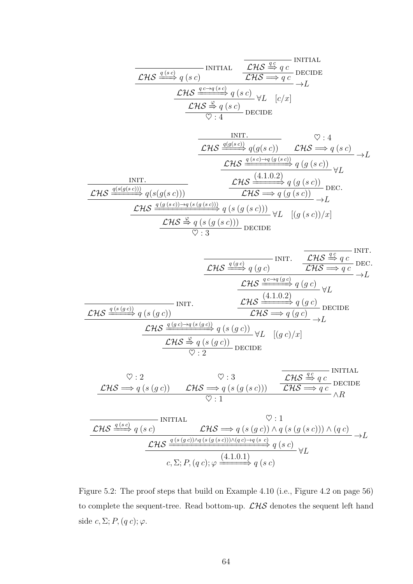| CHS                                                                                                                                                                                                                                                                                                                                                                                                                                                                                                                                                                                                                                                                                                                                                                                                                                                                                                                                                                                                                                                                                                                                                                                                                                                                         | WITIAL | CHS | CHS | IVITIAL |
|-----------------------------------------------------------------------------------------------------------------------------------------------------------------------------------------------------------------------------------------------------------------------------------------------------------------------------------------------------------------------------------------------------------------------------------------------------------------------------------------------------------------------------------------------------------------------------------------------------------------------------------------------------------------------------------------------------------------------------------------------------------------------------------------------------------------------------------------------------------------------------------------------------------------------------------------------------------------------------------------------------------------------------------------------------------------------------------------------------------------------------------------------------------------------------------------------------------------------------------------------------------------------------|--------|-----|-----|---------|
| $\mathcal{LHS} \xrightarrow{q(s)} q(sc)$                                                                                                                                                                                                                                                                                                                                                                                                                                                                                                                                                                                                                                                                                                                                                                                                                                                                                                                                                                                                                                                                                                                                                                                                                                    | WITIAL |     |     |         |
| $\mathcal{LHS} \xrightarrow{q \leftarrow q(sc)} \mathbb{C} \mathbb{C} \mathbb{C} \mathbb{C} \mathbb{C} \mathbb{C} \mathbb{C} \mathbb{C} \mathbb{C} \mathbb{C} \mathbb{C} \mathbb{C} \mathbb{C} \mathbb{C} \mathbb{C} \mathbb{C} \mathbb{C} \mathbb{C} \mathbb{C} \mathbb{C} \mathbb{C} \mathbb{C} \mathbb{C} \mathbb{C} \mathbb{C} \mathbb{C} \mathbb{C} \mathbb{C} \mathbb{C} \mathbb{C} \mathbb{C} \mathbb{C} \mathbb{C} \mathbb{C} \mathbb{C} \mathbb{C} \mathbb{C} \mathbb{C} \mathbb{C} \mathbb{C} \mathbb{C} \mathbb{C} \mathbb{C} \mathbb{C} \mathbb{C} \mathbb{C} \mathbb{C} \mathbb{C} \mathbb{C} \mathbb{C} \mathbb{C} \mathbb{C} \mathbb{C} \mathbb{C} \mathbb{C} \mathbb{C} \mathbb{C} \mathbb{C} \mathbb{C} \mathbb{C} \mathbb{C} \mathbb{C} \mathbb{C} \mathbb{C} \mathbb{C} \mathbb{C} \mathbb{C} \mathbb{C} \mathbb{C} \mathbb{C} \mathbb{C} \mathbb{C} \mathbb{C} \mathbb{C} \mathbb{C} \mathbb{C} \mathbb{C} \mathbb{C} \mathbb{C} \mathbb{C} \mathbb{C} \mathbb{C} \mathbb{C} \mathbb{C} \mathbb{C} \mathbb{C} \mathbb{C} \mathbb{C} \mathbb{C} \mathbb{C} \mathbb{C} \mathbb{C} \mathbb{C} \mathbb{C} \mathbb{C} \mathbb{C} \mathbb{C} \mathbb{C} \mathbb{C} \mathbb{C} \mathbb{C} \mathbb{C} \mathbb{C} \mathbb{C} \mathbb{C} \mathbb{C} \mathbb{C} \$ |        |     |     |         |

$$
\frac{\mathcal{LHS}}{\mathcal{LHS}} \xrightarrow{q(gc)} q(gc) \qquad \text{INIT.} \qquad \frac{\mathcal{LHS}}{\mathcal{LHS}} \xrightarrow{q(c)} \text{DEC.}
$$
\n
$$
\frac{\mathcal{LHS}}{\mathcal{LHS}} \xrightarrow{q(c)} q(gc) \qquad \qquad \mathcal{LHS}} \xrightarrow{q(c \to q(c))} q(gc) \qquad \qquad \mathcal{LHS} \xrightarrow{q(s)} q(gc) \qquad \qquad \mathcal{LHS} \xrightarrow{q(s)} q(gc) \qquad \qquad \mathcal{LHS} \xrightarrow{q(gc) \to q(s(gc))} q(s(gc)) \qquad \qquad \mathcal{LHS} \xrightarrow{q(gc) \to q(s(gc))} q(s(gc)) \qquad \qquad \mathcal{LHS} \xrightarrow{\varphi} q(s(gc)) \qquad \qquad \mathcal{LHS} \xrightarrow{\varphi} q(s(gc)) \qquad \qquad \mathcal{LHS} \xrightarrow{\varphi} q(s(gc)) \qquad \qquad \mathcal{LHS} \xrightarrow{\varphi} q(s(gc)) \qquad \qquad \mathcal{LHS} \xrightarrow{\varphi} q(s(gc)) \qquad \qquad \mathcal{LHS} \xrightarrow{\varphi} q(s(gc)) \qquad \qquad \mathcal{LHS} \xrightarrow{\varphi} q(s(gc)) \qquad \qquad \mathcal{LHS} \xrightarrow{\varphi} q(s(gc)) \qquad \qquad \mathcal{LHS} \xrightarrow{\varphi} q(s(gc)) \qquad \qquad \mathcal{LHS} \xrightarrow{\varphi} q(s(gc)) \qquad \qquad \mathcal{LHS} \xrightarrow{\varphi} q(s(gc)) \qquad \qquad \mathcal{LHS} \xrightarrow{\varphi} q(s(gc)) \qquad \qquad \mathcal{LHS} \xrightarrow{\varphi} q(s(gc)) \qquad \qquad \mathcal{LHS} \xrightarrow{\varphi} q(s(gc)) \qquad \qquad \mathcal{LHS} \xrightarrow{\varphi} q(s(gc)) \qquad \qquad \mathcal{LHS} \xrightarrow{\varphi} q(s(gc)) \qquad \qquad \mathcal{LHS} \xrightarrow{\varphi} q(s(gc)) \qquad \qquad \mathcal{LHS} \xrightarrow{\varphi} q(s(gc)) \qquad \qquad \mathcal{LHS} \xrightarrow{\varphi} q(s(gc)) \qquad \qquad \mathcal{LHS} \xrightarrow{\varphi} q(s(gc)) \qquad \qquad \mathcal{L
$$

$$
\heartsuit: 2 \qquad \heartsuit: 3 \qquad \qquad \frac{\mathcal{LHS} \stackrel{q}{\Rightarrow} q \ c}{\mathcal{LHS} \stackrel{\text{def}}{\Rightarrow} q \ (s \ (g \ c))} \qquad \mathcal{LHS} \stackrel{q}{\Longrightarrow} \frac{\mathcal{LHS} \stackrel{q}{\Rightarrow} q \ c}{\mathcal{LHS} \stackrel{\text{DECIDE}}{\Longrightarrow} q \ c} \wedge R
$$

$$
\mathcal{LHS} \xrightarrow{q(s c)} q(s c) \xrightarrow{\text{INITIAL}} \mathcal{LHS} \xrightarrow{\varphi} q(s (g c)) \land q(s (g (s c))) \land (q c)
$$
\n
$$
\mathcal{LHS} \xrightarrow{\underline{q(s (g c))} \land q(s (g (s c))) \land (q c) \rightarrow q(s (s c))} \neg L
$$
\n
$$
c, \Sigma; P, (q c); \varphi \xrightarrow{(4.1.0.1)} q(s c)
$$

Figure 5.2: The proof steps that build on Example 4.10 (i.e., Figure 4.2 on page 56) to complete the sequent-tree. Read bottom-up.  $\mathcal{LHS}$  denotes the sequent left hand side  $c, \Sigma; P, (q\,c); \varphi$ .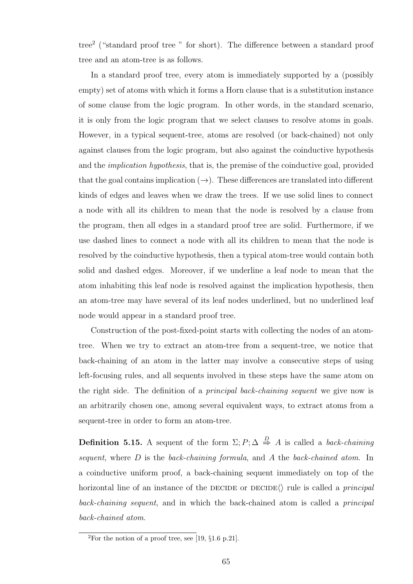tree<sup>2</sup> ("standard proof tree " for short). The difference between a standard proof tree and an atom-tree is as follows.

In a standard proof tree, every atom is immediately supported by a (possibly empty) set of atoms with which it forms a Horn clause that is a substitution instance of some clause from the logic program. In other words, in the standard scenario, it is only from the logic program that we select clauses to resolve atoms in goals. However, in a typical sequent-tree, atoms are resolved (or back-chained) not only against clauses from the logic program, but also against the coinductive hypothesis and the implication hypothesis, that is, the premise of the coinductive goal, provided that the goal contains implication  $(\rightarrow)$ . These differences are translated into different kinds of edges and leaves when we draw the trees. If we use solid lines to connect a node with all its children to mean that the node is resolved by a clause from the program, then all edges in a standard proof tree are solid. Furthermore, if we use dashed lines to connect a node with all its children to mean that the node is resolved by the coinductive hypothesis, then a typical atom-tree would contain both solid and dashed edges. Moreover, if we underline a leaf node to mean that the atom inhabiting this leaf node is resolved against the implication hypothesis, then an atom-tree may have several of its leaf nodes underlined, but no underlined leaf node would appear in a standard proof tree.

Construction of the post-fixed-point starts with collecting the nodes of an atomtree. When we try to extract an atom-tree from a sequent-tree, we notice that back-chaining of an atom in the latter may involve a consecutive steps of using left-focusing rules, and all sequents involved in these steps have the same atom on the right side. The definition of a *principal back-chaining sequent* we give now is an arbitrarily chosen one, among several equivalent ways, to extract atoms from a sequent-tree in order to form an atom-tree.

**Definition 5.15.** A sequent of the form  $\Sigma; P; \Delta \stackrel{D}{\Rightarrow} A$  is called a *back-chaining* sequent, where  $D$  is the back-chaining formula, and  $A$  the back-chained atom. In a coinductive uniform proof, a back-chaining sequent immediately on top of the horizontal line of an instance of the DECIDE or DECIDE $\langle \rangle$  rule is called a *principal* back-chaining sequent, and in which the back-chained atom is called a principal back-chained atom.

<sup>&</sup>lt;sup>2</sup>For the notion of a proof tree, see [19,  $\S1.6$  p. 21].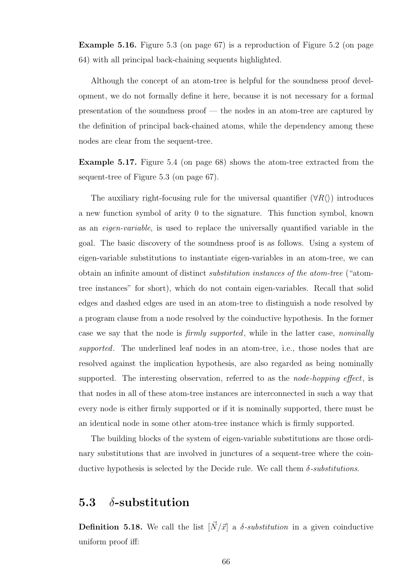Example 5.16. Figure 5.3 (on page 67) is a reproduction of Figure 5.2 (on page 64) with all principal back-chaining sequents highlighted.

Although the concept of an atom-tree is helpful for the soundness proof development, we do not formally define it here, because it is not necessary for a formal presentation of the soundness proof — the nodes in an atom-tree are captured by the definition of principal back-chained atoms, while the dependency among these nodes are clear from the sequent-tree.

Example 5.17. Figure 5.4 (on page 68) shows the atom-tree extracted from the sequent-tree of Figure 5.3 (on page 67).

The auxiliary right-focusing rule for the universal quantifier  $(\forall R \langle \rangle)$  introduces a new function symbol of arity 0 to the signature. This function symbol, known as an eigen-variable, is used to replace the universally quantified variable in the goal. The basic discovery of the soundness proof is as follows. Using a system of eigen-variable substitutions to instantiate eigen-variables in an atom-tree, we can obtain an infinite amount of distinct substitution instances of the atom-tree ("atomtree instances" for short), which do not contain eigen-variables. Recall that solid edges and dashed edges are used in an atom-tree to distinguish a node resolved by a program clause from a node resolved by the coinductive hypothesis. In the former case we say that the node is firmly supported, while in the latter case, nominally supported. The underlined leaf nodes in an atom-tree, i.e., those nodes that are resolved against the implication hypothesis, are also regarded as being nominally supported. The interesting observation, referred to as the *node-hopping effect*, is that nodes in all of these atom-tree instances are interconnected in such a way that every node is either firmly supported or if it is nominally supported, there must be an identical node in some other atom-tree instance which is firmly supported.

The building blocks of the system of eigen-variable substitutions are those ordinary substitutions that are involved in junctures of a sequent-tree where the coinductive hypothesis is selected by the Decide rule. We call them  $\delta$ -substitutions.

### 5.3  $\delta$ -substitution

**Definition 5.18.** We call the list  $[\vec{N}/\vec{x}]$  a  $\delta$ -substitution in a given coinductive uniform proof iff: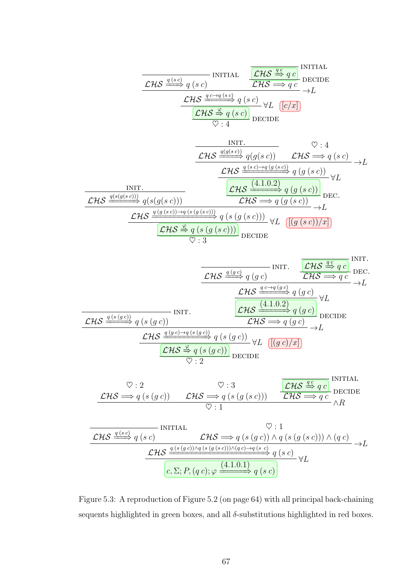$$
\frac{\mathcal{LHS}}{\mathcal{LHS}} \xrightarrow{q(sc)} q(sc) \qquad \qquad \frac{\mathcal{LHS}}{\mathcal{LHS}} \xrightarrow{q(c)} \text{DECIDE}
$$
\n
$$
\xrightarrow{\mathcal{LHS}} \xrightarrow{q(c\rightarrow q(sc)} q(sc) \qquad \forall L \quad \boxed{c/x}} \rightarrow L
$$
\n
$$
\xrightarrow{\mathcal{LHS}} \xrightarrow{\mathcal{LHS}} q(sc) \qquad \forall L \quad \boxed{c/x}
$$
\n
$$
\vee : 4 \qquad \qquad \text{DECIDE}
$$

| INIT.                                                                                       | ③: 4                                                                                           |                                                                                  |                                                  |                                                                                                                                                                                                                                                                                                                                                                                                                                                                                                                                                                                                                                                                                                                                                                                                                                                                                                                                                                                                                          |
|---------------------------------------------------------------------------------------------|------------------------------------------------------------------------------------------------|----------------------------------------------------------------------------------|--------------------------------------------------|--------------------------------------------------------------------------------------------------------------------------------------------------------------------------------------------------------------------------------------------------------------------------------------------------------------------------------------------------------------------------------------------------------------------------------------------------------------------------------------------------------------------------------------------------------------------------------------------------------------------------------------------------------------------------------------------------------------------------------------------------------------------------------------------------------------------------------------------------------------------------------------------------------------------------------------------------------------------------------------------------------------------------|
| $\mathcal{CHS} \xrightarrow{q(g(s c))} q(g(s c))} \mathcal{LHS} \xrightarrow{\cong} q(s c)$ | $\mathcal{CHS} \xrightarrow{q(s c) \to q(g(s c))} q(s c)$                                      | $\mathcal{LHS} \xrightarrow{q(s c) \to q(g(s c))} q(g(s c))} \forall L$          |                                                  |                                                                                                                                                                                                                                                                                                                                                                                                                                                                                                                                                                                                                                                                                                                                                                                                                                                                                                                                                                                                                          |
| $\mathcal{CHS} \xrightarrow{q(s(g(s c)))} q(s(g(s c)))$                                     | $\mathcal{CHS} \xrightarrow{q(g(s c))} q(g(s c))} \mathcal{LHS} \xrightarrow{\cong} q(g(s c))$ | $\mathcal{LHS} \xrightarrow{q(g(s c)) \to q(s(g(s c)))} q(s(g(s c)))} \forall L$ | $\mathcal{CHS} \xrightarrow{\cong} q(s(g(s c)))$ | $\mathcal{LHS} \xrightarrow{q(g(s c))} \mathcal{LHS} \xrightarrow{q(g(s c))} \mathcal{LHS} \xrightarrow{q(g(s c))} \mathcal{LHS} \xrightarrow{q(g(s c))} \mathcal{LHS} \xrightarrow{q(g(s c))} \mathcal{LHS} \xrightarrow{q(g(s c))} \mathcal{LHS} \xrightarrow{q(g(s c))} \mathcal{LHS} \xrightarrow{q(g(s c))} \mathcal{LHS} \xrightarrow{q(g(s c))} \mathcal{LHS} \xrightarrow{q(g(s c))} \mathcal{LHS} \xrightarrow{q(g(s c))} \mathcal{LHS} \xrightarrow{q(g(s c))} \mathcal{LHS} \xrightarrow{q(g(s c))} \mathcal{LHS} \xrightarrow{q(g(s c))} \mathcal{LHS} \xrightarrow{q(g(s c))} \mathcal{LHS} \xrightarrow{q(g(s c))} \mathcal{LHS} \xrightarrow{q(g(s c))} \mathcal{LHS} \xrightarrow{q(g(s c))} \mathcal{LHS} \xrightarrow{q(g(s c))} \mathcal{LHS} \xrightarrow{q(g(s c))} \mathcal{LHS} \xrightarrow{q(g(s c))} \mathcal{LHS} \xrightarrow{q(g(s c))} \mathcal{LHS} \xrightarrow{q(g(s c))} \mathcal{LHS} \xrightarrow{q(g(s c))} \mathcal{LHS} \xrightarrow{q(g(s c))} \mathcal{LHS} \xrightarrow{q(g(s$ |

$$
\frac{\mathcal{LHS}}{\mathcal{LHS}} \xrightarrow{q(gc)} q(gc) \qquad \text{INT.} \qquad \frac{\mathcal{LHS}}{\mathcal{LHS}} \xrightarrow{q(c)} q(c) \qquad \text{DEC.}
$$
\n
$$
\frac{\mathcal{LHS}}{\mathcal{LHS}} \xrightarrow{q(s+q)(c)} q(gc) \qquad \text{CHS}} \xrightarrow{q(c+q)(c)} q(gc) \qquad \text{CHS}} \xrightarrow{q(gc)} q(gc) \qquad \text{DECIDE}
$$
\n
$$
\frac{\mathcal{LHS}}{\mathcal{LHS}} \xrightarrow{q(gc)\rightarrow q(s(gc))} q(s(gc)) \qquad \mathcal{LHS}} \xrightarrow{q(gc)} q(c) \qquad \text{DECIDE}
$$
\n
$$
\frac{\mathcal{LHS}}{\mathcal{LHS}} \xrightarrow{q(g(c))} q(s(gc)) \qquad \text{DECIDE}} \qquad \text{CHS} \xrightarrow{\sim} q(s(gc)) \qquad \text{DECIDE}
$$
\n
$$
\frac{\mathcal{LHS}}{\mathcal{LHS}} \xrightarrow{q(s(gc))} \mathcal{LHS} \xrightarrow{q(s)} q(s(g(sc))) \qquad \mathcal{LHS}} \xrightarrow{q(c)} \text{DECIDE}
$$
\n
$$
\frac{\mathcal{LHS}}{\mathcal{LHS}} \xrightarrow{q(s(c))} \mathcal{LHS} \xrightarrow{q(s(g(c)) \land q(s(g(sc))) \land (q(c))} \land R \qquad \text{CHS}} \xrightarrow{\text{INTIAL}} \mathcal{LHS} \xrightarrow{q(s(c)) \land q(s(g(sc))) \land (q(c))} \text{LHS}} \xrightarrow{\text{LHS}} q(sc) \qquad \text{LHS} \xrightarrow{q(s(c)) \land q(s(g(sc))) \land (q(c))} \text{LHS}
$$
\n
$$
\frac{\mathcal{LHS}}{\mathcal{LHS}} \xrightarrow{q(s(gc)) \land q(s(g(sc))) \land (q(c))} \text{LHS}} q(sc) \qquad \text{LHS} \xrightarrow{\text{GHS}} q(sc) \qquad \text{LHS}} \text{LHS}
$$

Figure 5.3: A reproduction of Figure 5.2 (on page 64) with all principal back-chaining sequents highlighted in green boxes, and all  $\delta$ -substitutions highlighted in red boxes.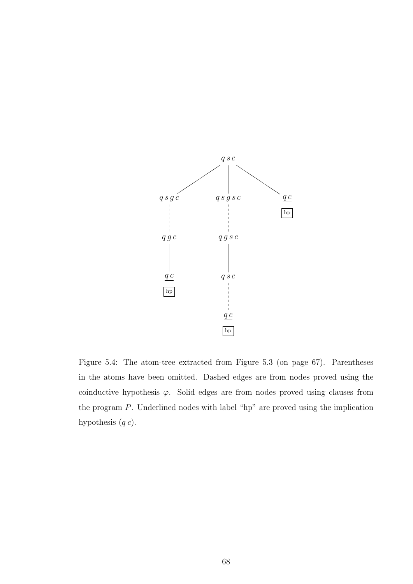

Figure 5.4: The atom-tree extracted from Figure 5.3 (on page 67). Parentheses in the atoms have been omitted. Dashed edges are from nodes proved using the coinductive hypothesis  $\varphi$ . Solid edges are from nodes proved using clauses from the program  $P$ . Underlined nodes with label "hp" are proved using the implication hypothesis  $(q c)$ .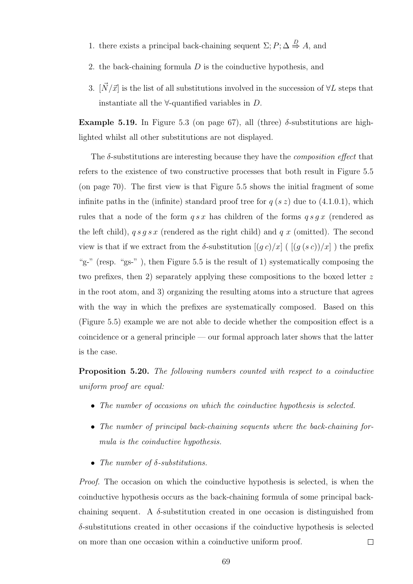- 1. there exists a principal back-chaining sequent  $\Sigma; P; \Delta \stackrel{D}{\Rightarrow} A$ , and
- 2. the back-chaining formula D is the coinductive hypothesis, and
- 3.  $[\vec{N}/\vec{x}]$  is the list of all substitutions involved in the succession of  $\forall L$  steps that instantiate all the  $\forall$ -quantified variables in  $D$ .

Example 5.19. In Figure 5.3 (on page 67), all (three)  $\delta$ -substitutions are highlighted whilst all other substitutions are not displayed.

The  $\delta$ -substitutions are interesting because they have the *composition effect* that refers to the existence of two constructive processes that both result in Figure 5.5 (on page 70). The first view is that Figure 5.5 shows the initial fragment of some infinite paths in the (infinite) standard proof tree for  $q(s z)$  due to (4.1.0.1), which rules that a node of the form  $q s x$  has children of the forms  $q s q x$  (rendered as the left child),  $q s q s x$  (rendered as the right child) and  $q x$  (omitted). The second view is that if we extract from the  $\delta$ -substitution  $[(g c)/x]$  ( $[(g (s c))/x]$ ) the prefix "g-" (resp. "gs-" ), then Figure 5.5 is the result of 1) systematically composing the two prefixes, then 2) separately applying these compositions to the boxed letter z in the root atom, and 3) organizing the resulting atoms into a structure that agrees with the way in which the prefixes are systematically composed. Based on this (Figure 5.5) example we are not able to decide whether the composition effect is a coincidence or a general principle — our formal approach later shows that the latter is the case.

Proposition 5.20. The following numbers counted with respect to a coinductive uniform proof are equal:

- The number of occasions on which the coinductive hypothesis is selected.
- The number of principal back-chaining sequents where the back-chaining formula is the coinductive hypothesis.
- The number of  $\delta$ -substitutions.

Proof. The occasion on which the coinductive hypothesis is selected, is when the coinductive hypothesis occurs as the back-chaining formula of some principal backchaining sequent. A  $\delta$ -substitution created in one occasion is distinguished from  $\delta$ -substitutions created in other occasions if the coinductive hypothesis is selected on more than one occasion within a coinductive uniform proof.  $\Box$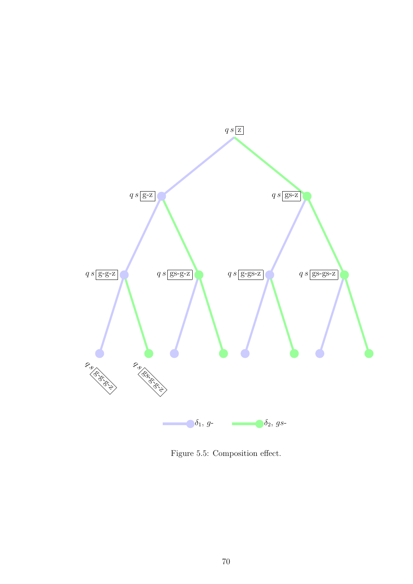

Figure 5.5: Composition effect.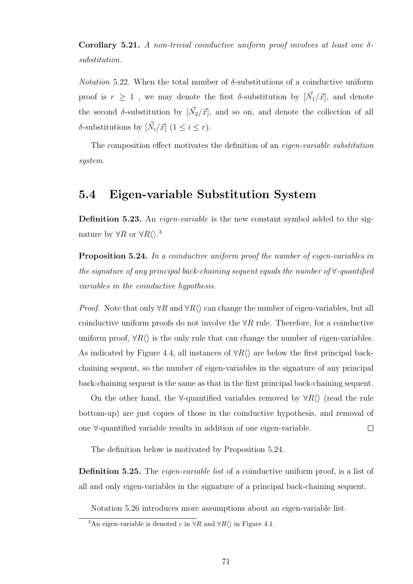Corollary 5.21. A non-trivial coinductive uniform proof involves at least one  $\delta$ substitution.

*Notation* 5.22. When the total number of  $\delta$ -substitutions of a coinductive uniform proof is  $r \geq 1$ , we may denote the first  $\delta$ -substitution by  $[\vec{N_1}/\vec{x}]$ , and denote the second  $\delta$ -substitution by  $[\vec{N_2}/\vec{x}]$ , and so on, and denote the collection of all  $\delta$ -substitutions by  $[\vec{N}_i/\vec{x}]$   $(1 \leq i \leq r)$ .

The composition effect motivates the definition of an eigen-variable substitution system.

# 5.4 Eigen-variable Substitution System

Definition 5.23. An *eigen-variable* is the new constant symbol added to the signature by  $\forall R$  or  $\forall R \langle \rangle$ .<sup>3</sup>

**Proposition 5.24.** In a coinductive uniform proof the number of eigen-variables in the signature of any principal back-chaining sequent equals the number of ∀-quantified variables in the coinductive hypothesis.

*Proof.* Note that only  $\forall R$  and  $\forall R$  can change the number of eigen-variables, but all coinductive uniform proofs do not involve the  $\forall R$  rule. Therefore, for a coinductive uniform proof,  $\forall R\langle\rangle$  is the only rule that can change the number of eigen-variables. As indicated by Figure 4.4, all instances of  $\forall R \langle \rangle$  are below the first principal backchaining sequent, so the number of eigen-variables in the signature of any principal back-chaining sequent is the same as that in the first principal back-chaining sequent.

On the other hand, the  $\forall$ -quantified variables removed by  $\forall R \langle \rangle$  (read the rule bottom-up) are just copies of those in the coinductive hypothesis, and removal of one ∀-quantified variable results in addition of one eigen-variable.  $\Box$ 

The definition below is motivated by Proposition 5.24.

**Definition 5.25.** The *eigen-variable list* of a coinductive uniform proof, is a list of all and only eigen-variables in the signature of a principal back-chaining sequent.

Notation 5.26 introduces more assumptions about an eigen-variable list.

<sup>&</sup>lt;sup>3</sup>An eigen-variable is denoted c in  $\forall R$  and  $\forall R \langle$  in Figure 4.1.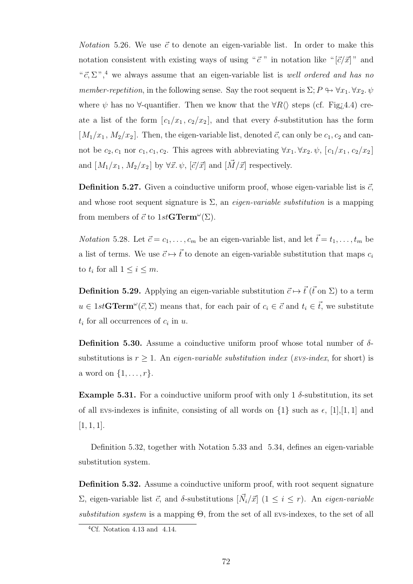*Notation* 5.26. We use  $\vec{c}$  to denote an eigen-variable list. In order to make this notation consistent with existing ways of using " $\vec{c}$ " in notation like " $[\vec{c}/\vec{x}]$ " and " $\vec{c}, \Sigma$ ",<sup>4</sup> we always assume that an eigen-variable list is *well ordered and has no* member-repetition, in the following sense. Say the root sequent is  $\Sigma: P \hookrightarrow \forall x_1, \forall x_2, \psi$ where  $\psi$  has no  $\forall$ -quantifier. Then we know that the  $\forall R \langle \rangle$  steps (cf. Fig. 4.4) create a list of the form  $[c_1/x_1, c_2/x_2]$ , and that every  $\delta$ -substitution has the form  $[M_1/x_1, M_2/x_2]$ . Then, the eigen-variable list, denoted  $\vec{c}$ , can only be  $c_1, c_2$  and cannot be  $c_2, c_1$  nor  $c_1, c_1, c_2$ . This agrees with abbreviating  $\forall x_1, \forall x_2, \psi$ ,  $[c_1/x_1, c_2/x_2]$ and  $[M_1/x_1, M_2/x_2]$  by  $\forall \vec{x}.\psi, [\vec{c}/\vec{x}]$  and  $[\vec{M}/\vec{x}]$  respectively.

**Definition 5.27.** Given a coinductive uniform proof, whose eigen-variable list is  $\vec{c}$ , and whose root sequent signature is  $\Sigma$ , an *eigen-variable substitution* is a mapping from members of  $\vec{c}$  to  $1stGTerm^{\omega}(\Sigma)$ .

*Notation* 5.28. Let  $\vec{c} = c_1, \ldots, c_m$  be an eigen-variable list, and let  $\vec{t} = t_1, \ldots, t_m$  be a list of terms. We use  $\vec{c} \mapsto \vec{t}$  to denote an eigen-variable substitution that maps  $c_i$ to  $t_i$  for all  $1 \leq i \leq m$ .

**Definition 5.29.** Applying an eigen-variable substitution  $\vec{c} \mapsto \vec{t}$  ( $\vec{t}$  on  $\Sigma$ ) to a term  $u \in 1st\mathbf{GTerm}^{\omega}(\vec{c},\Sigma)$  means that, for each pair of  $c_i \in \vec{c}$  and  $t_i \in \vec{t}$ , we substitute  $t_i$  for all occurrences of  $c_i$  in  $u$ .

**Definition 5.30.** Assume a coinductive uniform proof whose total number of  $\delta$ substitutions is  $r \geq 1$ . An eigen-variable substitution index (EVS-index, for short) is a word on  $\{1, \ldots, r\}.$ 

**Example 5.31.** For a coinductive uniform proof with only 1  $\delta$ -substitution, its set of all evs-indexes is infinite, consisting of all words on  $\{1\}$  such as  $\epsilon$ ,  $[1],[1,1]$  and  $[1, 1, 1].$ 

Definition 5.32, together with Notation 5.33 and 5.34, defines an eigen-variable substitution system.

Definition 5.32. Assume a coinductive uniform proof, with root sequent signature  $\Sigma$ , eigen-variable list  $\vec{c}$ , and δ-substitutions  $[\vec{N}_i/\vec{x}]$  (1  $\leq i \leq r$ ). An eigen-variable substitution system is a mapping  $\Theta$ , from the set of all EVS-indexes, to the set of all

 ${}^{4}$ Cf. Notation 4.13 and 4.14.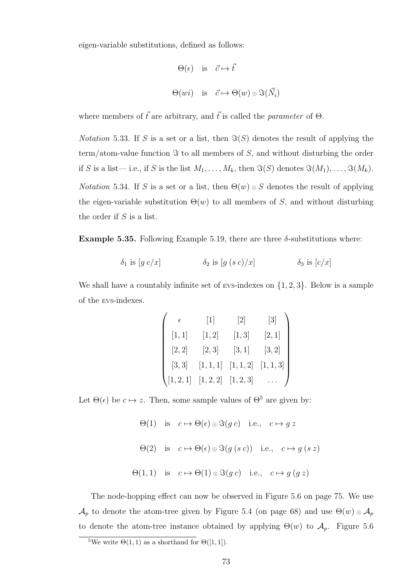eigen-variable substitutions, defined as follows:

$$
\Theta(\epsilon) \quad \text{is} \quad \vec{c} \mapsto \vec{t}
$$

$$
\Theta(wi) \quad \text{is} \quad \vec{c} \mapsto \Theta(w) \circ \Im(\vec{N_i})
$$

where members of  $\vec{t}$  are arbitrary, and  $\vec{t}$  is called the *parameter* of  $\Theta$ .

*Notation* 5.33. If S is a set or a list, then  $\Im(S)$  denotes the result of applying the term/atom-value function  $\Im$  to all members of S, and without disturbing the order if S is a list—i.e., if S is the list  $M_1, \ldots, M_k$ , then  $\Im(S)$  denotes  $\Im(M_1), \ldots, \Im(M_k)$ . *Notation* 5.34. If S is a set or a list, then  $\Theta(w) \circ S$  denotes the result of applying the eigen-variable substitution  $\Theta(w)$  to all members of S, and without disturbing the order if  $S$  is a list.

Example 5.35. Following Example 5.19, there are three  $\delta$ -substitutions where:

$$
\delta_1 \text{ is } [g \ c/x] \qquad \qquad \delta_2 \text{ is } [g \ (s \ c)/x] \qquad \qquad \delta_3 \text{ is } [c/x]
$$

We shall have a countably infinite set of EVS-indexes on  $\{1, 2, 3\}$ . Below is a sample of the EVS-indexes.

$$
\begin{pmatrix}\n\epsilon & [1] & [2] & [3] \\
[1,1] & [1,2] & [1,3] & [2,1] \\
[2,2] & [2,3] & [3,1] & [3,2] \\
[3,3] & [1,1,1] & [1,1,2] & [1,1,3] \\
[1,2,1] & [1,2,2] & [1,2,3] & \dots\n\end{pmatrix}
$$

Let  $\Theta(\epsilon)$  be  $c \mapsto z$ . Then, some sample values of  $\Theta^5$  are given by:

 $\Theta(1)$  is  $c \mapsto \Theta(\epsilon) \circ \Im(q \, c)$  i.e.,  $c \mapsto q \, z$  $\Theta(2)$  is  $c \mapsto \Theta(\epsilon) \circ \Im(q(s c))$  i.e.,  $c \mapsto q(s z)$  $\Theta(1,1)$  is  $c \mapsto \Theta(1) \circ \Im(g c)$  i.e.,  $c \mapsto g(g z)$ 

The node-hopping effect can now be observed in Figure 5.6 on page 75. We use  $\mathcal{A}_p$  to denote the atom-tree given by Figure 5.4 (on page 68) and use  $\Theta(w) \circ \mathcal{A}_p$ to denote the atom-tree instance obtained by applying  $\Theta(w)$  to  $\mathcal{A}_p$ . Figure 5.6

<sup>&</sup>lt;sup>5</sup>We write  $\Theta(1,1)$  as a shorthand for  $\Theta([1,1])$ .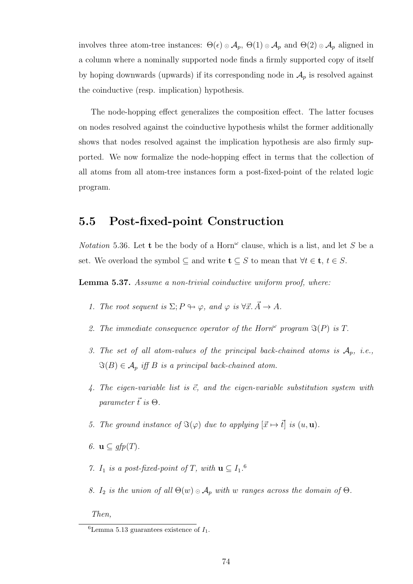involves three atom-tree instances:  $\Theta(\epsilon) \circ A_p$ ,  $\Theta(1) \circ A_p$  and  $\Theta(2) \circ A_p$  aligned in a column where a nominally supported node finds a firmly supported copy of itself by hoping downwards (upwards) if its corresponding node in  $\mathcal{A}_p$  is resolved against the coinductive (resp. implication) hypothesis.

The node-hopping effect generalizes the composition effect. The latter focuses on nodes resolved against the coinductive hypothesis whilst the former additionally shows that nodes resolved against the implication hypothesis are also firmly supported. We now formalize the node-hopping effect in terms that the collection of all atoms from all atom-tree instances form a post-fixed-point of the related logic program.

# 5.5 Post-fixed-point Construction

Notation 5.36. Let t be the body of a Horn<sup> $\omega$ </sup> clause, which is a list, and let S be a set. We overload the symbol  $\subseteq$  and write  $\mathbf{t} \subseteq S$  to mean that  $\forall t \in \mathbf{t}, t \in S$ .

Lemma 5.37. Assume a non-trivial coinductive uniform proof, where:

- 1. The root sequent is  $\Sigma; P \looparrowright \varphi$ , and  $\varphi$  is  $\forall \vec{x} \cdot \vec{A} \rightarrow A$ .
- 2. The immediate consequence operator of the Horn<sup> $\omega$ </sup> program  $\Im(P)$  is T.
- 3. The set of all atom-values of the principal back-chained atoms is  $\mathcal{A}_p$ , i.e.,  $\Im(B) \in \mathcal{A}_p$  iff B is a principal back-chained atom.
- 4. The eigen-variable list is  $\vec{c}$ , and the eigen-variable substitution system with parameter  $\vec{t}$  is  $\Theta$ .
- 5. The ground instance of  $\Im(\varphi)$  due to applying  $[\vec{x} \mapsto \vec{t}]$  is  $(u, \mathbf{u})$ .
- 6.  $\mathbf{u} \subseteq$  gfp(T).
- 7.  $I_1$  is a post-fixed-point of T, with  $\mathbf{u} \subseteq I_1$ .<sup>6</sup>
- 8. I<sub>2</sub> is the union of all  $\Theta(w) \circ A_p$  with w ranges across the domain of  $\Theta$ .

Then,

 $6$ Lemma 5.13 guarantees existence of  $I_1$ .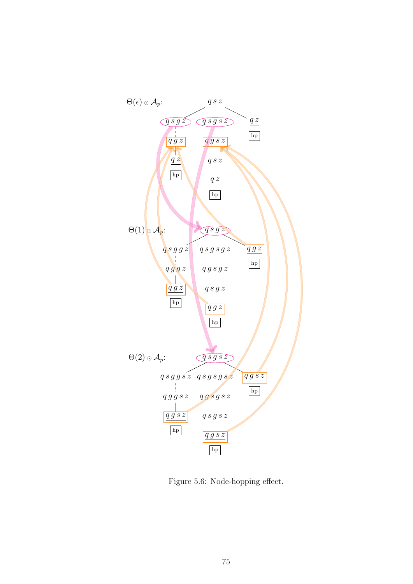

Figure 5.6: Node-hopping effect.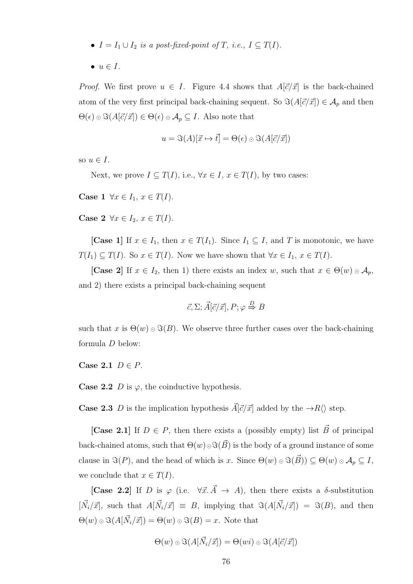- $I = I_1 \cup I_2$  is a post-fixed-point of T, i.e.,  $I \subseteq T(I)$ .
- $\bullet \, u \in I.$

*Proof.* We first prove  $u \in I$ . Figure 4.4 shows that  $A[\vec{c}/\vec{x}]$  is the back-chained atom of the very first principal back-chaining sequent. So  $\Im(A[\vec{c}/\vec{x}]) \in A_p$  and then  $\Theta(\epsilon) \circ \Im(A[\vec{c}/\vec{x}]) \in \Theta(\epsilon) \circ A_p \subseteq I$ . Also note that

$$
u = \Im(A)[\vec{x} \mapsto \vec{t}] = \Theta(\epsilon) \odot \Im(A[\vec{c}/\vec{x}])
$$

so  $u \in I$ .

Next, we prove  $I \subseteq T(I)$ , i.e.,  $\forall x \in I$ ,  $x \in T(I)$ , by two cases:

Case 1  $\forall x \in I_1, x \in T(I)$ .

Case 2  $\forall x \in I_2, x \in T(I)$ .

[Case 1] If  $x \in I_1$ , then  $x \in T(I_1)$ . Since  $I_1 \subseteq I$ , and T is monotonic, we have  $T(I_1) \subseteq T(I)$ . So  $x \in T(I)$ . Now we have shown that  $\forall x \in I_1, x \in T(I)$ .

[Case 2] If  $x \in I_2$ , then 1) there exists an index w, such that  $x \in \Theta(w) \circ A_p$ , and 2) there exists a principal back-chaining sequent

$$
\vec{c}, \Sigma; \vec{A}[\vec{c}/\vec{x}], P; \varphi \stackrel{D}{\Rightarrow} B
$$

such that x is  $\Theta(w) \circ \Im(B)$ . We observe three further cases over the back-chaining formula D below:

Case 2.1  $D \in P$ .

**Case 2.2** D is  $\varphi$ , the coinductive hypothesis.

**Case 2.3** D is the implication hypothesis  $\vec{A}[\vec{c}/\vec{x}]$  added by the  $\rightarrow R\langle\rangle$  step.

[Case 2.1] If  $D \in P$ , then there exists a (possibly empty) list  $\vec{B}$  of principal back-chained atoms, such that  $\Theta(w) \odot \Im(\vec{B})$  is the body of a ground instance of some clause in  $\Im(P)$ , and the head of which is x. Since  $\Theta(w) \circ \Im(\vec{B}) \subseteq \Theta(w) \circ \mathcal{A}_p \subseteq I$ , we conclude that  $x \in T(I)$ .

[Case 2.2] If D is  $\varphi$  (i.e.  $\forall \vec{x} \cdot \vec{A} \rightarrow A$ ), then there exists a  $\delta$ -substitution  $[\vec{N}_i/\vec{x}]$ , such that  $A[\vec{N}_i/\vec{x}] \equiv B$ , implying that  $\Im(A[\vec{N}_i/\vec{x}]) = \Im(B)$ , and then  $\Theta(w) \circ \Im(A[\vec{N}_i/\vec{x}]) = \Theta(w) \circ \Im(B) = x.$  Note that

$$
\Theta(w) \circ \Im(A[\vec{N}_i/\vec{x}]) = \Theta(wi) \circ \Im(A[\vec{c}/\vec{x}])
$$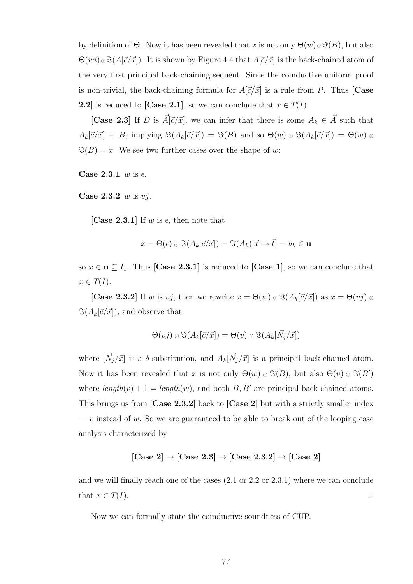by definition of  $\Theta$ . Now it has been revealed that x is not only  $\Theta(w) \circ \Im(B)$ , but also  $\Theta(wi) \otimes \Im(A[\vec{c}/\vec{x}])$ . It is shown by Figure 4.4 that  $A[\vec{c}/\vec{x}]$  is the back-chained atom of the very first principal back-chaining sequent. Since the coinductive uniform proof is non-trivial, the back-chaining formula for  $A[\vec{c}/\vec{x}]$  is a rule from P. Thus [Case 2.2] is reduced to [Case 2.1], so we can conclude that  $x \in T(I)$ .

[Case 2.3] If D is  $\vec{A}[\vec{c}/\vec{x}]$ , we can infer that there is some  $A_k \in \vec{A}$  such that  $A_k[\vec{c}/\vec{x}] \equiv B$ , implying  $\Im(A_k[\vec{c}/\vec{x}]) = \Im(B)$  and so  $\Theta(w) \circ \Im(A_k[\vec{c}/\vec{x}]) = \Theta(w) \circ$  $\Im(B) = x$ . We see two further cases over the shape of w:

Case 2.3.1 w is  $\epsilon$ .

Case  $2.3.2 \, w$  is  $vi$ .

[Case 2.3.1] If w is  $\epsilon$ , then note that

$$
x = \Theta(\epsilon) \circ \Im(A_k[\vec{c}/\vec{x}]) = \Im(A_k)[\vec{x} \mapsto \vec{t}] = u_k \in \mathbf{u}
$$

so  $x \in \mathbf{u} \subseteq I_1$ . Thus [Case 2.3.1] is reduced to [Case 1], so we can conclude that  $x \in T(I).$ 

[Case 2.3.2] If w is vj, then we rewrite  $x = \Theta(w) \circ \Im(A_k[\vec{c}/\vec{x}])$  as  $x = \Theta(vj) \in \Theta(w)$  $\Im(A_k[\vec{c}/\vec{x}]),$  and observe that

$$
\Theta(vj) \circ \Im(A_k[\vec{c}/\vec{x}]) = \Theta(v) \circ \Im(A_k[\vec{N}_j/\vec{x}])
$$

where  $[\vec{N}_j/\vec{x}]$  is a  $\delta$ -substitution, and  $A_k[\vec{N}_j/\vec{x}]$  is a principal back-chained atom. Now it has been revealed that x is not only  $\Theta(w) \circ \Im(B)$ , but also  $\Theta(v) \circ \Im(B')$ where  $length(v) + 1 = length(w)$ , and both B, B' are principal back-chained atoms. This brings us from [Case 2.3.2] back to [Case 2] but with a strictly smaller index  $-v$  instead of w. So we are guaranteed to be able to break out of the looping case analysis characterized by

$$
[\text{Case 2}] \rightarrow [\text{Case 2.3}] \rightarrow [\text{Case 2.3.2}] \rightarrow [\text{Case 2}]
$$

and we will finally reach one of the cases (2.1 or 2.2 or 2.3.1) where we can conclude that  $x \in T(I)$ .  $\Box$ 

Now we can formally state the coinductive soundness of CUP.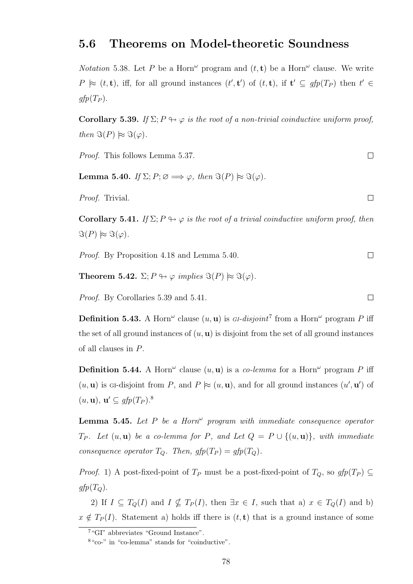#### 5.6 Theorems on Model-theoretic Soundness

*Notation* 5.38. Let P be a Horn<sup> $\omega$ </sup> program and  $(t, t)$  be a Horn<sup> $\omega$ </sup> clause. We write  $P \approx (t, \mathbf{t})$ , iff, for all ground instances  $(t', \mathbf{t}')$  of  $(t, \mathbf{t})$ , if  $\mathbf{t}' \subseteq gfp(T_P)$  then  $t' \in$  $gfp(T_P)$ .

Corollary 5.39. If  $\Sigma: P \mapsto \varphi$  is the root of a non-trivial coinductive uniform proof, then  $\Im(P) \approx \Im(\varphi)$ .

Proof. This follows Lemma 5.37.

**Lemma 5.40.** If  $\Sigma; P; \emptyset \Longrightarrow \varphi$ , then  $\Im(P) \approx \Im(\varphi)$ .

Proof. Trivial.

**Corollary 5.41.** If  $\Sigma: P \rightarrow \varphi$  is the root of a trivial coinductive uniform proof, then  $\Im(P) \approx \Im(\varphi).$ 

Proof. By Proposition 4.18 and Lemma 5.40.

**Theorem 5.42.**  $\Sigma: P \leftrightarrow \varphi$  implies  $\Im(P) \approx \Im(\varphi)$ .

Proof. By Corollaries 5.39 and 5.41.

**Definition 5.43.** A Horn<sup> $\omega$ </sup> clause  $(u, u)$  is *GI-disjoint*<sup>7</sup> from a Horn<sup> $\omega$ </sup> program P iff the set of all ground instances of  $(u, u)$  is disjoint from the set of all ground instances of all clauses in P.

**Definition 5.44.** A Horn<sup> $\omega$ </sup> clause  $(u, u)$  is a *co-lemma* for a Horn<sup> $\omega$ </sup> program P iff  $(u, \mathbf{u})$  is GI-disjoint from P, and P  $\approx$   $(u, \mathbf{u})$ , and for all ground instances  $(u', \mathbf{u}')$  of  $(u, \mathbf{u}), \mathbf{u}' \subseteq gfp(T_P).$ <sup>8</sup>

**Lemma 5.45.** Let P be a Horn<sup> $\omega$ </sup> program with immediate consequence operator  $T_P$ . Let  $(u, u)$  be a co-lemma for P, and Let  $Q = P \cup \{(u, u)\}\$ , with immediate consequence operator  $T_Q$ . Then,  $gfp(T_P) = gfp(T_Q)$ .

*Proof.* 1) A post-fixed-point of  $T_P$  must be a post-fixed-point of  $T_Q$ , so  $gfp(T_P) \subseteq$  $gfp(T<sub>O</sub>)$ .

2) If  $I \subseteq T_Q(I)$  and  $I \nsubseteq T_P(I)$ , then  $\exists x \in I$ , such that a)  $x \in T_Q(I)$  and b)  $x \notin T_P(I)$ . Statement a) holds iff there is  $(t, t)$  that is a ground instance of some

 $\Box$ 

 $\Box$ 

 $\Box$ 

 $\Box$ 

<sup>7</sup>"GI" abbreviates "Ground Instance".

<sup>8</sup>"co-" in "co-lemma" stands for "coinductive".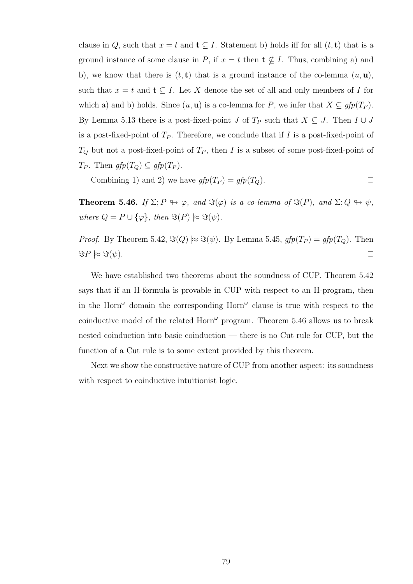clause in Q, such that  $x = t$  and  $\mathbf{t} \subseteq I$ . Statement b) holds iff for all  $(t, \mathbf{t})$  that is a ground instance of some clause in P, if  $x = t$  then  $\mathbf{t} \nsubseteq I$ . Thus, combining a) and b), we know that there is  $(t, t)$  that is a ground instance of the co-lemma  $(u, u)$ , such that  $x = t$  and  $t \subseteq I$ . Let X denote the set of all and only members of I for which a) and b) holds. Since  $(u, \mathbf{u})$  is a co-lemma for P, we infer that  $X \subseteq gfp(T_P)$ . By Lemma 5.13 there is a post-fixed-point J of  $T_P$  such that  $X \subseteq J$ . Then  $I \cup J$ is a post-fixed-point of  $T_P$ . Therefore, we conclude that if I is a post-fixed-point of  $T_Q$  but not a post-fixed-point of  $T_P$ , then I is a subset of some post-fixed-point of  $T_P$ . Then  $gfp(T_Q) \subseteq gfp(T_P)$ .

Combining 1) and 2) we have  $gfp(T_P) = gfp(T_Q)$ .  $\Box$ 

**Theorem 5.46.** If  $\Sigma; P \looparrowright \varphi$ , and  $\Im(\varphi)$  is a co-lemma of  $\Im(P)$ , and  $\Sigma; Q \looparrowright \psi$ , where  $Q = P \cup {\varphi}$ , then  $\Im(P) \approx \Im(\psi)$ .

*Proof.* By Theorem 5.42,  $\Im(Q) \approx \Im(\psi)$ . By Lemma 5.45,  $gfp(T_P) = gfp(T_Q)$ . Then  $\Im P \approx \Im(\psi).$  $\Box$ 

We have established two theorems about the soundness of CUP. Theorem 5.42 says that if an H-formula is provable in CUP with respect to an H-program, then in the Horn<sup> $\omega$ </sup> domain the corresponding Horn<sup> $\omega$ </sup> clause is true with respect to the coinductive model of the related  $\text{Horn}^{\omega}$  program. Theorem 5.46 allows us to break nested coinduction into basic coinduction — there is no Cut rule for CUP, but the function of a Cut rule is to some extent provided by this theorem.

Next we show the constructive nature of CUP from another aspect: its soundness with respect to coinductive intuitionist logic.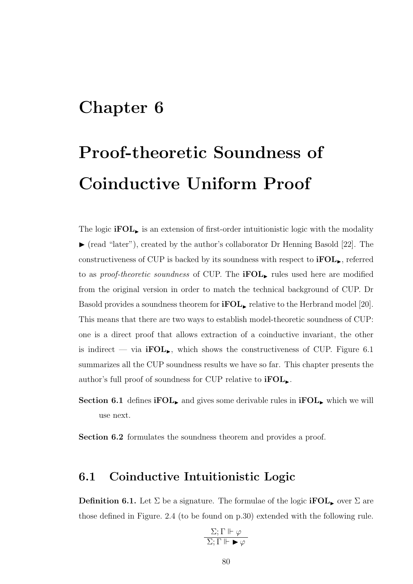# Chapter 6

# Proof-theoretic Soundness of Coinductive Uniform Proof

The logic  $\textbf{ifOL}_{\blacktriangleright}$  is an extension of first-order intuitionistic logic with the modality  $\blacktriangleright$  (read "later"), created by the author's collaborator Dr Henning Basold [22]. The constructiveness of CUP is backed by its soundness with respect to  $\text{FOL}_{\blacktriangleright}$ , referred to as *proof-theoretic soundness* of CUP. The **iFOL** rules used here are modified from the original version in order to match the technical background of CUP. Dr Basold provides a soundness theorem for  $\textbf{ifOL}_{\blacktriangleright}$  relative to the Herbrand model [20]. This means that there are two ways to establish model-theoretic soundness of CUP: one is a direct proof that allows extraction of a coinductive invariant, the other is indirect — via **iFOL**, which shows the constructiveness of CUP. Figure 6.1 summarizes all the CUP soundness results we have so far. This chapter presents the author's full proof of soundness for CUP relative to  $\text{ifOL}_{\text{L}}$ .

**Section 6.1** defines **iFOL**, and gives some derivable rules in **iFOL**, which we will use next.

Section 6.2 formulates the soundness theorem and provides a proof.

## 6.1 Coinductive Intuitionistic Logic

**Definition 6.1.** Let  $\Sigma$  be a signature. The formulae of the logic **iFOL**, over  $\Sigma$  are those defined in Figure. 2.4 (to be found on p.30) extended with the following rule.

$$
\frac{\Sigma;\Gamma\Vdash\varphi}{\Sigma;\Gamma\Vdash\blacktriangleright\varphi}
$$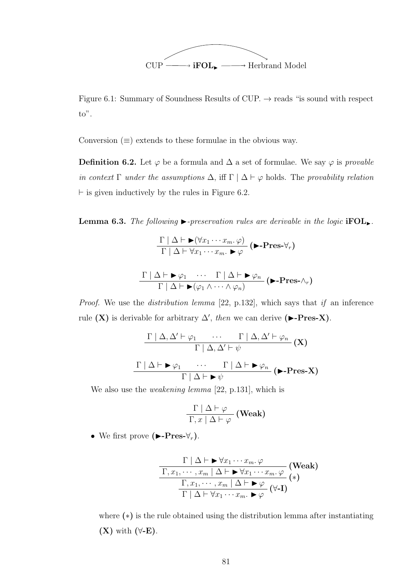

Figure 6.1: Summary of Soundness Results of CUP.  $\rightarrow$  reads "is sound with respect to".

Conversion  $(\equiv)$  extends to these formulae in the obvious way.

**Definition 6.2.** Let  $\varphi$  be a formula and  $\Delta$  a set of formulae. We say  $\varphi$  is *provable* in context Γ under the assumptions  $\Delta$ , iff  $\Gamma \mid \Delta \vdash \varphi$  holds. The provability relation  $\vdash$  is given inductively by the rules in Figure 6.2.

**Lemma 6.3.** The following  $\triangleright$ -preservation rules are derivable in the logic  $\text{FOL}_{\triangleright}$ .

$$
\frac{\Gamma | \Delta \vdash \blacktriangleright (\forall x_1 \cdots x_m. \varphi)}{\Gamma | \Delta \vdash \forall x_1 \cdots x_m. \blacktriangleright \varphi} (\blacktriangleright \text{-Pres-}\forall_r)
$$

$$
\frac{\Gamma |\Delta \vdash \blacktriangleright \varphi_1 \cdots \Gamma |\Delta \vdash \blacktriangleright \varphi_n}{\Gamma |\Delta \vdash \blacktriangleright (\varphi_1 \wedge \cdots \wedge \varphi_n)} (\blacktriangleright \text{-Pres-}\wedge_r)
$$

Proof. We use the distribution lemma [22, p.132], which says that if an inference rule (X) is derivable for arbitrary  $\Delta'$ , then we can derive ( $\blacktriangleright$ -Pres-X).

$$
\frac{\Gamma | \Delta, \Delta' \vdash \varphi_1 \cdots \Gamma | \Delta, \Delta' \vdash \varphi_n}{\Gamma | \Delta, \Delta' \vdash \psi} (\mathbf{X})
$$
\n
$$
\frac{\Gamma | \Delta \vdash \blacktriangleright \varphi_1 \cdots \Gamma | \Delta \vdash \blacktriangleright \varphi_n}{\Gamma | \Delta \vdash \blacktriangleright \psi} (\blacktriangleright \text{-Pres-X})
$$

We also use the *weakening lemma* [22, p.131], which is

$$
\frac{\Gamma | \Delta \vdash \varphi}{\Gamma, x | \Delta \vdash \varphi} \text{ (Weak)}
$$

• We first prove  $(\blacktriangleright$ -Pres- $\forall_r$ ).

$$
\frac{\Gamma | \Delta \vdash \blacktriangleright \forall x_1 \cdots x_m. \varphi \qquad (\text{Weak})}{\Gamma, x_1, \cdots, x_m | \Delta \vdash \blacktriangleright \forall x_1 \cdots x_m. \varphi \qquad (*)}{\frac{\Gamma, x_1, \cdots, x_m | \Delta \vdash \blacktriangleright \varphi}{\Gamma | \Delta \vdash \forall x_1 \cdots x_m. \blacktriangleright \varphi} (\forall \text{-I})}
$$

where (∗) is the rule obtained using the distribution lemma after instantiating  $(X)$  with  $(\forall E)$ .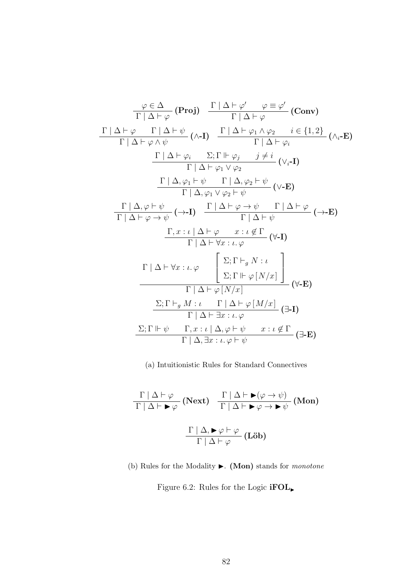$$
\frac{\varphi \in \Delta}{\Gamma | \Delta \vdash \varphi} \quad (\text{Proj}) \quad \frac{\Gamma | \Delta \vdash \varphi' \quad \varphi \equiv \varphi'}{\Gamma | \Delta \vdash \varphi} \quad (\text{Conv})
$$
\n
$$
\frac{\Gamma | \Delta \vdash \varphi \quad \Gamma | \Delta \vdash \psi}{\Gamma | \Delta \vdash \varphi \land \psi} \quad (\land \text{-I}) \quad \frac{\Gamma | \Delta \vdash \varphi_1 \land \varphi_2 \quad i \in \{1, 2\}}{\Gamma | \Delta \vdash \varphi_i} \quad (\land_{i} \text{-E})
$$
\n
$$
\frac{\Gamma | \Delta \vdash \varphi_i \quad \Sigma; \Gamma \Vdash \varphi_j \quad j \neq i}{\Gamma | \Delta \vdash \varphi_1 \lor \varphi_2} \quad (\lor_{i} \text{-I})
$$
\n
$$
\frac{\Gamma | \Delta, \varphi_1 \vdash \psi \quad \Gamma | \Delta, \varphi_2 \vdash \psi}{\Gamma | \Delta, \varphi_1 \lor \varphi_2 \vdash \psi} \quad (\lor \text{-E})
$$
\n
$$
\frac{\Gamma | \Delta, \varphi \vdash \psi}{\Gamma | \Delta \vdash \varphi \rightarrow \psi} \quad (\to \text{-I}) \quad \frac{\Gamma | \Delta \vdash \varphi \rightarrow \psi \quad \Gamma | \Delta \vdash \varphi}{\Gamma | \Delta \vdash \psi} \quad (\to \text{E})
$$
\n
$$
\frac{\Gamma, x : \iota | \Delta \vdash \varphi \quad x : \iota \notin \Gamma}{\Gamma | \Delta \vdash \forall x : \iota, \varphi} \quad (\forall \text{-I})
$$
\n
$$
\frac{\Gamma | \Delta \vdash \forall x : \iota, \varphi}{\Gamma | \Delta \vdash \varphi [N/x]} \quad (\forall \text{-E})
$$
\n
$$
\frac{\Sigma; \Gamma \vdash_{g} M : \iota \quad \Gamma | \Delta \vdash \varphi [N/x]}{\Gamma | \Delta \vdash \varphi \vdash x : \iota, \varphi} \quad (\exists \text{-I})
$$
\n
$$
\frac{\Sigma; \Gamma \vdash \psi \quad \Gamma, x : \iota | \Delta, \varphi \vdash \psi \quad x : \iota \notin \Gamma}{\Gamma | \Delta \vdash \exists x : \iota, \varphi} \quad (\exists \text{-E})
$$

(a) Intuitionistic Rules for Standard Connectives

$$
\frac{\Gamma | \Delta \vdash \varphi}{\Gamma | \Delta \vdash \blacktriangleright \varphi} \text{ (Next)} \quad \frac{\Gamma | \Delta \vdash \blacktriangleright (\varphi \rightarrow \psi)}{\Gamma | \Delta \vdash \blacktriangleright \varphi \rightarrow \blacktriangleright \psi} \text{ (Mon)}
$$
\n
$$
\frac{\Gamma | \Delta, \blacktriangleright \varphi \vdash \varphi}{\Gamma | \Delta \vdash \varphi} \text{ (Löb)}
$$

(b) Rules for the Modality  $\blacktriangleright$ . (Mon) stands for *monotone* 

Figure 6.2: Rules for the Logic  $\mathbf{ifOL}_{\blacktriangleright}$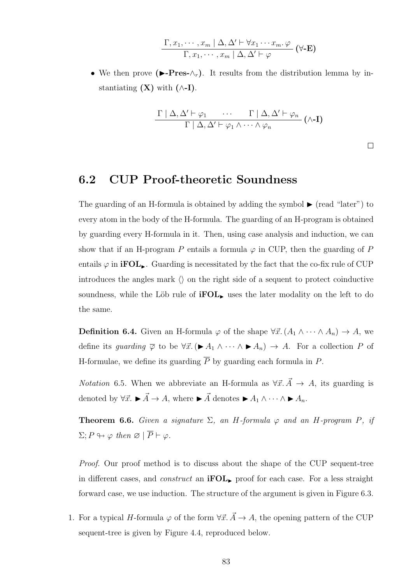$$
\frac{\Gamma, x_1, \cdots, x_m \mid \Delta, \Delta' \vdash \forall x_1 \cdots x_m \cdot \varphi}{\Gamma, x_1, \cdots, x_m \mid \Delta, \Delta' \vdash \varphi} \quad (\forall \text{-E})
$$

• We then prove ( $\blacktriangleright$ -Pres- $\wedge_r$ ). It results from the distribution lemma by instantiating  $(X)$  with  $(\wedge$ -I).

$$
\frac{\Gamma | \Delta, \Delta' \vdash \varphi_1 \cdots \Gamma | \Delta, \Delta' \vdash \varphi_n}{\Gamma | \Delta, \Delta' \vdash \varphi_1 \wedge \cdots \wedge \varphi_n} (\wedge \textbf{I})
$$

## 6.2 CUP Proof-theoretic Soundness

The guarding of an H-formula is obtained by adding the symbol  $\blacktriangleright$  (read "later") to every atom in the body of the H-formula. The guarding of an H-program is obtained by guarding every H-formula in it. Then, using case analysis and induction, we can show that if an H-program P entails a formula  $\varphi$  in CUP, then the guarding of P entails  $\varphi$  in **iFOL**. Guarding is necessitated by the fact that the co-fix rule of CUP introduces the angles mark  $\langle \rangle$  on the right side of a sequent to protect coinductive soundness, while the Löb rule of  $\textbf{ifOL}_{\blacktriangleright}$  uses the later modality on the left to do the same.

**Definition 6.4.** Given an H-formula  $\varphi$  of the shape  $\forall \vec{x}$ .  $(A_1 \wedge \cdots \wedge A_n) \rightarrow A$ , we define its guarding  $\overline{\varphi}$  to be  $\forall \vec{x}$ .  $(\blacktriangleright A_1 \land \cdots \land \blacktriangleright A_n) \rightarrow A$ . For a collection P of H-formulae, we define its guarding  $\overline{P}$  by guarding each formula in P.

*Notation* 6.5. When we abbreviate an H-formula as  $\forall \vec{x} \cdot \vec{A} \rightarrow A$ , its guarding is denoted by  $\forall \vec{x}. \blacktriangleright \vec{A} \rightarrow A$ , where  $\blacktriangleright \vec{A}$  denotes  $\blacktriangleright A_1 \wedge \cdots \wedge \blacktriangleright A_n$ .

**Theorem 6.6.** Given a signature  $\Sigma$ , an H-formula  $\varphi$  and an H-program P, if  $\Sigma: P \looparrowright \varphi$  then  $\varnothing \mid \overline{P} \vdash \varphi$ .

Proof. Our proof method is to discuss about the shape of the CUP sequent-tree in different cases, and *construct* an **iFOL**, proof for each case. For a less straight forward case, we use induction. The structure of the argument is given in Figure 6.3.

1. For a typical H-formula  $\varphi$  of the form  $\forall \vec{x} \cdot \vec{A} \rightarrow A$ , the opening pattern of the CUP sequent-tree is given by Figure 4.4, reproduced below.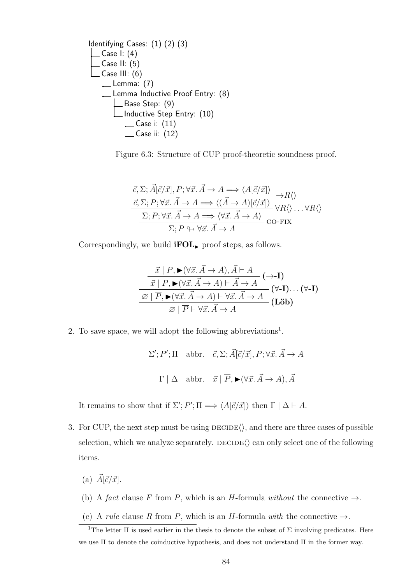Identifying Cases: (1) (2) (3) Case I: (4) Case II: (5) Case III: (6) Lemma: (7) Lemma Inductive Proof Entry: (8) Base Step: (9) Inductive Step Entry: (10) Case i: (11) Case ii: (12)

Figure 6.3: Structure of CUP proof-theoretic soundness proof.

$$
\frac{\vec{c}, \Sigma; \vec{A}[\vec{c}/\vec{x}], P; \forall \vec{x}. \vec{A} \to A \Longrightarrow \langle A[\vec{c}/\vec{x}] \rangle}{\vec{c}, \Sigma; P; \forall \vec{x}. \vec{A} \to A \Longrightarrow \langle (\vec{A} \to A)[\vec{c}/\vec{x}] \rangle} \Rightarrow R \langle \rangle
$$
\n
$$
\frac{\Sigma; P; \forall \vec{x}. \vec{A} \to A \Longrightarrow \langle (\vec{A} \to A)[\vec{c}/\vec{x}] \rangle}{\Sigma; P \leftrightarrow \forall \vec{x}. \vec{A} \to A} \text{CO-FIX}
$$

Correspondingly, we build  $\mathbf{ifOL}_{\blacktriangleright}$  proof steps, as follows.

$$
\frac{\vec{x} \mid \overline{P}, \blacktriangleright (\forall \vec{x}. \vec{A} \to A), \vec{A} \vdash A}{\vec{x} \mid \overline{P}, \blacktriangleright (\forall \vec{x}. \vec{A} \to A) \vdash \vec{A} \to A} (\rightarrow-I)
$$
\n
$$
\frac{\varnothing \mid \overline{P}, \blacktriangleright (\forall \vec{x}. \vec{A} \to A) \vdash \forall \vec{x}. \vec{A} \to A}{\varnothing \mid \overline{P} \vdash \forall \vec{x}. \vec{A} \to A} (\blacktriangleright \textbf{I}). \dots (\forall -I)
$$
\n
$$
\varnothing \mid \overline{P} \vdash \forall \vec{x}. \vec{A} \to A
$$

2. To save space, we will adopt the following abbreviations<sup>1</sup>.

$$
\Sigma'; P'; \Pi \quad \text{abbr.} \quad \vec{c}, \Sigma; \vec{A}[\vec{c}/\vec{x}], P; \forall \vec{x}. \vec{A} \to A
$$
  
 $\Gamma \mid \Delta \quad \text{abbr.} \quad \vec{x} \mid \overline{P}, \blacktriangleright (\forall \vec{x}. \vec{A} \to A), \vec{A}$ 

It remains to show that if  $\Sigma'$ ;  $P'$ ;  $\Pi \Longrightarrow \langle A[\vec{c}/\vec{x}] \rangle$  then  $\Gamma | \Delta \vdash A$ .

- 3. For CUP, the next step must be using  $\text{DECIDE}\langle\rangle$ , and there are three cases of possible selection, which we analyze separately.  $DECIDE(\rangle)$  can only select one of the following items.
	- (a)  $\vec{A}[\vec{c}/\vec{x}]$ .
	- (b) A fact clause F from P, which is an H-formula without the connective  $\rightarrow$ .
	- (c) A rule clause R from P, which is an H-formula with the connective  $\rightarrow$ .

<sup>&</sup>lt;sup>1</sup>The letter  $\Pi$  is used earlier in the thesis to denote the subset of  $\Sigma$  involving predicates. Here we use Π to denote the coinductive hypothesis, and does not understand Π in the former way.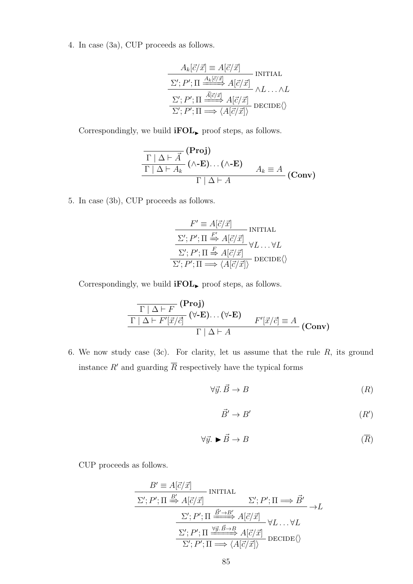4. In case (3a), CUP proceeds as follows.

$$
\frac{A_k[\vec{c}/\vec{x}] \equiv A[\vec{c}/\vec{x}]}{\Sigma'; P'; \Pi \xrightarrow{\underline{A_k[\vec{c}/\vec{x}]}} A[\vec{c}/\vec{x}]} \text{INITIAL}
$$
\n
$$
\frac{\Sigma'; P'; \Pi \xrightarrow{\underline{\vec{A}[\vec{c}/\vec{x}]}} A[\vec{c}/\vec{x}]}{\Sigma'; P'; \Pi \xrightarrow{\underline{\vec{A}[\vec{c}/\vec{x}]}} A[\vec{c}/\vec{x}]} \text{DECIDE}\langle}
$$

Correspondingly, we build  $\mathbf{ifOL}_{\blacktriangleright}$  proof steps, as follows.

$$
\frac{\Gamma | \Delta \vdash \vec{A} \quad (\text{Proj})}{\Gamma | \Delta \vdash A_k} \quad (\wedge \text{-E}) \dots (\wedge \text{-E}) \qquad A_k \equiv A \quad (\text{Conv})
$$

5. In case (3b), CUP proceeds as follows.

$$
F' \equiv A[\vec{c}/\vec{x}] \qquad \text{INITIAL}
$$
\n
$$
\frac{\Sigma'; P'; \Pi \xrightarrow{F'} A[\vec{c}/\vec{x}]}{\Sigma'; P'; \Pi \xrightarrow{F} A[\vec{c}/\vec{x}]} \forall L \dots \forall L
$$
\n
$$
\frac{\Sigma'; P'; \Pi \xrightarrow{F} A[\vec{c}/\vec{x}]}{\Sigma'; P'; \Pi \xrightarrow{F} \langle A[\vec{c}/\vec{x}] \rangle} \text{DECIDE} \langle \rangle
$$

Correspondingly, we build  $\mathbf{ifOL}_{\blacktriangleright}$  proof steps, as follows.

$$
\frac{\Gamma | \Delta \vdash F (\text{Proj})}{\Gamma | \Delta \vdash F'[\vec{x}/\vec{c}]} (\forall \text{-E}) \dots (\forall \text{-E}) \qquad F'[\vec{x}/\vec{c}] \equiv A}{\Gamma | \Delta \vdash A} (\text{Conv})
$$

6. We now study case (3c). For clarity, let us assume that the rule  $R$ , its ground instance  $R'$  and guarding  $\overline{R}$  respectively have the typical forms

$$
\forall \vec{y}. \ \vec{B} \to B \tag{R}
$$

$$
\vec{B}' \to B' \tag{R'}
$$

$$
\forall \vec{y}. \blacktriangleright \vec{B} \to B \tag{R}
$$

CUP proceeds as follows.

$$
B' \equiv A[\vec{c}/\vec{x}] \qquad \text{INITIAL}
$$
\n
$$
\Sigma'; P'; \Pi \stackrel{B'}{\Longrightarrow} A[\vec{c}/\vec{x}] \qquad \Sigma'; P'; \Pi \Longrightarrow \vec{B}'
$$
\n
$$
\frac{\Sigma'; P'; \Pi \stackrel{\vec{B}' \to B'}{\Longrightarrow} A[\vec{c}/\vec{x}]}{\Sigma'; P'; \Pi \stackrel{\forall \vec{y}. \vec{B} \to B}{\Longrightarrow} A[\vec{c}/\vec{x}]} \forall L \dots \forall L
$$
\n
$$
\frac{\Sigma'; P'; \Pi \stackrel{\forall \vec{y}. \vec{B} \to B}{\Longrightarrow} A[\vec{c}/\vec{x}]}{\Sigma'; P'; \Pi \Longrightarrow \langle A[\vec{c}/\vec{x}] \rangle} \text{DECIDE} \langle \rangle
$$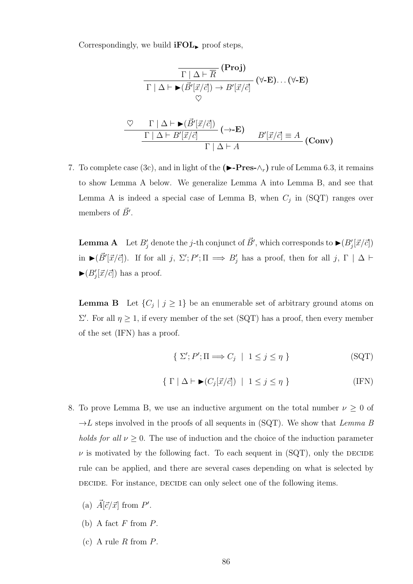Correspondingly, we build  $\text{ifOL}_{\blacktriangleright}$  proof steps,

$$
\frac{\Gamma | \Delta \vdash \overline{R} \quad (\text{Proj})}{\Gamma | \Delta \vdash \blacktriangleright (\vec{B}'[\vec{x}/\vec{c}]) \rightarrow B'[\vec{x}/\vec{c}]} \quad (\forall \text{-E}) \dots (\forall \text{-E})
$$
\n
$$
\heartsuit
$$
\n
$$
\frac{\Gamma | \Delta \vdash \blacktriangleright (\vec{B}'[\vec{x}/\vec{c}])}{\Gamma | \Delta \vdash B'[\vec{x}/\vec{c}]} \quad (\rightarrow \text{-E}) \qquad B'[\vec{x}/\vec{c}] \equiv A}{\Gamma | \Delta \vdash A} \quad (\text{Conv})
$$

7. To complete case (3c), and in light of the  $(\blacktriangleright$ -Pres- $\wedge_r$ ) rule of Lemma 6.3, it remains to show Lemma A below. We generalize Lemma A into Lemma B, and see that Lemma A is indeed a special case of Lemma B, when  $C_j$  in (SQT) ranges over members of  $\vec{B}'$ .

**Lemma A** Let  $B'_j$  denote the j-th conjunct of  $\vec{B}'$ , which corresponds to  $\blacktriangleright (B'_j[\vec{x}/\vec{c}])$ in  $\blacktriangleright (\vec{B}'[\vec{x}/\vec{c}])$ . If for all j,  $\Sigma'; P'; \Pi \implies B'_j$  has a proof, then for all j,  $\Gamma \upharpoonright \Delta \vdash$  $\blacktriangleright (B'_j[\vec{x}/\vec{c}])$  has a proof.

**Lemma B** Let  $\{C_j \mid j \geq 1\}$  be an enumerable set of arbitrary ground atoms on  $\Sigma'$ . For all  $η \geq 1$ , if every member of the set (SQT) has a proof, then every member of the set (IFN) has a proof.

$$
\{ \ \Sigma'; P'; \Pi \Longrightarrow C_j \ \ | \ \ 1 \leq j \leq \eta \ \}
$$
 (SGT)

$$
\{ \Gamma \mid \Delta \vdash \blacktriangleright (C_j[\vec{x}/\vec{c}]) \mid 1 \leq j \leq \eta \}
$$
 (IFN)

- 8. To prove Lemma B, we use an inductive argument on the total number  $\nu \geq 0$  of  $\rightarrow L$  steps involved in the proofs of all sequents in (SQT). We show that Lemma B holds for all  $\nu \geq 0$ . The use of induction and the choice of the induction parameter  $\nu$  is motivated by the following fact. To each sequent in (SQT), only the DECIDE rule can be applied, and there are several cases depending on what is selected by decide. For instance, decide can only select one of the following items.
	- (a)  $\vec{A}[\vec{c}/\vec{x}]$  from P'.
	- (b) A fact  $F$  from  $P$ .
	- (c) A rule  $R$  from  $P$ .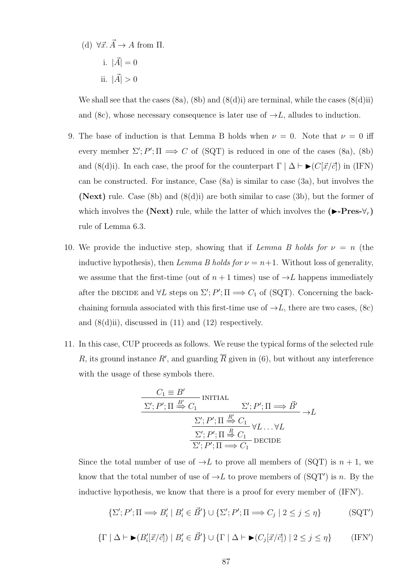- (d)  $\forall \vec{x}. \vec{A} \rightarrow A$  from  $\Pi$ .
	- i.  $|\vec{A}| = 0$ ii.  $|\vec{A}| > 0$

We shall see that the cases  $(8a)$ ,  $(8b)$  and  $(8(d)i)$  are terminal, while the cases  $(8(d)ii)$ and (8c), whose necessary consequence is later use of  $\rightarrow L$ , alludes to induction.

- 9. The base of induction is that Lemma B holds when  $\nu = 0$ . Note that  $\nu = 0$  iff every member  $\Sigma'; P'; \Pi \Longrightarrow C$  of (SQT) is reduced in one of the cases (8a), (8b) and (8(d)i). In each case, the proof for the counterpart  $\Gamma | \Delta \vdash \blacktriangleright (C[\vec{x}/\vec{c}])$  in (IFN) can be constructed. For instance, Case (8a) is similar to case (3a), but involves the (Next) rule. Case (8b) and  $(8(d)i)$  are both similar to case (3b), but the former of which involves the (Next) rule, while the latter of which involves the  $(\blacktriangleright$ -Pres- $\forall_r$ ) rule of Lemma 6.3.
- 10. We provide the inductive step, showing that if Lemma B holds for  $\nu = n$  (the inductive hypothesis), then Lemma B holds for  $\nu = n+1$ . Without loss of generality, we assume that the first-time (out of  $n + 1$  times) use of  $\rightarrow L$  happens immediately after the DECIDE and  $\forall L$  steps on  $\Sigma'$ ;  $P'$ ;  $\Pi \Longrightarrow C_1$  of (SQT). Concerning the backchaining formula associated with this first-time use of  $\rightarrow L$ , there are two cases, (8c) and  $(8(d)ii)$ , discussed in  $(11)$  and  $(12)$  respectively.
- 11. In this case, CUP proceeds as follows. We reuse the typical forms of the selected rule R, its ground instance R', and guarding  $\overline{R}$  given in (6), but without any interference with the usage of these symbols there.

$$
\frac{C_1 \equiv B'}{\Sigma'; P'; \Pi \stackrel{B'}{\Longrightarrow} C_1} \xrightarrow{\text{INITIAL}} \Sigma'; P'; \Pi \Longrightarrow \vec{B}'
$$

$$
\frac{\Sigma'; P'; \Pi \stackrel{R'}{\Longrightarrow} C_1}{\Sigma'; P'; \Pi \stackrel{R}{\Longrightarrow} C_1} \forall L \dots \forall L
$$

$$
\frac{\Sigma'; P'; \Pi \stackrel{R}{\Longrightarrow} C_1}{\Sigma'; P'; \Pi \Longrightarrow C_1} \text{DECIDE}
$$

Since the total number of use of  $\rightarrow L$  to prove all members of (SQT) is  $n + 1$ , we know that the total number of use of  $\rightarrow L$  to prove members of (SQT') is n. By the inductive hypothesis, we know that there is a proof for every member of  $(IFN')$ .

$$
\{\Sigma'; P'; \Pi \Longrightarrow B'_i \mid B'_i \in \vec{B}'\} \cup \{\Sigma'; P'; \Pi \Longrightarrow C_j \mid 2 \le j \le \eta\}
$$
 (SQT')

$$
\{\Gamma \mid \Delta \vdash \blacktriangleright (B_i'[\vec{x}/\vec{c}]) \mid B_i' \in \vec{B}'\} \cup \{\Gamma \mid \Delta \vdash \blacktriangleright (C_j[\vec{x}/\vec{c}]) \mid 2 \le j \le \eta\}
$$
 (IFN')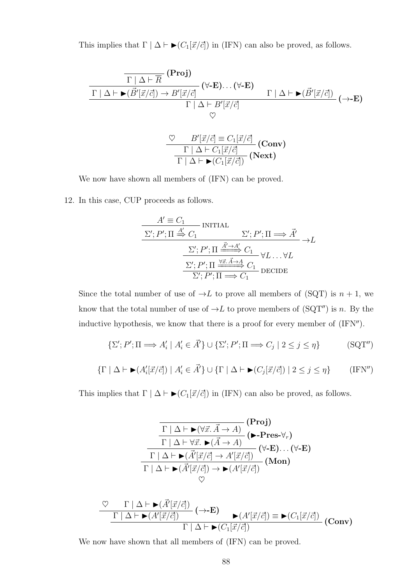This implies that  $\Gamma | \Delta \vdash \blacktriangleright (C_1[\vec{x}/\vec{c}])$  in (IFN) can also be proved, as follows.

$$
\frac{\frac{\Gamma|\Delta\vdash\overline{R}(\text{Proj})}{\Gamma|\Delta\vdash \blacktriangleright(\vec{B}'[\vec{x}/\vec{c}])\rightarrow B'[\vec{x}/\vec{c}]}(\forall\text{-E})\dots(\forall\text{-E})}{\Gamma|\Delta\vdash B'[\vec{x}/\vec{c}]}\n\qquad\n\rightarrow\text{E})}{\heartsuit}(\rightarrow\text{-E})
$$
\n
$$
\frac{\heartsuit\qquad B'[\vec{x}/\vec{c}]\equiv C_1[\vec{x}/\vec{c}]}{\heartsuit}(\text{Conv})}
$$
\n
$$
\frac{\frac{\heartsuit\qquad B'[\vec{x}/\vec{c}]\equiv C_1[\vec{x}/\vec{c}]}{\Gamma|\Delta\vdash C_1[\vec{x}/\vec{c}]}(\text{Next})}
$$

We now have shown all members of (IFN) can be proved.

12. In this case, CUP proceeds as follows.

$$
A' \equiv C_1
$$
INTIAL  
\n
$$
\Sigma'; P'; \Pi \stackrel{A'}{\Rightarrow} C_1 \qquad \Sigma'; P'; \Pi \Longrightarrow \vec{A}'
$$
\n
$$
\frac{\Sigma'; P'; \Pi \stackrel{\vec{A}' \to A'}{\xrightarrow{\Sigma'} C_1} \forall L \dots \forall L}{\Sigma'; P'; \Pi \stackrel{\forall \vec{x}. \vec{A} \to A}{\xrightarrow{\Sigma'} \Pi \Longrightarrow C_1} \text{DECIDE}}
$$

Since the total number of use of  $\rightarrow L$  to prove all members of (SQT) is  $n + 1$ , we know that the total number of use of  $\rightarrow L$  to prove members of (SQT") is n. By the inductive hypothesis, we know that there is a proof for every member of  $(IFN<sup>n</sup>)$ .

$$
\{\Sigma'; P'; \Pi \Longrightarrow A'_i \mid A'_i \in \vec{A'}\} \cup \{\Sigma'; P'; \Pi \Longrightarrow C_j \mid 2 \le j \le \eta\}
$$
 (SGT")

$$
\{\Gamma \mid \Delta \vdash \blacktriangleright (A_i'[\vec{x}/\vec{c}]) \mid A_i' \in \vec{A'}\} \cup \{\Gamma \mid \Delta \vdash \blacktriangleright (C_j[\vec{x}/\vec{c}]) \mid 2 \le j \le \eta\}
$$
 (IFN")

This implies that  $\Gamma | \Delta \vdash \blacktriangleright (C_1[\vec{x}/\vec{c}])$  in (IFN) can also be proved, as follows.

$$
\frac{\Gamma | \Delta \vdash \blacktriangleright (\forall \vec{x}. \vec{A} \to A)}{\Gamma | \Delta \vdash \forall \vec{x}. \blacktriangleright (\vec{A} \to A)} (\blacktriangleright \text{-Pres-}\forall_r)
$$
\n
$$
\frac{\Gamma | \Delta \vdash \forall \vec{x}. \blacktriangleright (\vec{A} \to A)}{\Gamma | \Delta \vdash \blacktriangleright (\vec{A'}[\vec{x}/\vec{c}] \to A'[\vec{x}/\vec{c}])} (\forall \text{-E}) \dots (\forall \text{-E})}{\Gamma | \Delta \vdash \blacktriangleright (\vec{A'}[\vec{x}/\vec{c}]) \to \blacktriangleright (A'[\vec{x}/\vec{c}])} (\text{Mon})
$$
\n
$$
\heartsuit
$$

$$
\frac{\nabla \Gamma|\Delta \vdash \blacktriangleright (\vec{A}'[\vec{x}/\vec{c}])}{\Gamma|\Delta \vdash \blacktriangleright (A'[\vec{x}/\vec{c}])} (\rightarrow \textbf{E}) \blacktriangleright (A'[\vec{x}/\vec{c}]) \equiv \blacktriangleright (C_1[\vec{x}/\vec{c}])
$$
(Conv)

We now have shown that all members of (IFN) can be proved.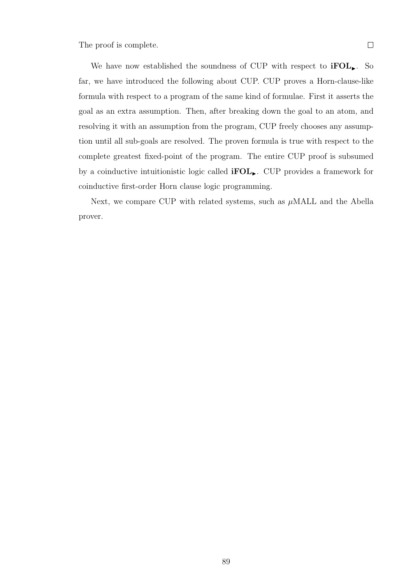The proof is complete.

We have now established the soundness of CUP with respect to  $\text{ifOL}_{\blacktriangleright}$ . So far, we have introduced the following about CUP. CUP proves a Horn-clause-like formula with respect to a program of the same kind of formulae. First it asserts the goal as an extra assumption. Then, after breaking down the goal to an atom, and resolving it with an assumption from the program, CUP freely chooses any assumption until all sub-goals are resolved. The proven formula is true with respect to the complete greatest fixed-point of the program. The entire CUP proof is subsumed by a coinductive intuitionistic logic called  $\text{ifOL}_{\blacktriangleright}$ . CUP provides a framework for coinductive first-order Horn clause logic programming.

Next, we compare CUP with related systems, such as  $\mu$ MALL and the Abella prover.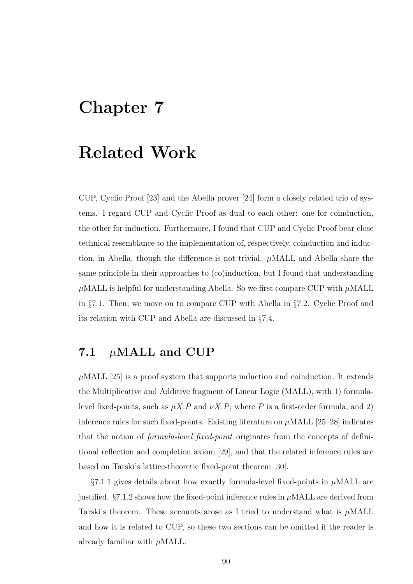# Chapter 7

# Related Work

CUP, Cyclic Proof [23] and the Abella prover [24] form a closely related trio of systems. I regard CUP and Cyclic Proof as dual to each other: one for coinduction, the other for induction. Furthermore, I found that CUP and Cyclic Proof bear close technical resemblance to the implementation of, respectively, coinduction and induction, in Abella, though the difference is not trivial.  $\mu$ MALL and Abella share the same principle in their approaches to (co)induction, but I found that understanding  $\mu$ MALL is helpful for understanding Abella. So we first compare CUP with  $\mu$ MALL in §7.1. Then, we move on to compare CUP with Abella in §7.2. Cyclic Proof and its relation with CUP and Abella are discussed in §7.4.

# 7.1  $\mu$ MALL and CUP

 $\mu$ MALL [25] is a proof system that supports induction and coinduction. It extends the Multiplicative and Additive fragment of Linear Logic (MALL), with 1) formulalevel fixed-points, such as  $\mu X.P$  and  $\nu X.P$ , where P is a first-order formula, and 2) inference rules for such fixed-points. Existing literature on  $\mu$ MALL [25–28] indicates that the notion of formula-level fixed-point originates from the concepts of definitional reflection and completion axiom [29], and that the related inference rules are based on Tarski's lattice-theoretic fixed-point theorem [30].

 $\S7.1.1$  gives details about how exactly formula-level fixed-points in  $\mu$ MALL are justified.  $\S7.1.2$  shows how the fixed-point inference rules in  $\mu$ MALL are derived from Tarski's theorem. These accounts arose as I tried to understand what is  $\mu$ MALL and how it is related to CUP, so these two sections can be omitted if the reader is already familiar with  $\mu$ MALL.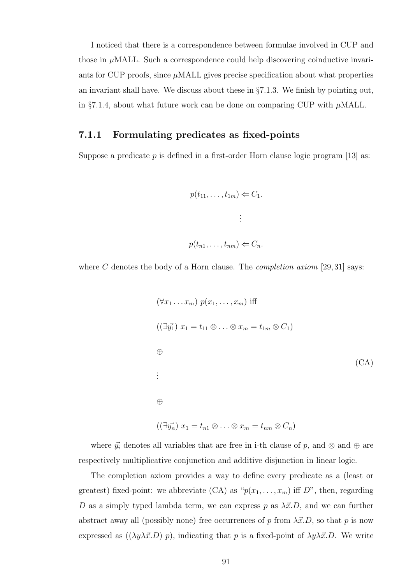I noticed that there is a correspondence between formulae involved in CUP and those in  $\mu$ MALL. Such a correspondence could help discovering coinductive invariants for CUP proofs, since  $\mu$ MALL gives precise specification about what properties an invariant shall have. We discuss about these in §7.1.3. We finish by pointing out, in §7.1.4, about what future work can be done on comparing CUP with  $\mu$ MALL.

#### 7.1.1 Formulating predicates as fixed-points

Suppose a predicate  $p$  is defined in a first-order Horn clause logic program [13] as:

$$
p(t_{11}, \dots, t_{1m}) \Leftarrow C_1.
$$
  

$$
\vdots
$$
  

$$
p(t_{n1}, \dots, t_{nm}) \Leftarrow C_n.
$$

where C denotes the body of a Horn clause. The *completion axiom* [29, 31] says:

$$
(\forall x_1 \dots x_m) \ p(x_1, \dots, x_m) \text{ iff}
$$
  

$$
((\exists \vec{y_1}) \ x_1 = t_{11} \otimes \dots \otimes x_m = t_{1m} \otimes C_1)
$$
  

$$
\oplus
$$
  

$$
\oplus
$$
  

$$
((\exists \vec{y_n}) \ x_1 = t_{n1} \otimes \dots \otimes x_m = t_{nm} \otimes C_n)
$$
  

$$
(x_n \otimes x_n) = x_{n1} \otimes \dots \otimes x_m = t_{nm} \otimes C_n
$$

where  $\vec{y_i}$  denotes all variables that are free in i-th clause of p, and  $\otimes$  and  $\oplus$  are respectively multiplicative conjunction and additive disjunction in linear logic.

The completion axiom provides a way to define every predicate as a (least or greatest) fixed-point: we abbreviate (CA) as " $p(x_1, \ldots, x_m)$  iff D", then, regarding D as a simply typed lambda term, we can express p as  $\lambda \vec{x}$ .D, and we can further abstract away all (possibly none) free occurrences of p from  $\lambda \vec{x}.D$ , so that p is now expressed as  $((\lambda y \lambda \vec{x}.D) p)$ , indicating that p is a fixed-point of  $\lambda y \lambda \vec{x}.D$ . We write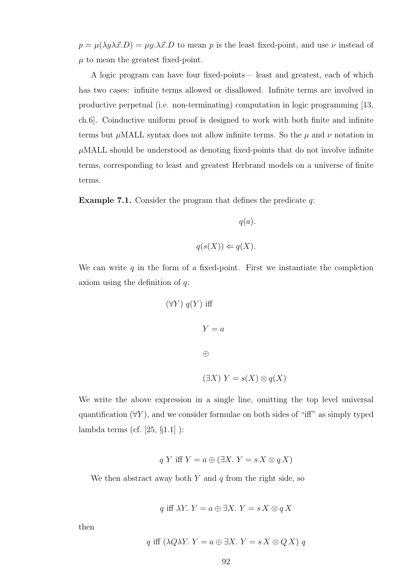$p = \mu(\lambda y \lambda \vec{x}.D) = \mu y \cdot \lambda \vec{x}.D$  to mean p is the least fixed-point, and use  $\nu$  instead of  $\mu$  to mean the greatest fixed-point.

A logic program can have four fixed-points— least and greatest, each of which has two cases: infinite terms allowed or disallowed. Infinite terms are involved in productive perpetual (i.e. non-terminating) computation in logic programming [13, ch.6]. Coinductive uniform proof is designed to work with both finite and infinite terms but  $\mu$ MALL syntax does not allow infinite terms. So the  $\mu$  and  $\nu$  notation in  $\mu$ MALL should be understood as denoting fixed-points that do not involve infinite terms, corresponding to least and greatest Herbrand models on a universe of finite terms.

**Example 7.1.** Consider the program that defines the predicate  $q$ :

$$
q(a).
$$

$$
q(s(X)) \Leftarrow q(X).
$$

We can write  $q$  in the form of a fixed-point. First we instantiate the completion axiom using the definition of  $q$ :

$$
(\forall Y) \ q(Y) \text{ iff}
$$
\n
$$
Y = a
$$
\n
$$
\oplus
$$
\n
$$
(\exists X) \ Y = s(X) \otimes q(X)
$$

We write the above expression in a single line, omitting the top level universal quantification  $(\forall Y)$ , and we consider formulae on both sides of "iff" as simply typed lambda terms (cf. [25, §1.1] ):

$$
q Y \text{ iff } Y = a \oplus (\exists X. Y = s X \otimes q X)
$$

We then abstract away both  $Y$  and  $q$  from the right side, so

$$
q \text{ iff } \lambda Y. Y = a \oplus \exists X. Y = s X \otimes q X
$$

then

$$
q \text{ iff } (\lambda Q \lambda Y. Y = a \oplus \exists X. Y = s X \otimes Q X) q
$$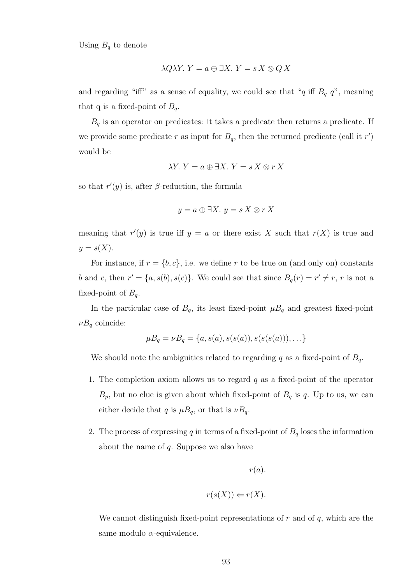Using  $B_q$  to denote

$$
\lambda Q \lambda Y. Y = a \oplus \exists X. Y = s X \otimes Q X
$$

and regarding "iff" as a sense of equality, we could see that "q iff  $B_q$  q", meaning that q is a fixed-point of  $B_q$ .

 $\mathcal{B}_q$  is an operator on predicates: it takes a predicate then returns a predicate. If we provide some predicate r as input for  $B_q$ , then the returned predicate (call it r') would be

$$
\lambda Y. Y = a \oplus \exists X. Y = s X \otimes r X
$$

so that  $r'(y)$  is, after  $\beta$ -reduction, the formula

$$
y = a \oplus \exists X. y = s X \otimes r X
$$

meaning that  $r'(y)$  is true iff  $y = a$  or there exist X such that  $r(X)$  is true and  $y = s(X)$ .

For instance, if  $r = \{b, c\}$ , i.e. we define r to be true on (and only on) constants b and c, then  $r' = \{a, s(b), s(c)\}\$ . We could see that since  $B_q(r) = r' \neq r$ , r is not a fixed-point of  $B_q$ .

In the particular case of  $B_q$ , its least fixed-point  $\mu B_q$  and greatest fixed-point  $\nu B_q$  coincide:

$$
\mu B_q = \nu B_q = \{a, s(a), s(s(a)), s(s(s(a))), \ldots\}
$$

We should note the ambiguities related to regarding q as a fixed-point of  $B_q$ .

- 1. The completion axiom allows us to regard  $q$  as a fixed-point of the operator  $B_p$ , but no clue is given about which fixed-point of  $B_q$  is q. Up to us, we can either decide that q is  $\mu B_q$ , or that is  $\nu B_q$ .
- 2. The process of expressing q in terms of a fixed-point of  $B<sub>q</sub>$  loses the information about the name of  $q$ . Suppose we also have

$$
r(a).
$$

$$
r(s(X)) \Leftarrow r(X).
$$

We cannot distinguish fixed-point representations of  $r$  and of  $q$ , which are the same modulo  $\alpha$ -equivalence.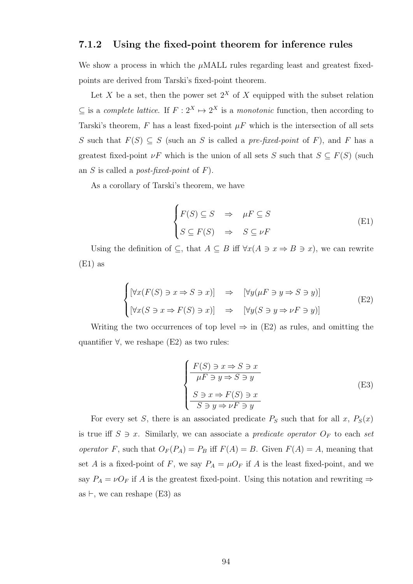#### 7.1.2 Using the fixed-point theorem for inference rules

We show a process in which the  $\mu$ MALL rules regarding least and greatest fixedpoints are derived from Tarski's fixed-point theorem.

Let X be a set, then the power set  $2^X$  of X equipped with the subset relation  $\subseteq$  is a complete lattice. If  $F: 2^X \mapsto 2^X$  is a monotonic function, then according to Tarski's theorem, F has a least fixed-point  $\mu$ F which is the intersection of all sets S such that  $F(S) \subseteq S$  (such an S is called a *pre-fixed-point* of F), and F has a greatest fixed-point  $\nu F$  which is the union of all sets S such that  $S \subseteq F(S)$  (such an S is called a *post-fixed-point* of  $F$ ).

As a corollary of Tarski's theorem, we have

$$
\begin{cases}\nF(S) \subseteq S & \Rightarrow \mu F \subseteq S \\
S \subseteq F(S) & \Rightarrow \quad S \subseteq \nu F\n\end{cases} \tag{E1}
$$

Using the definition of  $\subseteq$ , that  $A \subseteq B$  iff  $\forall x (A \ni x \Rightarrow B \ni x)$ , we can rewrite  $(E1)$  as

$$
\begin{cases}\n[\forall x (F(S) \ni x \Rightarrow S \ni x)] & \Rightarrow \quad [\forall y (\mu F \ni y \Rightarrow S \ni y)] \\
[\forall x (S \ni x \Rightarrow F(S) \ni x)] & \Rightarrow \quad [\forall y (S \ni y \Rightarrow \nu F \ni y)]\n\end{cases}
$$
\n(E2)

Writing the two occurrences of top level  $\Rightarrow$  in (E2) as rules, and omitting the quantifier  $\forall$ , we reshape (E2) as two rules:

$$
\begin{cases}\nF(S) \ni x \Rightarrow S \ni x \\
\overline{\mu F \ni y \Rightarrow S \ni y} \\
S \ni x \Rightarrow F(S) \ni x \\
\overline{S \ni y \Rightarrow \nu F \ni y}\n\end{cases}
$$
\n(E3)

For every set S, there is an associated predicate  $P<sub>S</sub>$  such that for all x,  $P<sub>S</sub>(x)$ is true iff  $S \ni x$ . Similarly, we can associate a *predicate operator*  $O_F$  to each set operator F, such that  $O_F(P_A) = P_B$  iff  $F(A) = B$ . Given  $F(A) = A$ , meaning that set A is a fixed-point of F, we say  $P_A = \mu O_F$  if A is the least fixed-point, and we say  $P_A = \nu O_F$  if A is the greatest fixed-point. Using this notation and rewriting  $\Rightarrow$ as  $\vdash$ , we can reshape (E3) as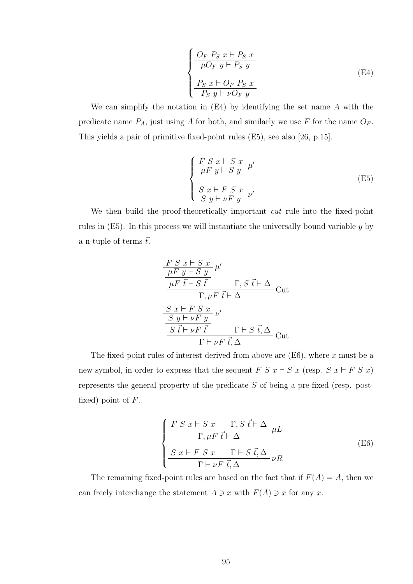$$
\begin{cases}\n\frac{O_F \ P_S \ x \vdash P_S \ x}{\mu O_F \ y \vdash P_S \ y} \\
\frac{P_S \ x \vdash O_F \ P_S \ x}{P_S \ y \vdash \nu O_F \ y}\n\end{cases}
$$
\n(E4)

We can simplify the notation in (E4) by identifying the set name A with the predicate name  $P_A$ , just using A for both, and similarly we use F for the name  $O_F$ . This yields a pair of primitive fixed-point rules (E5), see also [26, p.15].

$$
\begin{cases}\n\frac{F S x + S x}{\mu F y + S y} \mu' \n\frac{S x + F S x}{S y + \nu F y} \nu'\n\end{cases}
$$
\n(E5)

We then build the proof-theoretically important *cut* rule into the fixed-point rules in  $(E5)$ . In this process we will instantiate the universally bound variable  $y$  by a n-tuple of terms  $\vec{t}$ .

$$
\frac{F S x \vdash S x}{\mu F y \vdash S y}_{\mu F \vec{t} \vdash S \vec{t}} \mu'
$$
\n
$$
\frac{\mu F \vec{t} \vdash S \vec{t}}{\Gamma, \mu F \vec{t} \vdash \Delta} Cut
$$
\n
$$
\frac{S x \vdash F S x}{S y \vdash \nu F y}_{\Delta} \nu'
$$
\n
$$
\frac{S \vec{t} \vdash \nu F \vec{t}}{\Gamma \vdash \nu F \vec{t}, \Delta} Cut
$$

The fixed-point rules of interest derived from above are  $(E6)$ , where x must be a new symbol, in order to express that the sequent  $F S x \vdash S x$  (resp.  $S x \vdash F S x$ ) represents the general property of the predicate S of being a pre-fixed (resp. postfixed) point of  $F$ .

$$
\begin{cases}\n\frac{F S x \vdash S x \quad \Gamma, S \, \vec{t} \vdash \Delta}{\Gamma, \mu F \, \vec{t} \vdash \Delta} \, \mu L \\
\frac{S x \vdash F S x \quad \Gamma \vdash S \, \vec{t}, \Delta}{\Gamma \vdash \nu F \, \vec{t}, \Delta} \, \nu R\n\end{cases} \tag{E6}
$$

The remaining fixed-point rules are based on the fact that if  $F(A) = A$ , then we can freely interchange the statement  $A \ni x$  with  $F(A) \ni x$  for any x.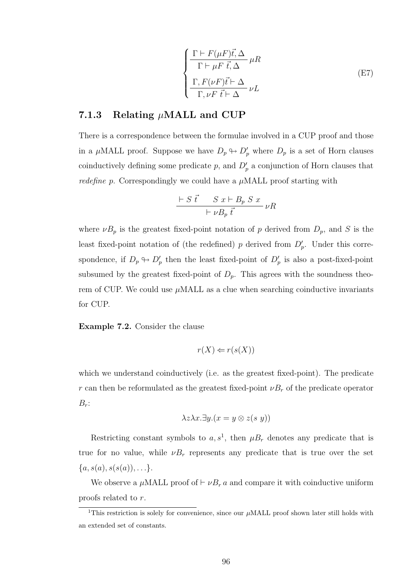$$
\begin{cases}\n\frac{\Gamma \vdash F(\mu F)\vec{t}, \Delta}{\Gamma \vdash \mu F \ \vec{t}, \Delta} \mu R \\
\frac{\Gamma, F(\nu F)\vec{t} \vdash \Delta}{\Gamma, \nu F \ \vec{t} \vdash \Delta} \nu L\n\end{cases}
$$
\n(E7)

#### 7.1.3 Relating  $\mu$ MALL and CUP

There is a correspondence between the formulae involved in a CUP proof and those in a  $\mu$ MALL proof. Suppose we have  $D_p \oplus D'_p$  where  $D_p$  is a set of Horn clauses coinductively defining some predicate  $p$ , and  $D'_p$  a conjunction of Horn clauses that *redefine p.* Correspondingly we could have a  $\mu$ MALL proof starting with

$$
\frac{\vdash S \; \vec{t} \quad S \; x \vdash B_p \; S \; x}{\vdash \nu B_p \; \vec{t}} \; \nu R
$$

where  $\nu B_p$  is the greatest fixed-point notation of p derived from  $D_p$ , and S is the least fixed-point notation of (the redefined) p derived from  $D'_p$ . Under this correspondence, if  $D_p \oplus D'_p$  then the least fixed-point of  $D'_p$  is also a post-fixed-point subsumed by the greatest fixed-point of  $D_p$ . This agrees with the soundness theorem of CUP. We could use  $\mu$ MALL as a clue when searching coinductive invariants for CUP.

Example 7.2. Consider the clause

$$
r(X) \Leftarrow r(s(X))
$$

which we understand coinductively (i.e. as the greatest fixed-point). The predicate r can then be reformulated as the greatest fixed-point  $\nu B_r$  of the predicate operator  $B_r$ :

$$
\lambda z \lambda x. \exists y. (x = y \otimes z(s \ y))
$$

Restricting constant symbols to  $a, s<sup>1</sup>$ , then  $\mu B_r$  denotes any predicate that is true for no value, while  $\nu B_r$  represents any predicate that is true over the set  $\{a, s(a), s(s(a)), \ldots\}.$ 

We observe a  $\mu$ MALL proof of  $\vdash \nu B_r$  a and compare it with coinductive uniform proofs related to r.

<sup>&</sup>lt;sup>1</sup>This restriction is solely for convenience, since our  $\mu$ MALL proof shown later still holds with an extended set of constants.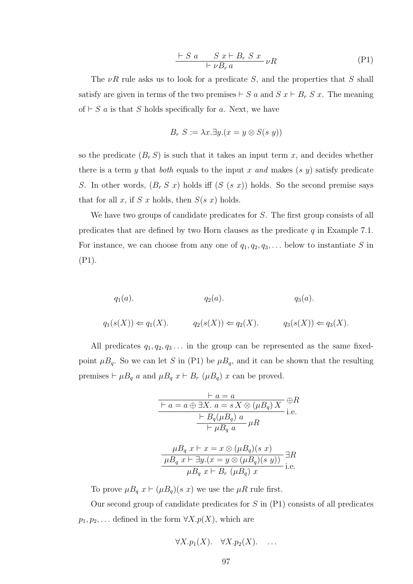$$
\frac{\vdash S \ a \qquad S \ x \vdash B_r \ S \ x}{\vdash \nu B_r \ a} \nu R \tag{P1}
$$

The  $\nu R$  rule asks us to look for a predicate S, and the properties that S shall satisfy are given in terms of the two premises  $\vdash S$  a and  $S$   $x \vdash B_r$   $S$   $x$ . The meaning of  $\vdash S$  a is that S holds specifically for a. Next, we have

$$
B_r S := \lambda x. \exists y. (x = y \otimes S(s y))
$$

so the predicate  $(B_r S)$  is such that it takes an input term x, and decides whether there is a term y that both equals to the input x and makes  $(s, y)$  satisfy predicate S. In other words,  $(B_r S x)$  holds iff  $(S (s x))$  holds. So the second premise says that for all x, if S x holds, then  $S(s\ x)$  holds.

We have two groups of candidate predicates for S. The first group consists of all predicates that are defined by two Horn clauses as the predicate  $q$  in Example 7.1. For instance, we can choose from any one of  $q_1, q_2, q_3, \ldots$  below to instantiate S in (P1).

$$
q_1(a)
$$
.  $q_2(a)$ .  $q_3(a)$ .  
 $q_1(s(X)) \Leftarrow q_1(X)$ .  $q_2(s(X)) \Leftarrow q_2(X)$ .  $q_3(s(X)) \Leftarrow q_3(X)$ .

All predicates  $q_1, q_2, q_3 \ldots$  in the group can be represented as the same fixedpoint  $\mu B_q$ . So we can let S in (P1) be  $\mu B_q$ , and it can be shown that the resulting premises  $\vdash \mu B_q$  a and  $\mu B_q$   $x \vdash B_r$  ( $\mu B_q$ ) x can be proved.

$$
\frac{\varepsilon - a}{\varepsilon - a \oplus \exists X. a = s \, X \otimes (\mu B_q) \, X} \stackrel{\varphi}{\longrightarrow} R
$$
\n
$$
\frac{\varepsilon - B_q(\mu B_q) \, a}{\varepsilon + \mu B_q \, a} \, \mu R
$$

$$
\frac{\mu B_q x \vdash x = x \otimes (\mu B_q)(s x)}{\mu B_q x \vdash \exists y.(x = y \otimes (\mu B_q)(s y))} \exists R
$$
  

$$
\mu B_q x \vdash B_r (\mu B_q) x
$$
i.e.

To prove  $\mu B_q x \vdash (\mu B_q)(s x)$  we use the  $\mu R$  rule first.

Our second group of candidate predicates for  $S$  in  $(P1)$  consists of all predicates  $p_1, p_2, \ldots$  defined in the form  $\forall X. p(X)$ , which are

$$
\forall X. p_1(X). \quad \forall X. p_2(X). \quad \ldots
$$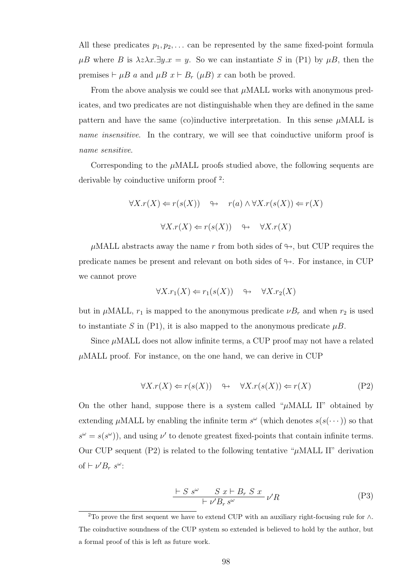All these predicates  $p_1, p_2, \ldots$  can be represented by the same fixed-point formula  $\mu$ B where B is  $\lambda z \lambda x.\exists y.x = y$ . So we can instantiate S in (P1) by  $\mu$ B, then the premises  $\vdash \mu B$  a and  $\mu B$   $x \vdash B_r$  ( $\mu B$ ) x can both be proved.

From the above analysis we could see that  $\mu$ MALL works with anonymous predicates, and two predicates are not distinguishable when they are defined in the same pattern and have the same (co)inductive interpretation. In this sense  $\mu$ MALL is name insensitive. In the contrary, we will see that coinductive uniform proof is name sensitive.

Corresponding to the  $\mu$ MALL proofs studied above, the following sequents are derivable by coinductive uniform proof <sup>2</sup>:

$$
\forall X.r(X) \Leftarrow r(s(X)) \quad \Leftrightarrow \quad r(a) \land \forall X.r(s(X)) \Leftarrow r(X)
$$

$$
\forall X.r(X) \Leftarrow r(s(X)) \quad \Leftrightarrow \quad \forall X.r(X)
$$

 $\mu$ MALL abstracts away the name r from both sides of  $\leftrightarrow$ , but CUP requires the predicate names be present and relevant on both sides of  $\leftrightarrow$ . For instance, in CUP we cannot prove

$$
\forall X.r_1(X) \Leftarrow r_1(s(X)) \quad \leftrightarrow \quad \forall X.r_2(X)
$$

but in  $\mu$ MALL,  $r_1$  is mapped to the anonymous predicate  $\nu B_r$  and when  $r_2$  is used to instantiate S in (P1), it is also mapped to the anonymous predicate  $\mu B$ .

Since  $\mu$ MALL does not allow infinite terms, a CUP proof may not have a related  $\mu$ MALL proof. For instance, on the one hand, we can derive in CUP

$$
\forall X.r(X) \Leftarrow r(s(X)) \quad \leftrightarrow \quad \forall X.r(s(X)) \Leftarrow r(X) \tag{P2}
$$

On the other hand, suppose there is a system called " $\mu$ MALL II" obtained by extending  $\mu$ MALL by enabling the infinite term  $s^{\omega}$  (which denotes  $s(s(\cdots))$  so that  $s^{\omega} = s(s^{\omega})$ , and using  $\nu'$  to denote greatest fixed-points that contain infinite terms. Our CUP sequent (P2) is related to the following tentative " $\mu$ MALL II" derivation of  $\vdash \nu' B_r s^{\omega}$ :

$$
\frac{\vdash S s^{\omega} \quad S x \vdash B_r S x}{\vdash \nu' B_r s^{\omega}} \nu' R \tag{P3}
$$

<sup>&</sup>lt;sup>2</sup>To prove the first sequent we have to extend CUP with an auxiliary right-focusing rule for  $\wedge$ . The coinductive soundness of the CUP system so extended is believed to hold by the author, but a formal proof of this is left as future work.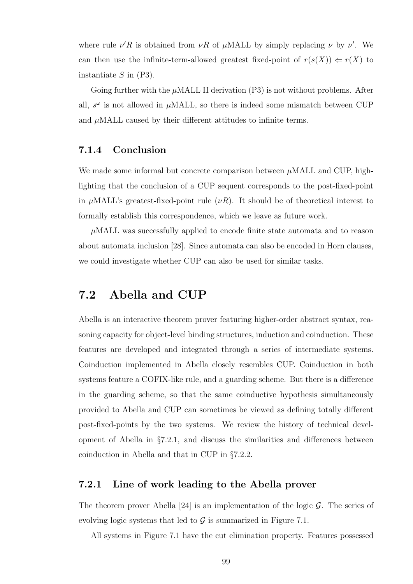where rule  $\nu'R$  is obtained from  $\nu R$  of  $\mu$ MALL by simply replacing  $\nu$  by  $\nu'$ . We can then use the infinite-term-allowed greatest fixed-point of  $r(s(X)) \Leftarrow r(X)$  to instantiate  $S$  in  $(P3)$ .

Going further with the  $\mu$ MALL II derivation (P3) is not without problems. After all,  $s^{\omega}$  is not allowed in  $\mu$ MALL, so there is indeed some mismatch between CUP and  $\mu$ MALL caused by their different attitudes to infinite terms.

#### 7.1.4 Conclusion

We made some informal but concrete comparison between  $\mu$ MALL and CUP, highlighting that the conclusion of a CUP sequent corresponds to the post-fixed-point in  $\mu$ MALL's greatest-fixed-point rule  $(\nu R)$ . It should be of theoretical interest to formally establish this correspondence, which we leave as future work.

 $\mu$ MALL was successfully applied to encode finite state automata and to reason about automata inclusion [28]. Since automata can also be encoded in Horn clauses, we could investigate whether CUP can also be used for similar tasks.

### 7.2 Abella and CUP

Abella is an interactive theorem prover featuring higher-order abstract syntax, reasoning capacity for object-level binding structures, induction and coinduction. These features are developed and integrated through a series of intermediate systems. Coinduction implemented in Abella closely resembles CUP. Coinduction in both systems feature a COFIX-like rule, and a guarding scheme. But there is a difference in the guarding scheme, so that the same coinductive hypothesis simultaneously provided to Abella and CUP can sometimes be viewed as defining totally different post-fixed-points by the two systems. We review the history of technical development of Abella in §7.2.1, and discuss the similarities and differences between coinduction in Abella and that in CUP in §7.2.2.

#### 7.2.1 Line of work leading to the Abella prover

The theorem prover Abella [24] is an implementation of the logic  $\mathcal G$ . The series of evolving logic systems that led to  $\mathcal G$  is summarized in Figure 7.1.

All systems in Figure 7.1 have the cut elimination property. Features possessed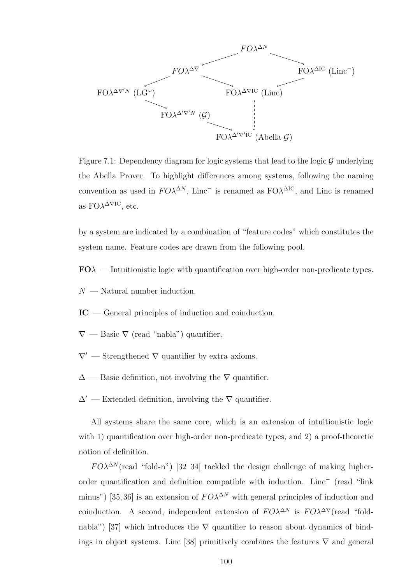

Figure 7.1: Dependency diagram for logic systems that lead to the logic  $\mathcal G$  underlying the Abella Prover. To highlight differences among systems, following the naming convention as used in  $FO\lambda^{\Delta N}$ , Linc<sup>-</sup> is renamed as  $FO\lambda^{\Delta IC}$ , and Linc is renamed as  $FO\lambda^{\Delta \nabla IC}$ , etc.

by a system are indicated by a combination of "feature codes" which constitutes the system name. Feature codes are drawn from the following pool.

 $FO\lambda$  — Intuitionistic logic with quantification over high-order non-predicate types.

 $N$  — Natural number induction.

- IC General principles of induction and coinduction.
- $\nabla$  Basic  $\nabla$  (read "nabla") quantifier.
- $\nabla'$  Strengthened  $\nabla$  quantifier by extra axioms.
- $\Delta$  Basic definition, not involving the  $\nabla$  quantifier.
- $\Delta'$  Extended definition, involving the  $\nabla$  quantifier.

All systems share the same core, which is an extension of intuitionistic logic with 1) quantification over high-order non-predicate types, and 2) a proof-theoretic notion of definition.

 $F O \lambda^{\Delta N}$  (read "fold-n") [32–34] tackled the design challenge of making higherorder quantification and definition compatible with induction. Linc<sup>−</sup> (read "link minus") [35,36] is an extension of  $FO\lambda^{\Delta N}$  with general principles of induction and coinduction. A second, independent extension of  $F O^{\lambda \Delta N}$  is  $F O^{\lambda \Delta \nabla}$  (read "foldnabla") [37] which introduces the  $\nabla$  quantifier to reason about dynamics of bindings in object systems. Linc [38] primitively combines the features  $\nabla$  and general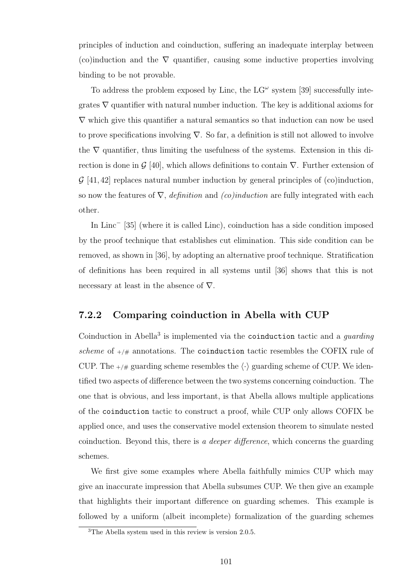principles of induction and coinduction, suffering an inadequate interplay between (co)induction and the  $\nabla$  quantifier, causing some inductive properties involving binding to be not provable.

To address the problem exposed by Linc, the  $LG^{\omega}$  system [39] successfully integrates  $\nabla$  quantifier with natural number induction. The key is additional axioms for  $\nabla$  which give this quantifier a natural semantics so that induction can now be used to prove specifications involving  $\nabla$ . So far, a definition is still not allowed to involve the  $\nabla$  quantifier, thus limiting the usefulness of the systems. Extension in this direction is done in  $\mathcal{G}$  [40], which allows definitions to contain  $\nabla$ . Further extension of  $\mathcal{G}$  [41,42] replaces natural number induction by general principles of (co)induction, so now the features of  $\nabla$ , *definition* and *(co)induction* are fully integrated with each other.

In Linc<sup>−</sup> [35] (where it is called Linc), coinduction has a side condition imposed by the proof technique that establishes cut elimination. This side condition can be removed, as shown in [36], by adopting an alternative proof technique. Stratification of definitions has been required in all systems until [36] shows that this is not necessary at least in the absence of  $\nabla$ .

#### 7.2.2 Comparing coinduction in Abella with CUP

Coinduction in Abella<sup>3</sup> is implemented via the coinduction tactic and a guarding scheme of  $+/#$  annotations. The coinduction tactic resembles the COFIX rule of CUP. The  $+\neq$  guarding scheme resembles the  $\langle \cdot \rangle$  guarding scheme of CUP. We identified two aspects of difference between the two systems concerning coinduction. The one that is obvious, and less important, is that Abella allows multiple applications of the coinduction tactic to construct a proof, while CUP only allows COFIX be applied once, and uses the conservative model extension theorem to simulate nested coinduction. Beyond this, there is a deeper difference, which concerns the guarding schemes.

We first give some examples where Abella faithfully mimics CUP which may give an inaccurate impression that Abella subsumes CUP. We then give an example that highlights their important difference on guarding schemes. This example is followed by a uniform (albeit incomplete) formalization of the guarding schemes

<sup>3</sup>The Abella system used in this review is version 2.0.5.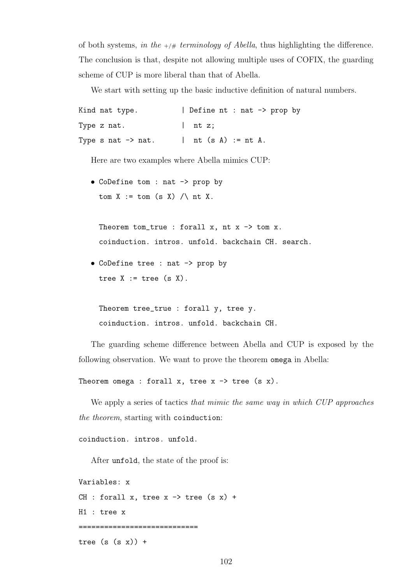of both systems, in the  $+\frac{\mu}{2}$  terminology of Abella, thus highlighting the difference. The conclusion is that, despite not allowing multiple uses of COFIX, the guarding scheme of CUP is more liberal than that of Abella.

We start with setting up the basic inductive definition of natural numbers.

```
Kind nat type. | Define nt : nat -> prop by
Type z nat. | nt z;
Type s nat \rightarrow nat. | nt (s A) := nt A.
```
Here are two examples where Abella mimics CUP:

• CoDefine tom : nat -> prop by tom X := tom (s X) /\ nt X.

Theorem tom\_true : forall x, nt  $x \rightarrow$  tom x. coinduction. intros. unfold. backchain CH. search.

• CoDefine tree : nat -> prop by tree  $X := true$  (s  $X$ ).

Theorem tree\_true : forall y, tree y. coinduction. intros. unfold. backchain CH.

The guarding scheme difference between Abella and CUP is exposed by the following observation. We want to prove the theorem omega in Abella:

Theorem omega : forall x, tree  $x \rightarrow$  tree (s x).

We apply a series of tactics that mimic the same way in which CUP approaches the theorem, starting with coinduction:

coinduction. intros. unfold.

After unfold, the state of the proof is:

```
Variables: x
CH : forall x, tree x \rightarrow tree (s x) +
H1 : tree x
============================
```
tree  $(s (s x)) +$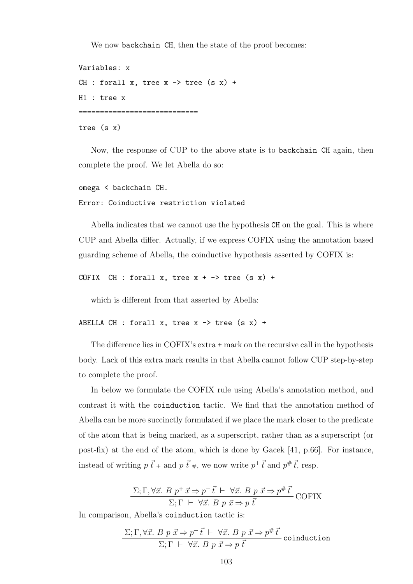We now backchain CH, then the state of the proof becomes:

```
Variables: x
CH : forall x, tree x \rightarrow tree (s x) +
H1 : tree x
============================
tree (s x)
```
Now, the response of CUP to the above state is to backchain CH again, then complete the proof. We let Abella do so:

```
omega < backchain CH.
Error: Coinductive restriction violated
```
Abella indicates that we cannot use the hypothesis CH on the goal. This is where CUP and Abella differ. Actually, if we express COFIX using the annotation based guarding scheme of Abella, the coinductive hypothesis asserted by COFIX is:

```
COFIX CH : forall x, tree x + - tree (s x) +
```
which is different from that asserted by Abella:

```
ABELLA CH : forall x, tree x \rightarrow tree (s x) +
```
The difference lies in COFIX's extra + mark on the recursive call in the hypothesis body. Lack of this extra mark results in that Abella cannot follow CUP step-by-step to complete the proof.

In below we formulate the COFIX rule using Abella's annotation method, and contrast it with the coinduction tactic. We find that the annotation method of Abella can be more succinctly formulated if we place the mark closer to the predicate of the atom that is being marked, as a superscript, rather than as a superscript (or post-fix) at the end of the atom, which is done by Gacek [41, p.66]. For instance, instead of writing  $p \, \vec{t}$  + and  $p \, \vec{t}$  #, we now write  $p^{+} \, \vec{t}$  and  $p^{*} \, \vec{t}$ , resp.

$$
\frac{\Sigma; \Gamma, \forall \vec{x}. \; B \; p^+ \; \vec{x} \Rightarrow p^+ \; \vec{t} \; \vdash \; \forall \vec{x}. \; B \; p \; \vec{x} \Rightarrow p^{\#} \; \vec{t}}{\Sigma; \Gamma \; \vdash \; \forall \vec{x}. \; B \; p \; \vec{x} \Rightarrow p \; \vec{t}} \; \text{COFIX}
$$

In comparison, Abella's coinduction tactic is:

$$
\frac{\Sigma; \Gamma, \forall \vec{x}. \; B \; p \; \vec{x} \Rightarrow p^+ \vec{t} \vdash \forall \vec{x}. \; B \; p \; \vec{x} \Rightarrow p^{\#} \vec{t}}{\Sigma; \Gamma \vdash \forall \vec{x}. \; B \; p \; \vec{x} \Rightarrow p \; \vec{t}}
$$
coinduction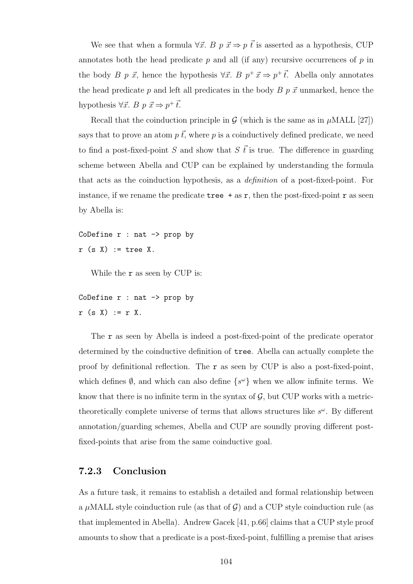We see that when a formula  $\forall \vec{x}$ . B  $p \vec{x} \Rightarrow p \vec{t}$  is asserted as a hypothesis, CUP annotates both the head predicate  $p$  and all (if any) recursive occurrences of  $p$  in the body B p  $\vec{x}$ , hence the hypothesis  $\forall \vec{x}$ . B  $p^+ \vec{x} \Rightarrow p^+ \vec{t}$ . Abella only annotates the head predicate p and left all predicates in the body  $B p \vec{x}$  unmarked, hence the hypothesis  $\forall \vec{x}$ . B  $p \; \vec{x} \Rightarrow p^+ \vec{t}$ .

Recall that the coinduction principle in  $\mathcal G$  (which is the same as in  $\mu$ MALL [27]) says that to prove an atom  $p \vec{t}$ , where p is a coinductively defined predicate, we need to find a post-fixed-point S and show that S  $\vec{t}$  is true. The difference in guarding scheme between Abella and CUP can be explained by understanding the formula that acts as the coinduction hypothesis, as a definition of a post-fixed-point. For instance, if we rename the predicate  $\text{tree}$  + as r, then the post-fixed-point r as seen by Abella is:

CoDefine  $r : nat \rightarrow prop$  by  $r$  (s  $X$ ) := tree X.

While the **r** as seen by CUP is:

```
CoDefine r : nat \rightarrow prop by
r (s X) := r X.
```
The r as seen by Abella is indeed a post-fixed-point of the predicate operator determined by the coinductive definition of tree. Abella can actually complete the proof by definitional reflection. The  $r$  as seen by CUP is also a post-fixed-point, which defines  $\emptyset$ , and which can also define  $\{s^{\omega}\}\$  when we allow infinite terms. We know that there is no infinite term in the syntax of  $\mathcal{G}$ , but CUP works with a metrictheoretically complete universe of terms that allows structures like  $s^{\omega}$ . By different annotation/guarding schemes, Abella and CUP are soundly proving different postfixed-points that arise from the same coinductive goal.

#### 7.2.3 Conclusion

As a future task, it remains to establish a detailed and formal relationship between a  $\mu$ MALL style coinduction rule (as that of G) and a CUP style coinduction rule (as that implemented in Abella). Andrew Gacek [41, p.66] claims that a CUP style proof amounts to show that a predicate is a post-fixed-point, fulfilling a premise that arises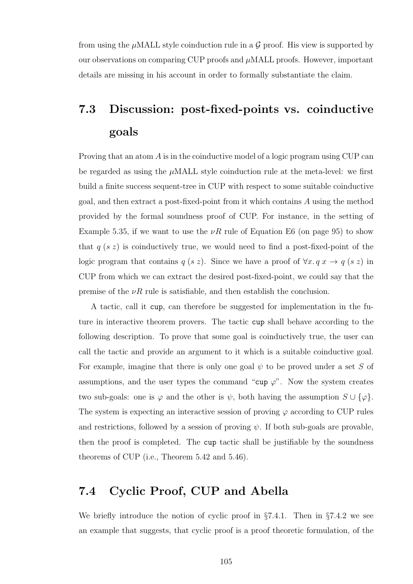from using the  $\mu$ MALL style coinduction rule in a  $\mathcal G$  proof. His view is supported by our observations on comparing CUP proofs and  $\mu$ MALL proofs. However, important details are missing in his account in order to formally substantiate the claim.

## 7.3 Discussion: post-fixed-points vs. coinductive goals

Proving that an atom A is in the coinductive model of a logic program using CUP can be regarded as using the  $\mu$ MALL style coinduction rule at the meta-level: we first build a finite success sequent-tree in CUP with respect to some suitable coinductive goal, and then extract a post-fixed-point from it which contains A using the method provided by the formal soundness proof of CUP. For instance, in the setting of Example 5.35, if we want to use the  $\nu R$  rule of Equation E6 (on page 95) to show that  $q(s z)$  is coinductively true, we would need to find a post-fixed-point of the logic program that contains  $q(s z)$ . Since we have a proof of  $\forall x \, q \, x \rightarrow q(s z)$  in CUP from which we can extract the desired post-fixed-point, we could say that the premise of the  $\nu R$  rule is satisfiable, and then establish the conclusion.

A tactic, call it cup, can therefore be suggested for implementation in the future in interactive theorem provers. The tactic cup shall behave according to the following description. To prove that some goal is coinductively true, the user can call the tactic and provide an argument to it which is a suitable coinductive goal. For example, imagine that there is only one goal  $\psi$  to be proved under a set S of assumptions, and the user types the command "cup  $\varphi$ ". Now the system creates two sub-goals: one is  $\varphi$  and the other is  $\psi$ , both having the assumption  $S \cup {\varphi}$ . The system is expecting an interactive session of proving  $\varphi$  according to CUP rules and restrictions, followed by a session of proving  $\psi$ . If both sub-goals are provable, then the proof is completed. The cup tactic shall be justifiable by the soundness theorems of CUP (i.e., Theorem 5.42 and 5.46).

### 7.4 Cyclic Proof, CUP and Abella

We briefly introduce the notion of cyclic proof in  $\S 7.4.1$ . Then in  $\S 7.4.2$  we see an example that suggests, that cyclic proof is a proof theoretic formulation, of the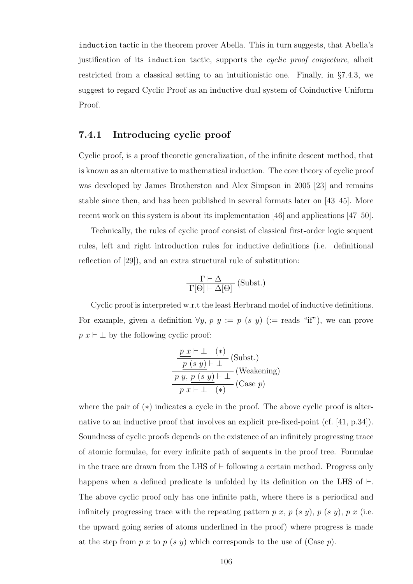induction tactic in the theorem prover Abella. This in turn suggests, that Abella's justification of its induction tactic, supports the cyclic proof conjecture, albeit restricted from a classical setting to an intuitionistic one. Finally, in §7.4.3, we suggest to regard Cyclic Proof as an inductive dual system of Coinductive Uniform Proof.

#### 7.4.1 Introducing cyclic proof

Cyclic proof, is a proof theoretic generalization, of the infinite descent method, that is known as an alternative to mathematical induction. The core theory of cyclic proof was developed by James Brotherston and Alex Simpson in 2005 [23] and remains stable since then, and has been published in several formats later on [43–45]. More recent work on this system is about its implementation [46] and applications [47–50].

Technically, the rules of cyclic proof consist of classical first-order logic sequent rules, left and right introduction rules for inductive definitions (i.e. definitional reflection of [29]), and an extra structural rule of substitution:

$$
\frac{\Gamma\vdash\Delta}{\Gamma[\Theta]\vdash\Delta[\Theta]}~\mathrm{(Subst.)}
$$

Cyclic proof is interpreted w.r.t the least Herbrand model of inductive definitions. For example, given a definition  $\forall y, p \ y := p \ (s \ y) \ (:= \text{reads} \ ``\text{if}"),$  we can prove  $p x \vdash \perp$  by the following cyclic proof:

$$
\frac{\frac{p x \vdash \bot \quad (*)}{p (s y) \vdash \bot} \quad \text{(Subst.)}}{\frac{p y, p (s y) \vdash \bot}{p (s y) \vdash \bot} \quad \text{(Weakening)}}
$$
\n
$$
\frac{p x \vdash \bot \quad (*)}{p x \vdash \bot \quad (*)}
$$

where the pair of  $(*)$  indicates a cycle in the proof. The above cyclic proof is alternative to an inductive proof that involves an explicit pre-fixed-point (cf. [41, p.34]). Soundness of cyclic proofs depends on the existence of an infinitely progressing trace of atomic formulae, for every infinite path of sequents in the proof tree. Formulae in the trace are drawn from the LHS of  $\vdash$  following a certain method. Progress only happens when a defined predicate is unfolded by its definition on the LHS of  $\vdash$ . The above cyclic proof only has one infinite path, where there is a periodical and infinitely progressing trace with the repeating pattern p x, p  $(s, y)$ , p  $(s, y)$ , p x (i.e. the upward going series of atoms underlined in the proof) where progress is made at the step from p x to p (s y) which corresponds to the use of (Case p).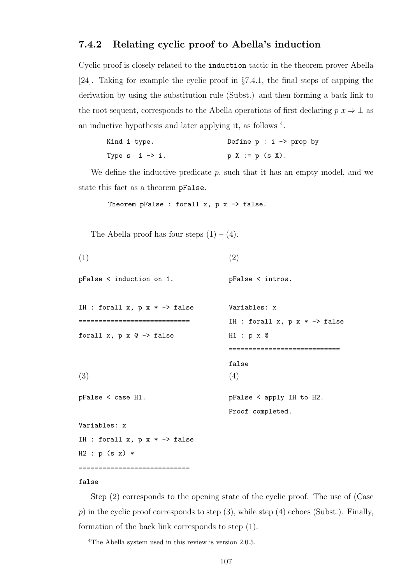#### 7.4.2 Relating cyclic proof to Abella's induction

Cyclic proof is closely related to the induction tactic in the theorem prover Abella [24]. Taking for example the cyclic proof in §7.4.1, the final steps of capping the derivation by using the substitution rule (Subst.) and then forming a back link to the root sequent, corresponds to the Abella operations of first declaring  $p \to \perp$  as an inductive hypothesis and later applying it, as follows <sup>4</sup>.

| Kind i type.                | Define $p : i \rightarrow prop$ by |
|-----------------------------|------------------------------------|
| Type $s$ i $\rightarrow$ i. | $p X := p (s X).$                  |

We define the inductive predicate  $p$ , such that it has an empty model, and we state this fact as a theorem pFalse.

```
Theorem pFalse : forall x, p x \rightarrow false.
```
The Abella proof has four steps  $(1) - (4)$ .

```
(1)
pFalse < induction on 1.
IH : forall x, p x * -> false
       ============================
forall x, p \times Q \rightarrow false(2)
                                            pFalse < intros.
                                             Variables: x
                                             IH : forall x, p x * \rightarrow false
                                            H1 : p x @
                                             ============================
                                             false
(3)
pFalse < case H1.
Variables: x
IH : forall x, p x * -> false
H2 : p (s x) *============================
                                             (4)
                                             pFalse < apply IH to H2.
                                             Proof completed.
```
#### false

Step (2) corresponds to the opening state of the cyclic proof. The use of (Case  $p)$  in the cyclic proof corresponds to step (3), while step (4) echoes (Subst.). Finally, formation of the back link corresponds to step (1).

<sup>4</sup>The Abella system used in this review is version 2.0.5.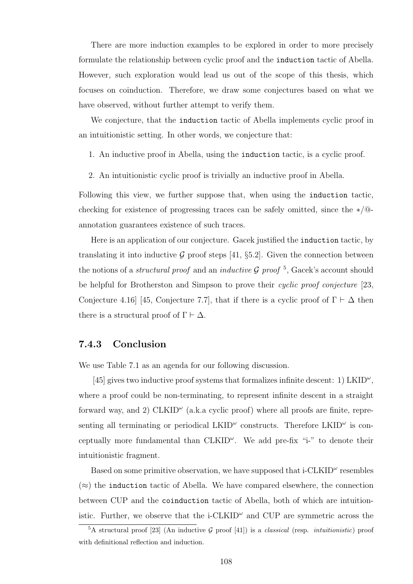There are more induction examples to be explored in order to more precisely formulate the relationship between cyclic proof and the induction tactic of Abella. However, such exploration would lead us out of the scope of this thesis, which focuses on coinduction. Therefore, we draw some conjectures based on what we have observed, without further attempt to verify them.

We conjecture, that the induction tactic of Abella implements cyclic proof in an intuitionistic setting. In other words, we conjecture that:

- 1. An inductive proof in Abella, using the induction tactic, is a cyclic proof.
- 2. An intuitionistic cyclic proof is trivially an inductive proof in Abella.

Following this view, we further suppose that, when using the induction tactic, checking for existence of progressing traces can be safely omitted, since the ∗/@ annotation guarantees existence of such traces.

Here is an application of our conjecture. Gacek justified the induction tactic, by translating it into inductive G proof steps [41,  $\S 5.2$ ]. Given the connection between the notions of a *structural proof* and an *inductive G proof* <sup>5</sup>, Gacek's account should be helpful for Brotherston and Simpson to prove their *cyclic proof conjecture* [23, Conjecture 4.16] [45, Conjecture 7.7], that if there is a cyclic proof of  $\Gamma \vdash \Delta$  then there is a structural proof of  $\Gamma \vdash \Delta$ .

#### 7.4.3 Conclusion

We use Table 7.1 as an agenda for our following discussion.

[45] gives two inductive proof systems that formalizes infinite descent: 1)  $LKID^{\omega}$ , where a proof could be non-terminating, to represent infinite descent in a straight forward way, and 2)  $CLKID^{\omega}$  (a.k.a cyclic proof) where all proofs are finite, representing all terminating or periodical  $LKID^{\omega}$  constructs. Therefore  $LKID^{\omega}$  is conceptually more fundamental than  $CLKID^{\omega}$ . We add pre-fix "i-" to denote their intuitionistic fragment.

Based on some primitive observation, we have supposed that  $i$ -CLKID<sup> $\omega$ </sup> resembles  $(\approx)$  the induction tactic of Abella. We have compared elsewhere, the connection between CUP and the coinduction tactic of Abella, both of which are intuitionistic. Further, we observe that the  $i$ -CLKID<sup> $\omega$ </sup> and CUP are symmetric across the

<sup>&</sup>lt;sup>5</sup>A structural proof [23] (An inductive G proof [41]) is a *classical* (resp. *intuitionistic*) proof with definitional reflection and induction.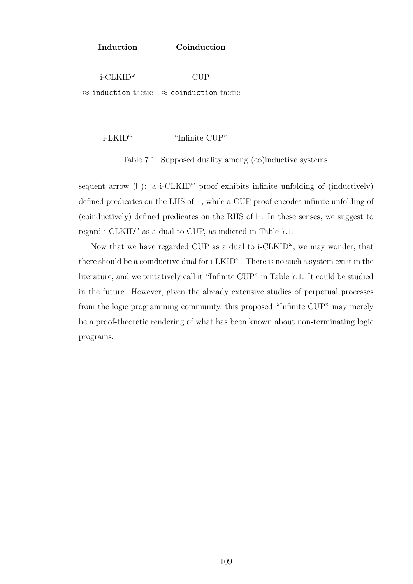| Induction                                 | Coinduction                  |
|-------------------------------------------|------------------------------|
|                                           |                              |
| $i$ -CLKID <sup><math>\omega</math></sup> | CUP                          |
| $\approx$ induction tactic                | $\approx$ coinduction tactic |
|                                           |                              |
|                                           |                              |
| i-LKID $^{\omega}$                        | "Infinite CUP"               |

Table 7.1: Supposed duality among (co)inductive systems.

sequent arrow  $(\vdash)$ : a i-CLKID<sup> $\omega$ </sup> proof exhibits infinite unfolding of (inductively) defined predicates on the LHS of  $\vdash$ , while a CUP proof encodes infinite unfolding of (coinductively) defined predicates on the RHS of  $\vdash$ . In these senses, we suggest to regard i-CLKID<sup> $\omega$ </sup> as a dual to CUP, as indicted in Table 7.1.

Now that we have regarded CUP as a dual to  $i$ -CLKID<sup> $\omega$ </sup>, we may wonder, that there should be a coinductive dual for  $i$ -LKID<sup> $\omega$ </sup>. There is no such a system exist in the literature, and we tentatively call it "Infinite CUP" in Table 7.1. It could be studied in the future. However, given the already extensive studies of perpetual processes from the logic programming community, this proposed "Infinite CUP" may merely be a proof-theoretic rendering of what has been known about non-terminating logic programs.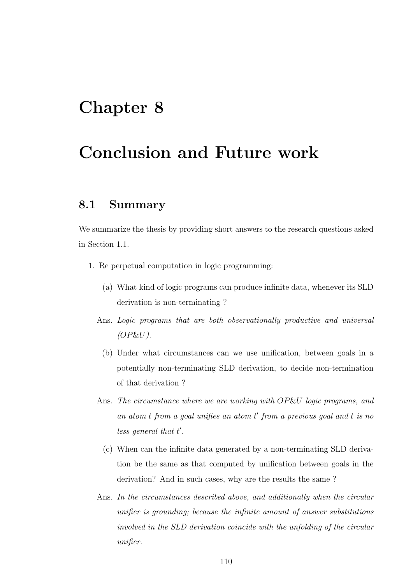### Chapter 8

## Conclusion and Future work

### 8.1 Summary

We summarize the thesis by providing short answers to the research questions asked in Section 1.1.

- 1. Re perpetual computation in logic programming:
	- (a) What kind of logic programs can produce infinite data, whenever its SLD derivation is non-terminating ?
	- Ans. Logic programs that are both observationally productive and universal  $(OP\&U)$ .
		- (b) Under what circumstances can we use unification, between goals in a potentially non-terminating SLD derivation, to decide non-termination of that derivation ?
	- Ans. The circumstance where we are working with OP&U logic programs, and an atom  $t$  from a goal unifies an atom  $t'$  from a previous goal and  $t$  is no  $less general that t'.$ 
		- (c) When can the infinite data generated by a non-terminating SLD derivation be the same as that computed by unification between goals in the derivation? And in such cases, why are the results the same ?
	- Ans. In the circumstances described above, and additionally when the circular unifier is grounding; because the infinite amount of answer substitutions involved in the SLD derivation coincide with the unfolding of the circular unifier.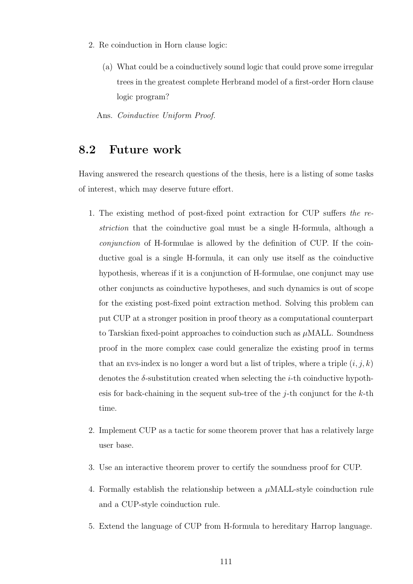- 2. Re coinduction in Horn clause logic:
	- (a) What could be a coinductively sound logic that could prove some irregular trees in the greatest complete Herbrand model of a first-order Horn clause logic program?

Ans. Coinductive Uniform Proof.

#### 8.2 Future work

Having answered the research questions of the thesis, here is a listing of some tasks of interest, which may deserve future effort.

- 1. The existing method of post-fixed point extraction for CUP suffers the restriction that the coinductive goal must be a single H-formula, although a conjunction of H-formulae is allowed by the definition of CUP. If the coinductive goal is a single H-formula, it can only use itself as the coinductive hypothesis, whereas if it is a conjunction of H-formulae, one conjunct may use other conjuncts as coinductive hypotheses, and such dynamics is out of scope for the existing post-fixed point extraction method. Solving this problem can put CUP at a stronger position in proof theory as a computational counterpart to Tarskian fixed-point approaches to coinduction such as  $\mu$ MALL. Soundness proof in the more complex case could generalize the existing proof in terms that an EVS-index is no longer a word but a list of triples, where a triple  $(i, j, k)$ denotes the  $\delta$ -substitution created when selecting the *i*-th coinductive hypothesis for back-chaining in the sequent sub-tree of the j-th conjunct for the  $k$ -th time.
- 2. Implement CUP as a tactic for some theorem prover that has a relatively large user base.
- 3. Use an interactive theorem prover to certify the soundness proof for CUP.
- 4. Formally establish the relationship between a  $\mu$ MALL-style coinduction rule and a CUP-style coinduction rule.
- 5. Extend the language of CUP from H-formula to hereditary Harrop language.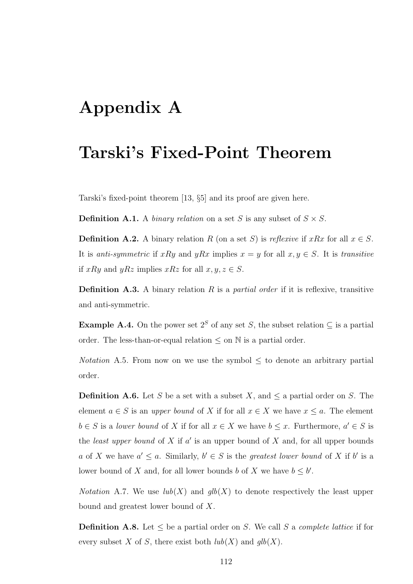# Appendix A

### Tarski's Fixed-Point Theorem

Tarski's fixed-point theorem [13, §5] and its proof are given here.

**Definition A.1.** A binary relation on a set S is any subset of  $S \times S$ .

**Definition A.2.** A binary relation R (on a set S) is reflexive if xRx for all  $x \in S$ . It is anti-symmetric if xRy and yRx implies  $x = y$  for all  $x, y \in S$ . It is transitive if xRy and yRz implies xRz for all  $x, y, z \in S$ .

**Definition A.3.** A binary relation R is a *partial order* if it is reflexive, transitive and anti-symmetric.

Example A.4. On the power set  $2^S$  of any set S, the subset relation  $\subseteq$  is a partial order. The less-than-or-equal relation  $\leq$  on  $\mathbb N$  is a partial order.

Notation A.5. From now on we use the symbol  $\leq$  to denote an arbitrary partial order.

**Definition A.6.** Let S be a set with a subset X, and  $\leq$  a partial order on S. The element  $a \in S$  is an upper bound of X if for all  $x \in X$  we have  $x \le a$ . The element  $b \in S$  is a lower bound of X if for all  $x \in X$  we have  $b \leq x$ . Furthermore,  $a' \in S$  is the *least upper bound* of  $X$  if  $a'$  is an upper bound of  $X$  and, for all upper bounds a of X we have  $a' \leq a$ . Similarly,  $b' \in S$  is the greatest lower bound of X if b' is a lower bound of X and, for all lower bounds b of X we have  $b \leq b'$ .

*Notation* A.7. We use  $lub(X)$  and  $qlb(X)$  to denote respectively the least upper bound and greatest lower bound of X.

**Definition A.8.** Let  $\leq$  be a partial order on S. We call S a *complete lattice* if for every subset X of S, there exist both  $lub(X)$  and  $glb(X)$ .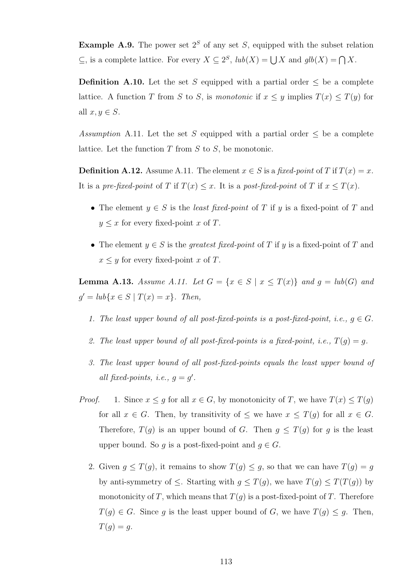Example A.9. The power set  $2^S$  of any set S, equipped with the subset relation ⊆, is a complete lattice. For every  $X \subseteq 2^S$ ,  $lub(X) = \bigcup X$  and  $glb(X) = \bigcap X$ .

**Definition A.10.** Let the set S equipped with a partial order  $\leq$  be a complete lattice. A function T from S to S, is monotonic if  $x \leq y$  implies  $T(x) \leq T(y)$  for all  $x, y \in S$ .

Assumption A.11. Let the set S equipped with a partial order  $\leq$  be a complete lattice. Let the function  $T$  from  $S$  to  $S$ , be monotonic.

**Definition A.12.** Assume A.11. The element  $x \in S$  is a fixed-point of T if  $T(x) = x$ . It is a pre-fixed-point of T if  $T(x) \leq x$ . It is a post-fixed-point of T if  $x \leq T(x)$ .

- The element  $y \in S$  is the *least fixed-point* of T if y is a fixed-point of T and  $y \leq x$  for every fixed-point x of T.
- The element  $y \in S$  is the *greatest fixed-point* of T if y is a fixed-point of T and  $x \leq y$  for every fixed-point x of T.

**Lemma A.13.** Assume A.11. Let  $G = \{x \in S \mid x \leq T(x)\}\$  and  $g = lub(G)$  and  $g' = lub\{x \in S \mid T(x) = x\}.$  Then,

- 1. The least upper bound of all post-fixed-points is a post-fixed-point, i.e.,  $g \in G$ .
- 2. The least upper bound of all post-fixed-points is a fixed-point, i.e.,  $T(q) = q$ .
- 3. The least upper bound of all post-fixed-points equals the least upper bound of all fixed-points, i.e.,  $g = g'$ .
- *Proof.* 1. Since  $x \leq g$  for all  $x \in G$ , by monotonicity of T, we have  $T(x) \leq T(g)$ for all  $x \in G$ . Then, by transitivity of  $\leq$  we have  $x \leq T(g)$  for all  $x \in G$ . Therefore,  $T(g)$  is an upper bound of G. Then  $g \leq T(g)$  for g is the least upper bound. So q is a post-fixed-point and  $q \in G$ .
	- 2. Given  $g \leq T(g)$ , it remains to show  $T(g) \leq g$ , so that we can have  $T(g) = g$ by anti-symmetry of  $\leq$ . Starting with  $g \leq T(g)$ , we have  $T(g) \leq T(T(g))$  by monotonicity of T, which means that  $T(g)$  is a post-fixed-point of T. Therefore  $T(g) \in G$ . Since g is the least upper bound of G, we have  $T(g) \leq g$ . Then,  $T(q) = q.$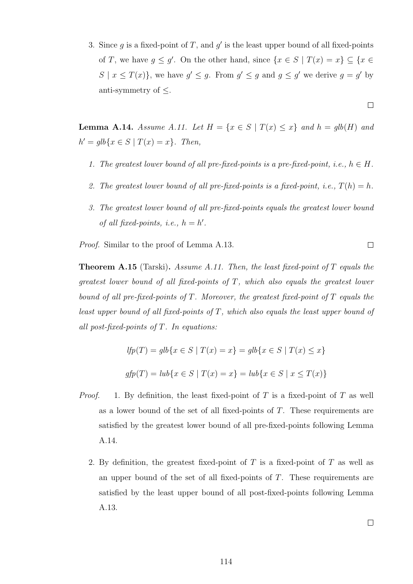3. Since  $g$  is a fixed-point of  $T$ , and  $g'$  is the least upper bound of all fixed-points of T, we have  $g \leq g'$ . On the other hand, since  $\{x \in S \mid T(x) = x\} \subseteq \{x \in S \mid T(x) = x\}$  $S \mid x \leq T(x)$ , we have  $g' \leq g$ . From  $g' \leq g$  and  $g \leq g'$  we derive  $g = g'$  by anti-symmetry of  $\leq$ .

 $\Box$ 

 $\Box$ 

**Lemma A.14.** Assume A.11. Let  $H = \{x \in S \mid T(x) \le x\}$  and  $h = glb(H)$  and  $h' = glb\{x \in S \mid T(x) = x\}.$  Then,

- 1. The greatest lower bound of all pre-fixed-points is a pre-fixed-point, i.e.,  $h \in H$ .
- 2. The greatest lower bound of all pre-fixed-points is a fixed-point, i.e.,  $T(h) = h$ .
- 3. The greatest lower bound of all pre-fixed-points equals the greatest lower bound of all fixed-points, i.e.,  $h = h'$ .

Proof. Similar to the proof of Lemma A.13.

**Theorem A.15** (Tarski). Assume A.11. Then, the least fixed-point of T equals the greatest lower bound of all fixed-points of T, which also equals the greatest lower bound of all pre-fixed-points of  $T$ . Moreover, the greatest fixed-point of  $T$  equals the least upper bound of all fixed-points of  $T$ , which also equals the least upper bound of all post-fixed-points of  $T$ . In equations:

$$
lfp(T) = glb\{x \in S \mid T(x) = x\} = glb\{x \in S \mid T(x) \le x\}
$$
  

$$
gfp(T) = lub\{x \in S \mid T(x) = x\} = lub\{x \in S \mid x \le T(x)\}
$$

- *Proof.* 1. By definition, the least fixed-point of T is a fixed-point of T as well as a lower bound of the set of all fixed-points of T. These requirements are satisfied by the greatest lower bound of all pre-fixed-points following Lemma A.14.
	- 2. By definition, the greatest fixed-point of  $T$  is a fixed-point of  $T$  as well as an upper bound of the set of all fixed-points of T. These requirements are satisfied by the least upper bound of all post-fixed-points following Lemma A.13.

 $\Box$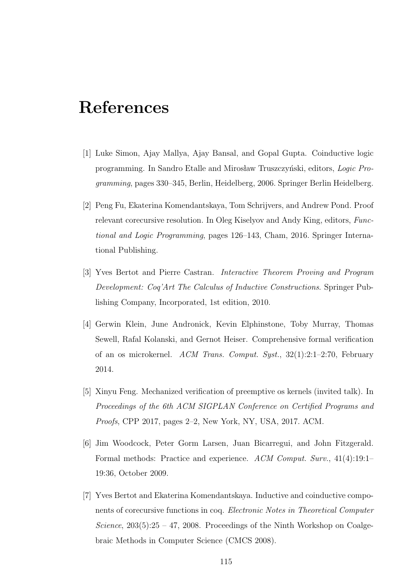## References

- [1] Luke Simon, Ajay Mallya, Ajay Bansal, and Gopal Gupta. Coinductive logic programming. In Sandro Etalle and Mirosław Truszczyński, editors, Logic Programming, pages 330–345, Berlin, Heidelberg, 2006. Springer Berlin Heidelberg.
- [2] Peng Fu, Ekaterina Komendantskaya, Tom Schrijvers, and Andrew Pond. Proof relevant corecursive resolution. In Oleg Kiselyov and Andy King, editors, Functional and Logic Programming, pages 126–143, Cham, 2016. Springer International Publishing.
- [3] Yves Bertot and Pierre Castran. Interactive Theorem Proving and Program Development: Coq'Art The Calculus of Inductive Constructions. Springer Publishing Company, Incorporated, 1st edition, 2010.
- [4] Gerwin Klein, June Andronick, Kevin Elphinstone, Toby Murray, Thomas Sewell, Rafal Kolanski, and Gernot Heiser. Comprehensive formal verification of an os microkernel. ACM Trans. Comput. Syst., 32(1):2:1–2:70, February 2014.
- [5] Xinyu Feng. Mechanized verification of preemptive os kernels (invited talk). In Proceedings of the 6th ACM SIGPLAN Conference on Certified Programs and Proofs, CPP 2017, pages 2–2, New York, NY, USA, 2017. ACM.
- [6] Jim Woodcock, Peter Gorm Larsen, Juan Bicarregui, and John Fitzgerald. Formal methods: Practice and experience. ACM Comput. Surv., 41(4):19:1– 19:36, October 2009.
- [7] Yves Bertot and Ekaterina Komendantskaya. Inductive and coinductive components of corecursive functions in coq. Electronic Notes in Theoretical Computer Science,  $203(5):25 - 47$ , 2008. Proceedings of the Ninth Workshop on Coalgebraic Methods in Computer Science (CMCS 2008).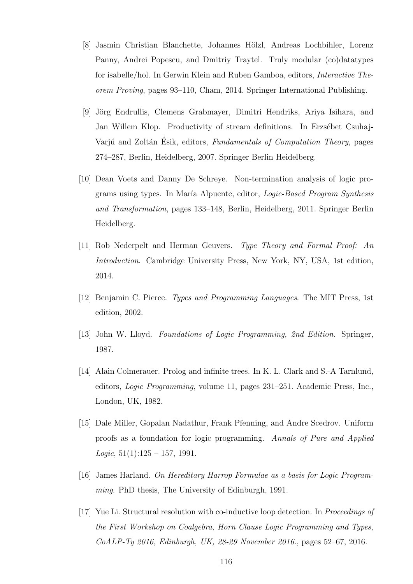- [8] Jasmin Christian Blanchette, Johannes Hölzl, Andreas Lochbihler, Lorenz Panny, Andrei Popescu, and Dmitriy Traytel. Truly modular (co)datatypes for isabelle/hol. In Gerwin Klein and Ruben Gamboa, editors, Interactive Theorem Proving, pages 93–110, Cham, 2014. Springer International Publishing.
- [9] Jörg Endrullis, Clemens Grabmayer, Dimitri Hendriks, Ariya Isihara, and Jan Willem Klop. Productivity of stream definitions. In Erzsébet Csuhaj-Variú and Zoltán Ésik, editors, Fundamentals of Computation Theory, pages 274–287, Berlin, Heidelberg, 2007. Springer Berlin Heidelberg.
- [10] Dean Voets and Danny De Schreye. Non-termination analysis of logic programs using types. In María Alpuente, editor, *Logic-Based Program Synthesis* and Transformation, pages 133–148, Berlin, Heidelberg, 2011. Springer Berlin Heidelberg.
- [11] Rob Nederpelt and Herman Geuvers. Type Theory and Formal Proof: An Introduction. Cambridge University Press, New York, NY, USA, 1st edition, 2014.
- [12] Benjamin C. Pierce. Types and Programming Languages. The MIT Press, 1st edition, 2002.
- [13] John W. Lloyd. Foundations of Logic Programming, 2nd Edition. Springer, 1987.
- [14] Alain Colmerauer. Prolog and infinite trees. In K. L. Clark and S.-A Tarnlund, editors, Logic Programming, volume 11, pages 231–251. Academic Press, Inc., London, UK, 1982.
- [15] Dale Miller, Gopalan Nadathur, Frank Pfenning, and Andre Scedrov. Uniform proofs as a foundation for logic programming. Annals of Pure and Applied  $Logic, 51(1):125 - 157, 1991.$
- [16] James Harland. On Hereditary Harrop Formulae as a basis for Logic Programming. PhD thesis, The University of Edinburgh, 1991.
- [17] Yue Li. Structural resolution with co-inductive loop detection. In Proceedings of the First Workshop on Coalgebra, Horn Clause Logic Programming and Types, CoALP-Ty 2016, Edinburgh, UK, 28-29 November 2016., pages 52–67, 2016.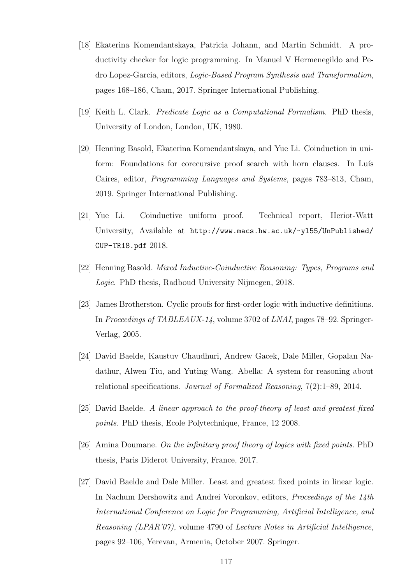- [18] Ekaterina Komendantskaya, Patricia Johann, and Martin Schmidt. A productivity checker for logic programming. In Manuel V Hermenegildo and Pedro Lopez-Garcia, editors, Logic-Based Program Synthesis and Transformation, pages 168–186, Cham, 2017. Springer International Publishing.
- [19] Keith L. Clark. Predicate Logic as a Computational Formalism. PhD thesis, University of London, London, UK, 1980.
- [20] Henning Basold, Ekaterina Komendantskaya, and Yue Li. Coinduction in uniform: Foundations for corecursive proof search with horn clauses. In Luís Caires, editor, Programming Languages and Systems, pages 783–813, Cham, 2019. Springer International Publishing.
- [21] Yue Li. Coinductive uniform proof. Technical report, Heriot-Watt University, Available at http://www.macs.hw.ac.uk/~yl55/UnPublished/ CUP-TR18.pdf 2018.
- [22] Henning Basold. Mixed Inductive-Coinductive Reasoning: Types, Programs and Logic. PhD thesis, Radboud University Nijmegen, 2018.
- [23] James Brotherston. Cyclic proofs for first-order logic with inductive definitions. In Proceedings of TABLEAUX-14, volume 3702 of LNAI, pages 78–92. Springer-Verlag, 2005.
- [24] David Baelde, Kaustuv Chaudhuri, Andrew Gacek, Dale Miller, Gopalan Nadathur, Alwen Tiu, and Yuting Wang. Abella: A system for reasoning about relational specifications. Journal of Formalized Reasoning, 7(2):1–89, 2014.
- [25] David Baelde. A linear approach to the proof-theory of least and greatest fixed points. PhD thesis, Ecole Polytechnique, France, 12 2008.
- [26] Amina Doumane. On the infinitary proof theory of logics with fixed points. PhD thesis, Paris Diderot University, France, 2017.
- [27] David Baelde and Dale Miller. Least and greatest fixed points in linear logic. In Nachum Dershowitz and Andrei Voronkov, editors, Proceedings of the 14th International Conference on Logic for Programming, Artificial Intelligence, and Reasoning (LPAR'07), volume 4790 of Lecture Notes in Artificial Intelligence, pages 92–106, Yerevan, Armenia, October 2007. Springer.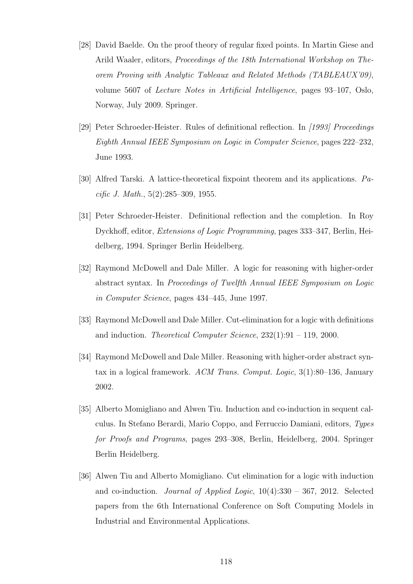- [28] David Baelde. On the proof theory of regular fixed points. In Martin Giese and Arild Waaler, editors, Proceedings of the 18th International Workshop on Theorem Proving with Analytic Tableaux and Related Methods (TABLEAUX'09), volume 5607 of Lecture Notes in Artificial Intelligence, pages 93–107, Oslo, Norway, July 2009. Springer.
- [29] Peter Schroeder-Heister. Rules of definitional reflection. In [1993] Proceedings Eighth Annual IEEE Symposium on Logic in Computer Science, pages 222–232, June 1993.
- [30] Alfred Tarski. A lattice-theoretical fixpoint theorem and its applications. Pacific J. Math., 5(2):285–309, 1955.
- [31] Peter Schroeder-Heister. Definitional reflection and the completion. In Roy Dyckhoff, editor, Extensions of Logic Programming, pages 333–347, Berlin, Heidelberg, 1994. Springer Berlin Heidelberg.
- [32] Raymond McDowell and Dale Miller. A logic for reasoning with higher-order abstract syntax. In Proceedings of Twelfth Annual IEEE Symposium on Logic in Computer Science, pages 434–445, June 1997.
- [33] Raymond McDowell and Dale Miller. Cut-elimination for a logic with definitions and induction. Theoretical Computer Science, 232(1):91 – 119, 2000.
- [34] Raymond McDowell and Dale Miller. Reasoning with higher-order abstract syntax in a logical framework. ACM Trans. Comput. Logic, 3(1):80–136, January 2002.
- [35] Alberto Momigliano and Alwen Tiu. Induction and co-induction in sequent calculus. In Stefano Berardi, Mario Coppo, and Ferruccio Damiani, editors, Types for Proofs and Programs, pages 293–308, Berlin, Heidelberg, 2004. Springer Berlin Heidelberg.
- [36] Alwen Tiu and Alberto Momigliano. Cut elimination for a logic with induction and co-induction. *Journal of Applied Logic*,  $10(4):330 - 367$ , 2012. Selected papers from the 6th International Conference on Soft Computing Models in Industrial and Environmental Applications.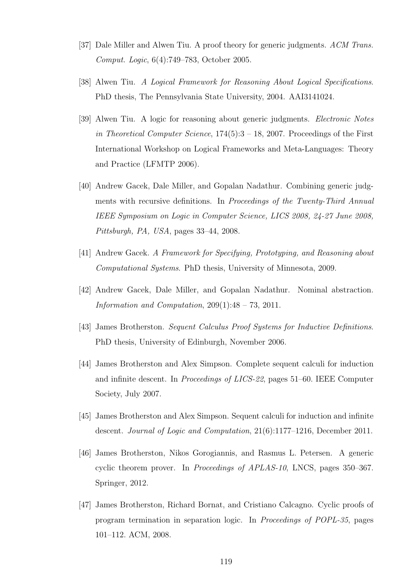- [37] Dale Miller and Alwen Tiu. A proof theory for generic judgments. ACM Trans. Comput. Logic, 6(4):749–783, October 2005.
- [38] Alwen Tiu. A Logical Framework for Reasoning About Logical Specifications. PhD thesis, The Pennsylvania State University, 2004. AAI3141024.
- [39] Alwen Tiu. A logic for reasoning about generic judgments. Electronic Notes in Theoretical Computer Science,  $174(5):3 - 18$ , 2007. Proceedings of the First International Workshop on Logical Frameworks and Meta-Languages: Theory and Practice (LFMTP 2006).
- [40] Andrew Gacek, Dale Miller, and Gopalan Nadathur. Combining generic judgments with recursive definitions. In Proceedings of the Twenty-Third Annual IEEE Symposium on Logic in Computer Science, LICS 2008, 24-27 June 2008, Pittsburgh, PA, USA, pages 33–44, 2008.
- [41] Andrew Gacek. A Framework for Specifying, Prototyping, and Reasoning about Computational Systems. PhD thesis, University of Minnesota, 2009.
- [42] Andrew Gacek, Dale Miller, and Gopalan Nadathur. Nominal abstraction. Information and Computation,  $209(1):48 - 73$ ,  $2011$ .
- [43] James Brotherston. Sequent Calculus Proof Systems for Inductive Definitions. PhD thesis, University of Edinburgh, November 2006.
- [44] James Brotherston and Alex Simpson. Complete sequent calculi for induction and infinite descent. In Proceedings of LICS-22, pages 51–60. IEEE Computer Society, July 2007.
- [45] James Brotherston and Alex Simpson. Sequent calculi for induction and infinite descent. Journal of Logic and Computation, 21(6):1177–1216, December 2011.
- [46] James Brotherston, Nikos Gorogiannis, and Rasmus L. Petersen. A generic cyclic theorem prover. In Proceedings of APLAS-10, LNCS, pages 350–367. Springer, 2012.
- [47] James Brotherston, Richard Bornat, and Cristiano Calcagno. Cyclic proofs of program termination in separation logic. In Proceedings of POPL-35, pages 101–112. ACM, 2008.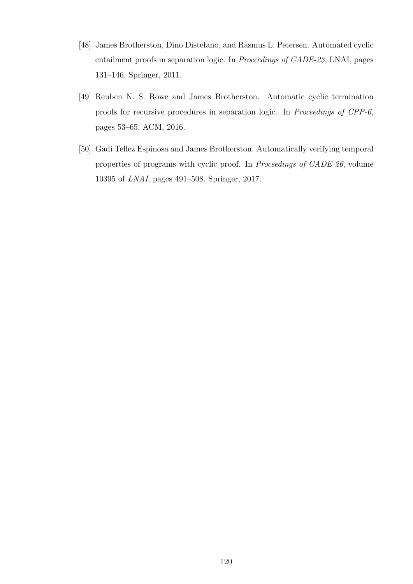- [48] James Brotherston, Dino Distefano, and Rasmus L. Petersen. Automated cyclic entailment proofs in separation logic. In Proceedings of CADE-23, LNAI, pages 131–146. Springer, 2011.
- [49] Reuben N. S. Rowe and James Brotherston. Automatic cyclic termination proofs for recursive procedures in separation logic. In Proceedings of CPP-6, pages 53–65. ACM, 2016.
- [50] Gadi Tellez Espinosa and James Brotherston. Automatically verifying temporal properties of programs with cyclic proof. In Proceedings of CADE-26, volume 10395 of LNAI, pages 491–508. Springer, 2017.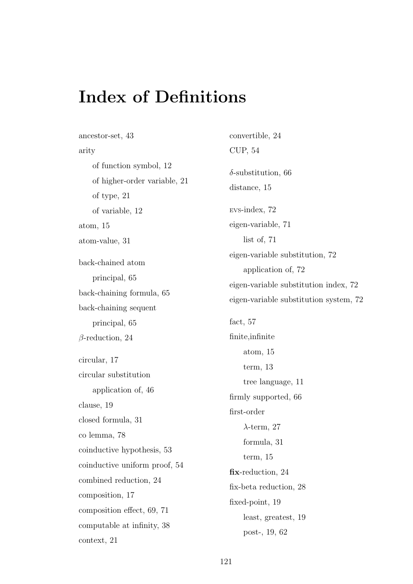## Index of Definitions

ancestor-set, 43 arity of function symbol, 12 of higher-order variable, 21 of type, 21 of variable, 12 atom, 15 atom-value, 31 back-chained atom principal, 65 back-chaining formula, 65 back-chaining sequent principal, 65 β-reduction, 24 circular, 17 circular substitution application of, 46 clause, 19 closed formula, 31 co lemma, 78 coinductive hypothesis, 53 coinductive uniform proof, 54 combined reduction, 24 composition, 17 composition effect, 69, 71 computable at infinity, 38 context, 21 convertible, 24 CUP, 54  $\delta$ -substitution, 66 distance, 15 EVS-index, 72 eigen-variable, 71 list of, 71 eigen-variable substitution, 72 application of, 72 eigen-variable substitution index, 72 eigen-variable substitution system, 72 fact, 57 finite,infinite atom, 15 term, 13 tree language, 11 firmly supported, 66 first-order  $\lambda$ -term, 27 formula, 31 term, 15 fix-reduction, 24 fix-beta reduction, 28 fixed-point, 19 least, greatest, 19 post-, 19, 62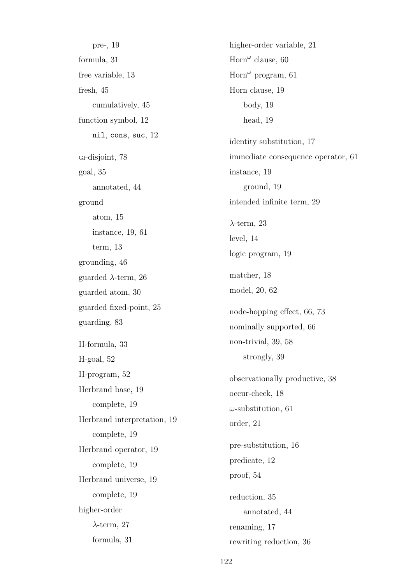pre-, 19 formula, 31 free variable, 13 fresh, 45 cumulatively, 45 function symbol, 12 nil, cons, suc, 12 GI-disjoint, 78 goal, 35 annotated, 44 ground atom, 15 instance, 19, 61 term, 13 grounding, 46 guarded  $\lambda$ -term, 26 guarded atom, 30 guarded fixed-point, 25 guarding, 83 H-formula, 33 H-goal, 52 H-program, 52 Herbrand base, 19 complete, 19 Herbrand interpretation, 19 complete, 19 Herbrand operator, 19 complete, 19 Herbrand universe, 19 complete, 19 higher-order  $\lambda$ -term, 27 formula, 31

higher-order variable, 21 Horn" clause, 60 Horn" program,  $61$ Horn clause, 19 body, 19 head, 19 identity substitution, 17 immediate consequence operator, 61 instance, 19 ground, 19 intended infinite term, 29  $\lambda$ -term, 23 level, 14 logic program, 19 matcher, 18 model, 20, 62 node-hopping effect, 66, 73 nominally supported, 66 non-trivial, 39, 58 strongly, 39 observationally productive, 38 occur-check, 18  $\omega$ -substitution, 61 order, 21 pre-substitution, 16 predicate, 12 proof, 54 reduction, 35 annotated, 44 renaming, 17 rewriting reduction, 36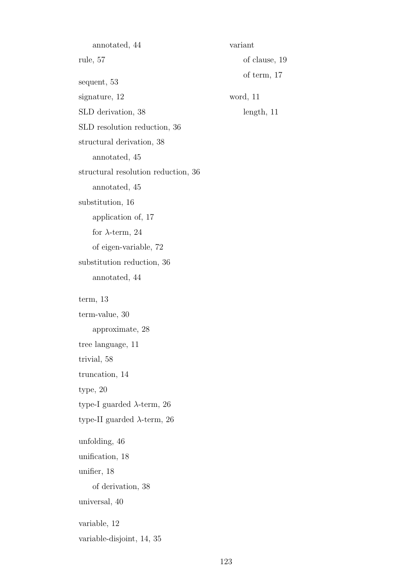annotated, 44 rule, 57 sequent, 53 signature, 12 SLD derivation, 38 SLD resolution reduction, 36 structural derivation, 38 annotated, 45 structural resolution reduction, 36 annotated, 45 substitution, 16 application of, 17 for  $\lambda$ -term, 24 of eigen-variable, 72 substitution reduction, 36 annotated, 44 term, 13 term-value, 30 approximate, 28 tree language, 11 trivial, 58 truncation, 14 type, 20 type-I guarded  $\lambda$ -term, 26 type-II guarded  $\lambda$ -term, 26 unfolding, 46 unification, 18 unifier, 18 of derivation, 38 universal, 40 variable, 12 variable-disjoint, 14, 35

variant

word, 11

of clause, 19

of term, 17

length, 11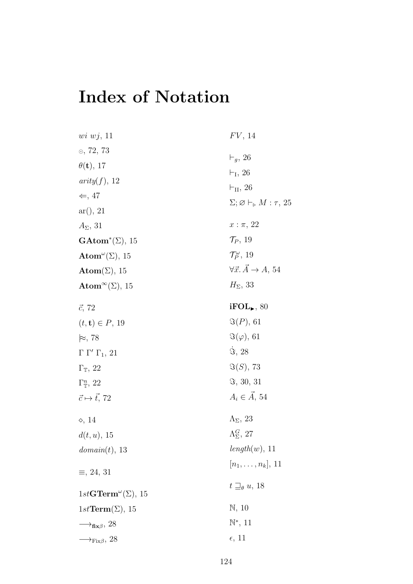# Index of Notation

| $wi\; wj, \; 11$                                     | $FV$ , 14                                                   |
|------------------------------------------------------|-------------------------------------------------------------|
| $\odot$ , 72, 73                                     | $\vdash_g$ , 26                                             |
| $\theta(\mathbf{t}), 17$                             | $\vdash_{\mathrm{I}}, 26$                                   |
| arity(f), 12                                         |                                                             |
| $\Leftarrow$ , 47                                    | $\vdash_{\text{II}}$ , 26                                   |
| ar(), 21                                             | $\Sigma; \varnothing \vdash_{\triangleright} M : \tau$ , 25 |
| $A_{\Sigma}$ , 31                                    | $x : \pi, 22$                                               |
| $\mathbf{GAtom}^*(\Sigma)$ , 15                      | $\mathcal{T}_P$ , 19                                        |
| Atom <sup>"</sup> $(\Sigma)$ , 15                    | $\mathcal{T}_P^{\omega}$ , 19                               |
| $\mathbf{Atom}(\Sigma)$ , 15                         | $\forall \vec{x}.\vec{A}\rightarrow A, 54$                  |
| Atom <sup><math>\infty</math></sup> ( $\Sigma$ ), 15 | $H_{\Sigma}$ , 33                                           |
| $\vec{c}$ , 72                                       | $i\text{FOL}_\blacktriangleright, 80$                       |
| $(t, t) \in P$ , 19                                  | $\Im(P), 61$                                                |
| $\approx$ , 78                                       | $\Im(\varphi)$ , 61                                         |
| $\Gamma \Gamma' \Gamma_1$ , 21                       | $\Im, 28$                                                   |
| $\Gamma_{\mathbb{T}}, 22$                            | $\Im(S), 73$                                                |
| $\Gamma_{\mathbb{T}}^n$ , 22                         | $\Im$ , 30, 31                                              |
| $\vec{c} \mapsto \vec{t}$ , 72                       | $A_i \in \overrightarrow{A}$ , 54                           |
| $\diamond$ , 14                                      | $\Lambda_{\Sigma}$ , 23                                     |
| $d(t, u)$ , 15                                       | $\Lambda_{\Sigma}^G$ , 27                                   |
| domain(t), 13                                        | length(w), 11                                               |
| $\equiv$ , 24, 31                                    | $[n_1, \ldots, n_k], 11$                                    |
| $1stGTerm^{\omega}(\Sigma), 15$                      | $t \sqsupseteq_{\theta} u$ , 18                             |
| $1st\mathbf{Term}(\Sigma), 15$                       | $\mathbb{N}, 10$                                            |
| $\rightarrow$ <sub>fix<math>\beta</math></sub> , 28  | $\mathbb{N}^*, 11$                                          |
| $\longrightarrow_{\text{Fix}\beta}$ , 28             | $\epsilon$ , 11                                             |
|                                                      |                                                             |